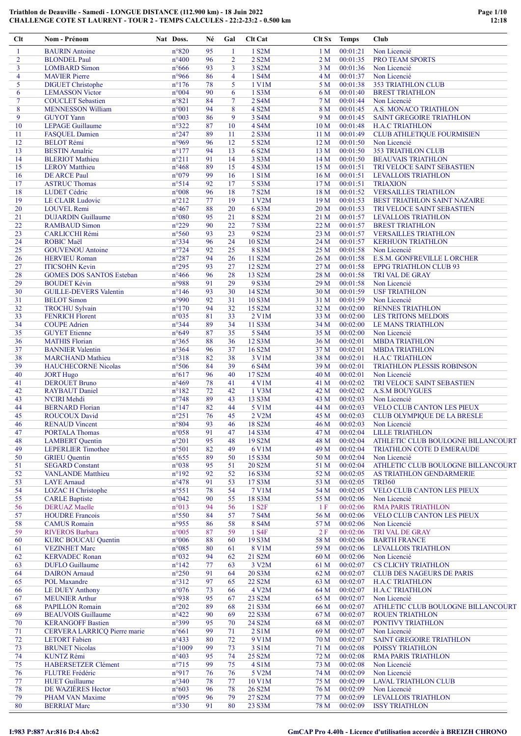| Clt            | Nom - Prénom                                    | Nat Doss.               | Né       | Gal            | <b>Clt</b> Cat      | Clt Sx          | <b>Temps</b>         | Club                                       |
|----------------|-------------------------------------------------|-------------------------|----------|----------------|---------------------|-----------------|----------------------|--------------------------------------------|
| 1              | <b>BAURIN</b> Antoine                           | $n^{\circ}820$          | 95       | 1              | 1 S2M               | 1 <sub>M</sub>  | 00:01:21             | Non Licencié                               |
| $\overline{2}$ | <b>BLONDEL Paul</b>                             | $n^{\circ}400$          | 96       | $\overline{2}$ | 2 S2M               | 2 <sub>M</sub>  | 00:01:35             | PRO TEAM SPORTS                            |
| 3              | <b>LOMBARD Simon</b>                            | $n^{\circ}666$          | 93       | 3              | 3 S <sub>2</sub> M  | 3 <sub>M</sub>  | 00:01:36             | Non Licencié                               |
| $\overline{4}$ | <b>MAVIER Pierre</b>                            | n°966                   | 86       | $\overline{4}$ | 1 S4M               | 4 M             | 00:01:37             | Non Licencié                               |
| 5              | <b>DIGUET</b> Christophe                        | $n^{\circ}176$          | 78       | 5              | 1 V1M               | 5 M             | 00:01:38             | <b>353 TRIATHLON CLUB</b>                  |
| 6              | <b>LEMASSON Victor</b>                          | $n^{\circ}004$          | 90       | 6              | 1 S3M               | 6 M             | 00:01:40             | <b>BREST TRIATHLON</b>                     |
| 7              | <b>COUCLET</b> Sebastien                        | n°821                   | 84       | $\tau$         | 2 S4M               | 7 M             | 00:01:44             | Non Licencié                               |
| 8              | <b>MENNESSON William</b>                        | $n^{\circ}001$          | 94       | 8              | 4 S2M               | 8 M             | 00:01:45             | A.S. MONACO TRIATHLON                      |
| 9              | <b>GUYOT</b> Yann                               | n°003                   | 86       | 9              | 3 S4M               | 9 M             | 00:01:45             | <b>SAINT GREGOIRE TRIATHLON</b>            |
| 10             | <b>LEPAGE Guillaume</b>                         | $n^{\circ}322$          | 87       | 10             | 4 S4M               | 10 <sub>M</sub> | 00:01:48             | <b>H.A.C TRIATHLON</b>                     |
| 11             | <b>FASQUEL Damien</b>                           | $n^{\circ}247$          | 89       | 11             | 2 S3M               | 11 M            | 00:01:49             | <b>CLUB ATHLETIQUE FOURMISIEN</b>          |
| 12             | <b>BELOT Rémi</b>                               | n°969                   | 96       | 12             | 5 S2M               | 12 <sub>M</sub> | 00:01:50             | Non Licencié                               |
| 13             | <b>BESTIN Amalric</b>                           | $n^{\circ}177$          | 94       | 13             | 6 S2M               | 13 <sub>M</sub> | 00:01:50             | 353 TRIATHLON CLUB                         |
| 14             | <b>BLERIOT</b> Mathieu                          | $n^{\circ}211$          | 91       | 14             | 3 S3M               | 14M             | 00:01:50             | <b>BEAUVAIS TRIATHLON</b>                  |
| 15             | <b>LEROY</b> Matthieu                           | $n^{\circ}468$          | 89       | 15             | 4 S3M               | 15 <sub>M</sub> | 00:01:51             | TRI VELOCE SAINT SEBASTIEN                 |
| 16             | <b>DE ARCE Paul</b>                             | n°079                   | 99       | 16             | 1 S1M               | 16 <sub>M</sub> | 00:01:51             | <b>LEVALLOIS TRIATHLON</b>                 |
| 17             | <b>ASTRUC Thomas</b>                            | n°514                   | 92       | 17             | 5 S3M               | 17 <sub>M</sub> | 00:01:51             | <b>TRIAXION</b>                            |
| 18             | LUDET Cédric                                    | $n^{\circ}008$          | 96       | 18             | 7 S2M               | 18 M            | 00:01:52             | <b>VERSAILLES TRIATHLON</b>                |
| 19             | <b>LE CLAIR Ludovic</b>                         | $n^{\circ}212$          | 77       | 19             | 1 V2M               | 19 <sub>M</sub> | 00:01:53             | <b>BEST TRIATHLON SAINT NAZAIRE</b>        |
| 20             | <b>LOUVEL Remi</b>                              | $n^{\circ}467$          | 88       | 20             | 6 S3M               | 20 M            | 00:01:53             | TRI VELOCE SAINT SEBASTIEN                 |
| 21             | <b>DUJARDIN</b> Guillaume                       | $n^{\circ}080$          | 95       | 21             | 8 S2M               | 21 M            | 00:01:57             | <b>LEVALLOIS TRIATHLON</b>                 |
| 22             | <b>RAMBAUD Simon</b>                            | $n^{\circ}229$          | 90       | 22             | 7 S3M               | 22 M            | 00:01:57             | <b>BREST TRIATHLON</b>                     |
| 23             | <b>CARLICCHI Rémi</b>                           | $n^{\circ}560$          | 93       | 23             | 9 S <sub>2</sub> M  | 23M             | 00:01:57             | <b>VERSAILLES TRIATHLON</b>                |
| 24             | <b>ROBIC Maël</b>                               | n°334                   | 96       | 24             | 10 S2M              | 24 M            | 00:01:57             | <b>KERHUON TRIATHLON</b>                   |
| 25             | <b>GOUVENOU</b> Antoine                         | $n^{\circ}$ 724         | 92       | 25             | 8 S3M               | 25 M            | 00:01:58             | Non Licencié                               |
| 26             | <b>HERVIEU Roman</b>                            | $n^{\circ}287$          | 94       | 26             | 11 S2M              | 26 M            | 00:01:58             | E.S.M. GONFREVILLE L ORCHER                |
| 27             | <b>ITICSOHN Kevin</b>                           | $n^{\circ}295$          | 93       | 27             | 12 S <sub>2</sub> M | 27 M            | 00:01:58             | <b>EPPG TRIATHLON CLUB 93</b>              |
| 28             | <b>GOMES DOS SANTOS Esteban</b>                 | $n^{\circ}466$          | 96       | 28             | 13 S2M              | 28 M            | 00:01:58             | <b>TRI VAL DE GRAY</b>                     |
| 29             | <b>BOUDET Kévin</b>                             | n°988                   | 91       | 29             | 9 S3M               | 29 M            | 00:01:58             | Non Licencié                               |
| 30             | <b>GUILLE-DEVERS Valentin</b>                   | $n^{\circ}$ 146         | 93       | 30             | 14 S2M              | 30 M            | 00:01:59             | <b>USF TRIATHLON</b>                       |
| 31             | <b>BELOT</b> Simon                              | n°990                   | 92       | 31             | 10 S3M              | 31 M            | 00:01:59             | Non Licencié                               |
| 32             | <b>TROCHU Sylvain</b>                           | $n^{\circ}170$          | 94       | 32             | 15 S2M              | 32 M            | 00:02:00             | <b>RENNES TRIATHLON</b>                    |
| 33             | <b>FENRICH Florent</b>                          | n°035                   | 81       | 33             | $2$ V $1M$          | 33 M            | 00:02:00             | <b>LES TRITONS MELDOIS</b>                 |
| 34             | <b>COUPE Adrien</b>                             | $n^{\circ}344$          | 89       | 34             | 11 S3M              | 34 M            | 00:02:00             | <b>LE MANS TRIATHLON</b>                   |
| 35             | <b>GUYET</b> Etienne                            | $n^{\circ}649$          | 87       | 35             | 5 S4M               | 35 M            | 00:02:00             | Non Licencié                               |
| 36             | <b>MATHIS Florian</b>                           | $n^{\circ}365$          | 88       | 36             | 12 S3M              | 36 M            | 00:02:01             | <b>MBDA TRIATHLON</b>                      |
| 37             | <b>BANNIER Valentin</b>                         | $n^{\circ}364$          | 96       | 37             | 16 S2M              | 37 M            | 00:02:01             | <b>MBDA TRIATHLON</b>                      |
| 38             | <b>MARCHAND</b> Mathieu                         | n°318                   | 82       | 38             | 3 V1M               | 38 M            | 00:02:01             | <b>H.A.C TRIATHLON</b>                     |
| 39             | <b>HAUCHECORNE Nicolas</b>                      | $n^{\circ}506$          | 84       | 39             | 6 S4M               | 39 M            | 00:02:01             | TRIATHLON PLESSIS ROBINSON                 |
| 40             | <b>JORT Hugo</b>                                | $n^{\circ}617$          | 96       | 40             | 17 S2M              | 40 M            | 00:02:01             | Non Licencié                               |
| 41             | <b>DEROUET Bruno</b>                            | n°469                   | 78       | 41             | 4 V1M               | 41 M            | 00:02:02             | TRI VELOCE SAINT SEBASTIEN                 |
| 42             | <b>RAYBAUT</b> Daniel                           | $n^{\circ}182$          | 72       | 42             | 1 V3M               | 42 M            | 00:02:02             | <b>A.S.M BOUYGUES</b>                      |
| 43             | N'CIRI Mehdi                                    | $n^{\circ}748$          | 89       | 43             | 13 S3M              | 43 M            | 00:02:03             | Non Licencié                               |
| 44             | <b>BERNARD Florian</b>                          | $n^{\circ}$ 147         | 82       | 44             | 5 V1M               | 44 M            | 00:02:03             | <b>VELO CLUB CANTON LES PIEUX</b>          |
| 45             | <b>ROUCOUX David</b>                            | $n^{\circ}251$          | 76       | 45             | 2 V2M               | 45 M            | 00:02:03             | CLUB OLYMPIQUE DE LA BRESLE                |
| 46             | <b>RENAUD Vincent</b>                           | $n^{\circ}804$          | 93       | 46             | 18 S2M              | 46 M            | 00:02:03             | Non Licencié                               |
| 47             | <b>PORTALA Thomas</b>                           | $n^{\circ}058$          | 91       | 47             | 14 S3M              | 47 M            | 00:02:04             | <b>LILLE TRIATHLON</b>                     |
| 48             | <b>LAMBERT</b> Quentin                          | $n^{\circ}201$          | 95       | 48             | 19 S2M              | 48 M            | 00:02:04             | ATHLETIC CLUB BOULOGNE BILLANCOURT         |
| 49             | <b>LEPERLIER Timothee</b>                       | n°501                   | 82       | 49             | 6 V1M               | 49 M            | 00:02:04             | TRIATHLON COTE D EMERAUDE                  |
| 50             | <b>GRIEU</b> Quentin                            | $n^{\circ}655$          | 89       | 50             | 15 S3M              | 50 M            | 00:02:04             | Non Licencié                               |
| 51             | <b>SEGARD Constant</b>                          | n°038                   | 95       | 51             | 20 S2M              | 51 M            | 00:02:04             | ATHLETIC CLUB BOULOGNE BILLANCOURT         |
| 52             | <b>VANLANDE</b> Matthieu                        | $n^{\circ}192$          | 92       | 52             | 16 S3M              | 52 M            | 00:02:05             | AS TRIATHLON GENDARMERIE                   |
| 53             | <b>LAYE</b> Arnaud                              | $n^{\circ}478$          | 91       | 53             | 17 S3M              | 53 M            | 00:02:05             | <b>TRI360</b>                              |
| 54             | <b>LOZAC H Christophe</b>                       | n°551                   | 78       | 54             | 7 V1M               | 54 M            | 00:02:05             | VELO CLUB CANTON LES PIEUX                 |
| 55             | <b>CARLE Baptiste</b>                           | n°042                   | 90       | 55             | 18 S3M              | 55 M            | 00:02:06             | Non Licencié                               |
| 56             | <b>DERUAZ</b> Maelle                            | n°013                   | 94       | 56             | 1 S <sub>2F</sub>   | 1F              | 00:02:06             | <b>RMA PARIS TRIATHLON</b>                 |
| 57             | <b>HOUDRE Francois</b>                          | n°550                   | 84       | 57             | 7 S4M               | 56 M            | 00:02:06             | <b>VELO CLUB CANTON LES PIEUX</b>          |
| 58             | <b>CAMUS</b> Romain                             | n°955                   | 86       | 58<br>59       | 8 S <sub>4</sub> M  | 57 M            | 00:02:06             | Non Licencié                               |
| 59             | <b>RIVEROS Barbara</b>                          | $n^{\circ}005$          | 87       |                | 1 S4F               | 2F              | 00:02:06             | TRI VAL DE GRAY                            |
| 60             | <b>KURC BOUCAU Quentin</b>                      | $n^{\circ}006$          | 88       | 60             | 19 S3M              | 58 M            | 00:02:06             | <b>BARTH FRANCE</b>                        |
| 61             | <b>VEZINHET Marc</b>                            | n°085                   | 80<br>94 | 61             | 8 V1M               | 59 M            | 00:02:06             | <b>LEVALLOIS TRIATHLON</b><br>Non Licencié |
| 62             | <b>KERVADEC Ronan</b>                           | n°032                   |          | 62             | 21 S2M              | 60 M            | 00:02:06             |                                            |
| 63             | <b>DUFLO</b> Guillaume                          | $n^{\circ}142$          | 77       | 63             | 3 V2M               | 61 M            | 00:02:07             | <b>CS CLICHY TRIATHLON</b>                 |
| 64             | <b>DAIRON</b> Arnaud                            | $n^{\circ}250$          | 91       | 64             | 20 S3M              | 62 M            | 00:02:07             | <b>CLUB DES NAGEURS DE PARIS</b>           |
| 65             | <b>POL Maxandre</b>                             | $n^{\circ}312$          | 97       | 65             | 22 S2M              | 63 M            | 00:02:07             | <b>H.A.C TRIATHLON</b>                     |
| 66<br>67       | <b>LE DUEY Anthony</b><br><b>MEUNIER Arthur</b> | $n^{\circ}076$<br>n°938 | 73<br>95 | 66             | 4 V2M<br>23 S2M     | 64 M<br>65 M    | 00:02:07<br>00:02:07 | <b>H.A.C TRIATHLON</b><br>Non Licencié     |
|                |                                                 |                         |          | 67             |                     |                 |                      |                                            |
| 68             | <b>PAPILLON Romain</b>                          | $n^{\circ}202$          | 89       | 68             | 21 S3M              | 66 M            | 00:02:07             | ATHLETIC CLUB BOULOGNE BILLANCOURT         |
| 69             | <b>BEAUVOIS Guillaume</b>                       | $n^{\circ}422$          | 90       | 69             | 22 S3M              | 67 M            | 00:02:07             | <b>ROUEN TRIATHLON</b>                     |
| 70             | <b>KERANGOFF Bastien</b>                        | n°399                   | 95       | 70             | 24 S2M              | 68 M            | 00:02:07             | PONTIVY TRIATHLON                          |
| 71             | CERVERA LARRICQ Pierre marie                    | $n^{\circ}661$          | 99       | 71             | 2 S1M               | 69 M            | 00:02:07             | Non Licencié                               |
| 72             | <b>LETORT</b> Fabien                            | $n^{\circ}433$          | 80       | 72             | 9 V1M               | 70 M            | 00:02:07             | <b>SAINT GREGOIRE TRIATHLON</b>            |
| 73             | <b>BRUNET Nicolas</b>                           | $n^{\circ}1009$         | 99       | 73             | 3 S1M               | 71 M            | 00:02:08             | POISSY TRIATHLON                           |
| 74             | <b>KUNTZ Rémi</b>                               | $n^{\circ}403$          | 95       | 74             | 25 S2M              | 72 M            | 00:02:08             | <b>RMA PARIS TRIATHLON</b>                 |
| 75             | HABERSETZER Clément                             | $n^{\circ}715$          | 99       | 75             | 4 S1M               | 73 M            | 00:02:08             | Non Licencié                               |
| 76             | <b>FLUTRE</b> Frédéric                          | n°917                   | 76       | 76             | 5 V2M               | 74 M            | 00:02:09             | Non Licencié                               |
| 77             | <b>HUET</b> Guillaume                           | n°340                   | 78       | 77             | 10 V1M              | 75 M            | 00:02:09             | <b>LAVAL TRIATHLON CLUB</b>                |
| 78             | DE WAZIÈRES Hector                              | $n^{\circ}603$          | 96       | 78             | 26 S2M              | 76 M            | 00:02:09             | Non Licencié                               |
| 79             | PHAM VAN Maxime                                 | n°095                   | 96       | 79             | 27 S2M              | 77 M            | 00:02:09             | LEVALLOIS TRIATHLON                        |
| 80             | <b>BERRIAT Marc</b>                             | n°330                   | 91       | 80             | 23 S3M              | 78 M            | 00:02:09             | <b>ISSY TRIATHLON</b>                      |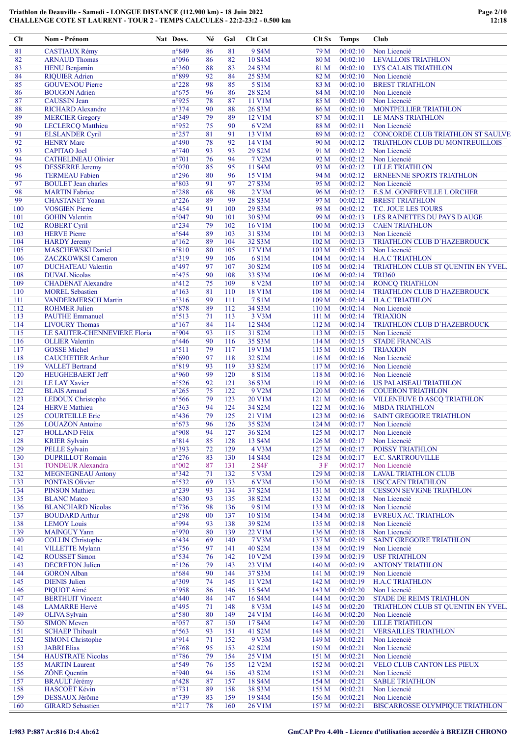| n°849<br>Non Licencié<br>81<br>86<br>81<br>9 S <sub>4</sub> M<br>79 M<br>00:02:10<br><b>CASTIAUX Rémy</b><br>82<br>n°096<br>10 S4M<br>00:02:10<br><b>ARNAUD Thomas</b><br>86<br>82<br>80 M<br><b>LEVALLOIS TRIATHLON</b><br>$n^{\circ}360$<br>83<br><b>HENU Benjamin</b><br>88<br>83<br>24 S3M<br>81 M<br>00:02:10<br><b>LYS CALAIS TRIATHLON</b><br>84<br>n°899<br>92<br>84<br>00:02:10<br><b>RIQUIER Adrien</b><br>25 S3M<br>82 M<br>Non Licencié<br>85<br>85<br>5 S1M<br>00:02:10<br><b>GOUVENOU Pierre</b><br>$n^{\circ}228$<br>98<br>83 M<br><b>BREST TRIATHLON</b><br>86<br><b>BOUGON</b> Adrien<br>$n^{\circ}675$<br>96<br>86<br>28 S2M<br>84 M<br>00:02:10<br>Non Licencié<br>n°925<br>87<br><b>CAUSSIN</b> Jean<br>78<br>87<br>11 V1M<br>00:02:10<br>85 M<br>Non Licencié<br>88<br>n°374<br>90<br>88<br><b>RICHARD Alexandre</b><br>26 S3M<br>86 M<br>00:02:10<br><b>MONTPELLIER TRIATHLON</b><br>$n^{\circ}349$<br>79<br>89<br>89<br><b>MERCIER Gregory</b><br>12 V1M<br>00:02:11<br>87 M<br>LE MANS TRIATHLON<br>90<br>n°952<br>6 V2M<br>00:02:11<br><b>LECLERCQ Matthieu</b><br>75<br>90<br>88 M<br>Non Licencié<br>91<br>$n^{\circ}257$<br>81<br>91<br>00:02:12<br><b>ELSLANDER Cyril</b><br>13 V1M<br>89 M<br><b>CONCORDE CLUB TRIATHLON ST SAULVE</b><br>92<br><b>HENRY Marc</b><br>$n^{\circ}490$<br>92<br>00:02:12<br>78<br>14 V1M<br>90 M<br>TRIATHLON CLUB DU MONTREUILLOIS<br>93<br>$n^{\circ}740$<br>93<br>93<br>29 S2M<br><b>CAPITAO</b> Joel<br>91 M<br>00:02:12<br>Non Licencié<br>94<br>$n^{\circ}701$<br>76<br>94<br>7 V2M<br>00:02:12<br>Non Licencié<br><b>CATHELINEAU Olivier</b><br>92 M<br>95<br>$n^{\circ}070$<br>11 S4M<br><b>DESSERRE</b> Jeremy<br>85<br>95<br>93 M<br>00:02:12<br><b>LILLE TRIATHLON</b><br>96<br>$n^{\circ}296$<br>00:02:12<br><b>TERMEAU Fabien</b><br>80<br>96<br>15 V1M<br>94 M<br><b>ERNEENNE SPORTS TRIATHLON</b><br>97<br>$n^{\circ}803$<br>97<br>27 S3M<br>00:02:12<br><b>BOULET</b> Jean charles<br>91<br>95 M<br>Non Licencié<br>98<br>$n^{\circ}288$<br>98<br>2 V3M<br><b>MARTIN</b> Fabrice<br>68<br>96 M<br>00:02:12<br>E.S.M. GONFREVILLE L ORCHER<br>99<br>$n^{\circ}226$<br>89<br>99<br>28 S3M<br>00:02:12<br><b>CHASTANET Yoann</b><br>97 M<br><b>BREST TRIATHLON</b><br>100<br>$n^{\circ}454$<br>91<br>100<br><b>VOSGIEN Pierre</b><br>29 S3M<br>98 M<br>00:02:12<br>T.C. JOUE LES TOURS<br>n°047<br>90<br>30 S3M<br>00:02:13<br>101<br><b>GOHIN</b> Valentin<br>101<br>99 M<br>LES RAINETTES DU PAYS D AUGE<br>$n^{\circ}234$<br>102<br><b>ROBERT Cyril</b><br>79<br>102<br>16 V1M<br>100 M<br>00:02:13<br><b>CAEN TRIATHLON</b><br><b>HERVE Pierre</b><br>$n^{\circ}644$<br>89<br>103<br>00:02:13<br>103<br>31 S3M<br>101 <sub>M</sub><br>Non Licencié<br>104<br><b>HARDY</b> Jeremy<br>89<br>32 S3M<br>102 M<br>00:02:13<br>$n^{\circ}162$<br>104<br>TRIATHLON CLUB D'HAZEBROUCK<br>105<br><b>MASCHEWSKI</b> Daniel<br>$n^{\circ}810$<br>105<br>17 V1M<br>80<br>103 M<br>00:02:13<br>Non Licencié<br>106<br>$n^{\circ}319$<br>99<br>6 S1M<br>00:02:14<br><b>ZACZKOWKSI Cameron</b><br>106<br>104 <sub>M</sub><br><b>H.A.C TRIATHLON</b><br>$n^{\circ}497$<br>97<br>107<br><b>DUCHATEAU Valentin</b><br>107<br>30 S2M<br>105 <sub>M</sub><br>00:02:14<br>TRIATHLON CLUB ST QUENTIN EN YVEL.<br>$n^{\circ}475$<br>90<br>108<br>33 S3M<br>00:02:14<br>108<br><b>DUVAL Nicolas</b><br>106 <sub>M</sub><br><b>TRI360</b><br>109<br>8 V2M<br>107 M<br>00:02:14<br><b>CHADENAT Alexandre</b><br>$n^{\circ}412$<br>75<br>109<br><b>RONCQ TRIATHLON</b><br>$n^{\circ}163$<br>110<br>18 V1M<br>110<br><b>MOREL Sebastien</b><br>81<br>108 M<br>00:02:14<br>TRIATHLON CLUB D'HAZEBROUCK<br>$n^{\circ}316$<br>99<br>7 S1M<br>109 M<br>00:02:14<br>111<br><b>VANDERMERSCH Martin</b><br>111<br><b>H.A.C TRIATHLON</b><br>$n^{\circ}878$<br>89<br>112<br>34 S3M<br>112<br><b>ROHMER Julien</b><br>110 M<br>00:02:14<br>Non Licencié<br>$n^{\circ}513$<br>71<br>113<br><b>PAUTHE Emmanuel</b><br>113<br>3 V3M<br>111 M<br>00:02:14<br><b>TRIAXION</b><br>12 S4M<br>114<br><b>LIVOURY Thomas</b><br>$n^{\circ}167$<br>84<br>114<br>112M<br>00:02:14<br>TRIATHLON CLUB D'HAZEBROUCK<br>115<br>n°904<br>93<br>115<br>00:02:15<br>LE SAUTER-CHENNEVIERE Floria<br>31 S2M<br>113M<br>Non Licencié<br>116<br>$n^{\circ}446$<br>35 S3M<br>114M<br>00:02:15<br><b>OLLIER</b> Valentin<br>90<br>116<br><b>STADE FRANCAIS</b><br>79<br>115 M<br>117<br><b>GOSSE</b> Michel<br>$n^{\circ}511$<br>117<br>19 V1M<br>00:02:15<br><b>TRIAXION</b><br>118<br>$n^{\circ}690$<br>97<br>32 S2M<br>00:02:16<br><b>CAUCHETIER Arthur</b><br>118<br>116M<br>Non Licencié<br>119<br>n°819<br>93<br>33 S2M<br>119<br>117 <sub>M</sub><br>00:02:16<br>Non Licencié<br><b>VALLET Bertrand</b><br>n°960<br>99<br>120<br><b>HEUGHEBAERT Jeff</b><br>120<br>8 S1M<br>118 M<br>00:02:16<br>Non Licencié<br>$n^{\circ}526$<br>121<br><b>LE LAY Xavier</b><br>92<br>121<br>36 S3M<br>119M<br>00:02:16<br><b>US PALAISEAU TRIATHLON</b><br>122<br>$n^{\circ}265$<br>75<br>122<br>9 V2M<br>120 <sub>M</sub><br><b>BLAIS Arnaud</b><br>00:02:16<br><b>COUERON TRIATHLON</b><br>20 V1M<br>121 M<br>123<br><b>LEDOUX</b> Christophe<br>$n^{\circ}$ 566<br>79<br>123<br>00:02:16<br>VILLENEUVE D ASCQ TRIATHLON<br>124<br>n°363<br>94<br>122 M<br><b>HERVE</b> Mathieu<br>124<br>34 S2M<br>00:02:16<br><b>MBDA TRIATHLON</b><br>79<br>125<br>$n^{\circ}436$<br>125<br><b>COURTEILLE Eric</b><br>21 V1M<br>123M<br>00:02:16<br><b>SAINT GREGOIRE TRIATHLON</b><br>96<br>$n^{\circ}673$<br>126<br>35 S2M<br>126<br><b>LOUAZON</b> Antoine<br>124M<br>00:02:17<br>Non Licencié<br><b>HOLLAND Félix</b><br>n°908<br>127<br>94<br>127<br>36 S2M<br>125 M<br>00:02:17<br>Non Licencié<br>$n^{\circ}814$<br>13 S4M<br>128<br><b>KRIER Sylvain</b><br>85<br>128<br>126 M<br>00:02:17<br>Non Licencié<br>n°393<br>127 M<br>POISSY TRIATHLON<br>129<br><b>PELLE Sylvain</b><br>72<br>129<br>4 V3M<br>00:02:17<br>$n^{\circ}276$<br>83<br>130<br><b>DUPRILLOT Romain</b><br>130<br>14 S4M<br>128 M<br>00:02:17<br><b>E.C. SARTROUVILLE</b><br>131<br><b>TONDEUR Alexandra</b><br>$n^{\circ}002$<br>87<br>131<br>2 S4F<br>3F<br>00:02:17<br>Non Licencié<br>n°342<br>132<br>5 V3M<br>00:02:18<br>132<br><b>MEGNEGNEAU Antony</b><br>71<br>129 M<br><b>LAVAL TRIATHLON CLUB</b><br>n°532<br>133<br><b>PONTAIS Olivier</b><br>69<br>133<br>6 V3M<br>130 M<br>00:02:18<br><b>USCCAEN TRIATHLON</b><br>$n^{\circ}239$<br>134<br><b>PINSON</b> Mathieu<br>93<br>134<br>37 S2M<br>131 M<br>00:02:18<br><b>CESSON SEVIGNE TRIATHLON</b><br>38 S2M<br>132 M<br>135<br><b>BLANC</b> Mateo<br>$n^{\circ}630$<br>93<br>135<br>00:02:18<br>Non Licencié<br><b>BLANCHARD Nicolas</b><br>$n^{\circ}$ 736<br>9 S1M<br>136<br>98<br>136<br>133 M<br>00:02:18<br>Non Licencié<br>$n^{\circ}298$<br>10 S1M<br>137<br><b>BOUDARD Arthur</b><br>00<br>137<br>134 M<br>00:02:18<br><b>EVREUX AC. TRIATHLON</b><br>n°994<br>138<br>93<br>138<br>39 S2M<br>135 M<br>00:02:18<br>Non Licencié<br><b>LEMOY Louis</b><br>n°970<br>139<br><b>MAINGUY Yann</b><br>80<br>139<br>22 V1M<br>136 M<br>00:02:18<br>Non Licencié<br>140<br><b>COLLIN Christophe</b><br>$n^{\circ}434$<br>140<br>7 V3M<br>137 M<br>00:02:19<br>SAINT GREGOIRE TRIATHLON<br>69<br>$n^{\circ}$ 756<br>141<br>40 S2M<br>138 M<br>141<br><b>VILLETTE Mylann</b><br>97<br>00:02:19<br>Non Licencié<br><b>ROUSSET Simon</b><br>n°534<br>10 V2M<br>139 M<br>00:02:19<br><b>USF TRIATHLON</b><br>142<br>76<br>142<br>$n^{\circ}126$<br>143<br><b>DECRETON Julien</b><br>79<br>143<br>23 V1M<br>140 M<br>00:02:19<br><b>ANTONY TRIATHLON</b><br>$n^{\circ}684$<br>90<br>144<br><b>GORON</b> Alban<br>144<br>37 S3M<br>141 M<br>00:02:19<br>Non Licencié<br>n°309<br>145<br><b>DIENIS Julien</b><br>145<br>11 V2M<br>142 M<br>00:02:19<br><b>H.A.C TRIATHLON</b><br>74<br>n°958<br>15 S4M<br>00:02:20<br>Non Licencié<br>146<br>PIQUOT Aimé<br>86<br>146<br>143 M<br>$n^{\circ}440$<br>16 S4M<br>147<br><b>BERTHUIT Vincent</b><br>84<br>147<br>144 M<br>00:02:20<br><b>STADE DE REIMS TRIATHLON</b><br>148<br><b>LAMARRE Hervé</b><br>$n^{\circ}495$<br>148<br>8 V3M<br>145 M<br>00:02:20<br>TRIATHLON CLUB ST QUENTIN EN YVEL.<br>71<br>149<br>$n^{\circ}580$<br>80<br>24 V1M<br>00:02:20<br><b>OLIVA Sylvain</b><br>149<br>146 M<br>Non Licencié<br>150<br><b>SIMON Meven</b><br>$n^{\circ}057$<br>87<br>150<br>17 S4M<br>147 M<br>00:02:20<br><b>LILLE TRIATHLON</b><br>n°563<br>151<br><b>SCHAEP Thibault</b><br>93<br>151<br>41 S2M<br>148 M<br>00:02:21<br><b>VERSAILLES TRIATHLON</b><br>n°914<br>152<br><b>SIMONI</b> Christophe<br>152<br>9 V3M<br>149 M<br>00:02:21<br>Non Licencié<br>71<br>153<br>$n^{\circ}768$<br>153<br>Non Licencié<br><b>JABRI Elias</b><br>95<br>42 S2M<br>150 M<br>00:02:21<br>$n^{\circ}786$<br>25 V1M<br>154<br><b>HAUSTRATE Nicolas</b><br>79<br>154<br>151 M<br>00:02:21<br>Non Licencié<br>n°549<br>155<br><b>MARTIN</b> Laurent<br>76<br>155<br>12 V2M<br>152 M<br>00:02:21<br>VELO CLUB CANTON LES PIEUX<br>156<br><b>ZÔNE</b> Quentin<br>n°940<br>94<br>156<br>43 S2M<br>153 M<br>00:02:21<br>Non Licencié<br><b>BRAULT Jérémy</b><br>$n^{\circ}428$<br>18 S4M<br>154 M<br>00:02:21<br><b>SABLE TRIATHLON</b><br>157<br>87<br>157<br>HASCOËT Kévin<br>158<br>$n^{\circ}731$<br>89<br>158<br>38 S3M<br>155 M<br>00:02:21<br>Non Licencié<br>159<br>$n^{\circ}739$<br>19 S4M<br>DESSAUX Jérôme<br>83<br>159<br>156 M<br>00:02:21<br>Non Licencié | Clt | Nom - Prénom            | Nat Doss.      | Né | Gal | <b>Clt Cat</b> | Clt Sx | <b>Temps</b> | Club                            |
|---------------------------------------------------------------------------------------------------------------------------------------------------------------------------------------------------------------------------------------------------------------------------------------------------------------------------------------------------------------------------------------------------------------------------------------------------------------------------------------------------------------------------------------------------------------------------------------------------------------------------------------------------------------------------------------------------------------------------------------------------------------------------------------------------------------------------------------------------------------------------------------------------------------------------------------------------------------------------------------------------------------------------------------------------------------------------------------------------------------------------------------------------------------------------------------------------------------------------------------------------------------------------------------------------------------------------------------------------------------------------------------------------------------------------------------------------------------------------------------------------------------------------------------------------------------------------------------------------------------------------------------------------------------------------------------------------------------------------------------------------------------------------------------------------------------------------------------------------------------------------------------------------------------------------------------------------------------------------------------------------------------------------------------------------------------------------------------------------------------------------------------------------------------------------------------------------------------------------------------------------------------------------------------------------------------------------------------------------------------------------------------------------------------------------------------------------------------------------------------------------------------------------------------------------------------------------------------------------------------------------------------------------------------------------------------------------------------------------------------------------------------------------------------------------------------------------------------------------------------------------------------------------------------------------------------------------------------------------------------------------------------------------------------------------------------------------------------------------------------------------------------------------------------------------------------------------------------------------------------------------------------------------------------------------------------------------------------------------------------------------------------------------------------------------------------------------------------------------------------------------------------------------------------------------------------------------------------------------------------------------------------------------------------------------------------------------------------------------------------------------------------------------------------------------------------------------------------------------------------------------------------------------------------------------------------------------------------------------------------------------------------------------------------------------------------------------------------------------------------------------------------------------------------------------------------------------------------------------------------------------------------------------------------------------------------------------------------------------------------------------------------------------------------------------------------------------------------------------------------------------------------------------------------------------------------------------------------------------------------------------------------------------------------------------------------------------------------------------------------------------------------------------------------------------------------------------------------------------------------------------------------------------------------------------------------------------------------------------------------------------------------------------------------------------------------------------------------------------------------------------------------------------------------------------------------------------------------------------------------------------------------------------------------------------------------------------------------------------------------------------------------------------------------------------------------------------------------------------------------------------------------------------------------------------------------------------------------------------------------------------------------------------------------------------------------------------------------------------------------------------------------------------------------------------------------------------------------------------------------------------------------------------------------------------------------------------------------------------------------------------------------------------------------------------------------------------------------------------------------------------------------------------------------------------------------------------------------------------------------------------------------------------------------------------------------------------------------------------------------------------------------------------------------------------------------------------------------------------------------------------------------------------------------------------------------------------------------------------------------------------------------------------------------------------------------------------------------------------------------------------------------------------------------------------------------------------------------------------------------------------------------------------------------------------------------------------------------------------------------------------------------------------------------------------------------------------------------------------------------------------------------------------------------------------------------------------------------------------------------------------------------------------------------------------------------------------------------------------------------------------------------------------------------------------------------------------------------------------------------------------------------------------------------------------------------------------------------------------------------------------------------------------------------------------------------------------------------------------------------------------------------------------------------------------------------------------------------------------------------------------------------------------------------------------------------------------------------------------------------------------------------------------------------------------------------------------------------------------------------------------------------------------------------------------------------------------------------------------------------------------------------------------------------------------------------------------------------------------------------------------------------------------------------------------------------------------------------------------------------------------------------------------------------------------------------------------------------------------------------------------------------------------------------------------------------------------------------------------------------------------------------------------------------------------------------------------------------------------------------------------------------------------------------------------------------------------------------------------------------------------------------------------------------------------------------------------------------------------------------------------------------------------------------------------------------------------------------------------------------------------------------------------------------------------------------------------------------------------------------------------------------------------------------------------------------|-----|-------------------------|----------------|----|-----|----------------|--------|--------------|---------------------------------|
|                                                                                                                                                                                                                                                                                                                                                                                                                                                                                                                                                                                                                                                                                                                                                                                                                                                                                                                                                                                                                                                                                                                                                                                                                                                                                                                                                                                                                                                                                                                                                                                                                                                                                                                                                                                                                                                                                                                                                                                                                                                                                                                                                                                                                                                                                                                                                                                                                                                                                                                                                                                                                                                                                                                                                                                                                                                                                                                                                                                                                                                                                                                                                                                                                                                                                                                                                                                                                                                                                                                                                                                                                                                                                                                                                                                                                                                                                                                                                                                                                                                                                                                                                                                                                                                                                                                                                                                                                                                                                                                                                                                                                                                                                                                                                                                                                                                                                                                                                                                                                                                                                                                                                                                                                                                                                                                                                                                                                                                                                                                                                                                                                                                                                                                                                                                                                                                                                                                                                                                                                                                                                                                                                                                                                                                                                                                                                                                                                                                                                                                                                                                                                                                                                                                                                                                                                                                                                                                                                                                                                                                                                                                                                                                                                                                                                                                                                                                                                                                                                                                                                                                                                                                                                                                                                                                                                                                                                                                                                                                                                                                                                                                                                                                                                                                                                                                                                                                                                                                                                                                                                                                                                                                                                                                                                                                                                                                                                                                                                                                                                                                                                                                                                                                                                                                                                                                                                                                                                                       |     |                         |                |    |     |                |        |              |                                 |
|                                                                                                                                                                                                                                                                                                                                                                                                                                                                                                                                                                                                                                                                                                                                                                                                                                                                                                                                                                                                                                                                                                                                                                                                                                                                                                                                                                                                                                                                                                                                                                                                                                                                                                                                                                                                                                                                                                                                                                                                                                                                                                                                                                                                                                                                                                                                                                                                                                                                                                                                                                                                                                                                                                                                                                                                                                                                                                                                                                                                                                                                                                                                                                                                                                                                                                                                                                                                                                                                                                                                                                                                                                                                                                                                                                                                                                                                                                                                                                                                                                                                                                                                                                                                                                                                                                                                                                                                                                                                                                                                                                                                                                                                                                                                                                                                                                                                                                                                                                                                                                                                                                                                                                                                                                                                                                                                                                                                                                                                                                                                                                                                                                                                                                                                                                                                                                                                                                                                                                                                                                                                                                                                                                                                                                                                                                                                                                                                                                                                                                                                                                                                                                                                                                                                                                                                                                                                                                                                                                                                                                                                                                                                                                                                                                                                                                                                                                                                                                                                                                                                                                                                                                                                                                                                                                                                                                                                                                                                                                                                                                                                                                                                                                                                                                                                                                                                                                                                                                                                                                                                                                                                                                                                                                                                                                                                                                                                                                                                                                                                                                                                                                                                                                                                                                                                                                                                                                                                                                       |     |                         |                |    |     |                |        |              |                                 |
|                                                                                                                                                                                                                                                                                                                                                                                                                                                                                                                                                                                                                                                                                                                                                                                                                                                                                                                                                                                                                                                                                                                                                                                                                                                                                                                                                                                                                                                                                                                                                                                                                                                                                                                                                                                                                                                                                                                                                                                                                                                                                                                                                                                                                                                                                                                                                                                                                                                                                                                                                                                                                                                                                                                                                                                                                                                                                                                                                                                                                                                                                                                                                                                                                                                                                                                                                                                                                                                                                                                                                                                                                                                                                                                                                                                                                                                                                                                                                                                                                                                                                                                                                                                                                                                                                                                                                                                                                                                                                                                                                                                                                                                                                                                                                                                                                                                                                                                                                                                                                                                                                                                                                                                                                                                                                                                                                                                                                                                                                                                                                                                                                                                                                                                                                                                                                                                                                                                                                                                                                                                                                                                                                                                                                                                                                                                                                                                                                                                                                                                                                                                                                                                                                                                                                                                                                                                                                                                                                                                                                                                                                                                                                                                                                                                                                                                                                                                                                                                                                                                                                                                                                                                                                                                                                                                                                                                                                                                                                                                                                                                                                                                                                                                                                                                                                                                                                                                                                                                                                                                                                                                                                                                                                                                                                                                                                                                                                                                                                                                                                                                                                                                                                                                                                                                                                                                                                                                                                                       |     |                         |                |    |     |                |        |              |                                 |
|                                                                                                                                                                                                                                                                                                                                                                                                                                                                                                                                                                                                                                                                                                                                                                                                                                                                                                                                                                                                                                                                                                                                                                                                                                                                                                                                                                                                                                                                                                                                                                                                                                                                                                                                                                                                                                                                                                                                                                                                                                                                                                                                                                                                                                                                                                                                                                                                                                                                                                                                                                                                                                                                                                                                                                                                                                                                                                                                                                                                                                                                                                                                                                                                                                                                                                                                                                                                                                                                                                                                                                                                                                                                                                                                                                                                                                                                                                                                                                                                                                                                                                                                                                                                                                                                                                                                                                                                                                                                                                                                                                                                                                                                                                                                                                                                                                                                                                                                                                                                                                                                                                                                                                                                                                                                                                                                                                                                                                                                                                                                                                                                                                                                                                                                                                                                                                                                                                                                                                                                                                                                                                                                                                                                                                                                                                                                                                                                                                                                                                                                                                                                                                                                                                                                                                                                                                                                                                                                                                                                                                                                                                                                                                                                                                                                                                                                                                                                                                                                                                                                                                                                                                                                                                                                                                                                                                                                                                                                                                                                                                                                                                                                                                                                                                                                                                                                                                                                                                                                                                                                                                                                                                                                                                                                                                                                                                                                                                                                                                                                                                                                                                                                                                                                                                                                                                                                                                                                                                       |     |                         |                |    |     |                |        |              |                                 |
|                                                                                                                                                                                                                                                                                                                                                                                                                                                                                                                                                                                                                                                                                                                                                                                                                                                                                                                                                                                                                                                                                                                                                                                                                                                                                                                                                                                                                                                                                                                                                                                                                                                                                                                                                                                                                                                                                                                                                                                                                                                                                                                                                                                                                                                                                                                                                                                                                                                                                                                                                                                                                                                                                                                                                                                                                                                                                                                                                                                                                                                                                                                                                                                                                                                                                                                                                                                                                                                                                                                                                                                                                                                                                                                                                                                                                                                                                                                                                                                                                                                                                                                                                                                                                                                                                                                                                                                                                                                                                                                                                                                                                                                                                                                                                                                                                                                                                                                                                                                                                                                                                                                                                                                                                                                                                                                                                                                                                                                                                                                                                                                                                                                                                                                                                                                                                                                                                                                                                                                                                                                                                                                                                                                                                                                                                                                                                                                                                                                                                                                                                                                                                                                                                                                                                                                                                                                                                                                                                                                                                                                                                                                                                                                                                                                                                                                                                                                                                                                                                                                                                                                                                                                                                                                                                                                                                                                                                                                                                                                                                                                                                                                                                                                                                                                                                                                                                                                                                                                                                                                                                                                                                                                                                                                                                                                                                                                                                                                                                                                                                                                                                                                                                                                                                                                                                                                                                                                                                                       |     |                         |                |    |     |                |        |              |                                 |
|                                                                                                                                                                                                                                                                                                                                                                                                                                                                                                                                                                                                                                                                                                                                                                                                                                                                                                                                                                                                                                                                                                                                                                                                                                                                                                                                                                                                                                                                                                                                                                                                                                                                                                                                                                                                                                                                                                                                                                                                                                                                                                                                                                                                                                                                                                                                                                                                                                                                                                                                                                                                                                                                                                                                                                                                                                                                                                                                                                                                                                                                                                                                                                                                                                                                                                                                                                                                                                                                                                                                                                                                                                                                                                                                                                                                                                                                                                                                                                                                                                                                                                                                                                                                                                                                                                                                                                                                                                                                                                                                                                                                                                                                                                                                                                                                                                                                                                                                                                                                                                                                                                                                                                                                                                                                                                                                                                                                                                                                                                                                                                                                                                                                                                                                                                                                                                                                                                                                                                                                                                                                                                                                                                                                                                                                                                                                                                                                                                                                                                                                                                                                                                                                                                                                                                                                                                                                                                                                                                                                                                                                                                                                                                                                                                                                                                                                                                                                                                                                                                                                                                                                                                                                                                                                                                                                                                                                                                                                                                                                                                                                                                                                                                                                                                                                                                                                                                                                                                                                                                                                                                                                                                                                                                                                                                                                                                                                                                                                                                                                                                                                                                                                                                                                                                                                                                                                                                                                                                       |     |                         |                |    |     |                |        |              |                                 |
|                                                                                                                                                                                                                                                                                                                                                                                                                                                                                                                                                                                                                                                                                                                                                                                                                                                                                                                                                                                                                                                                                                                                                                                                                                                                                                                                                                                                                                                                                                                                                                                                                                                                                                                                                                                                                                                                                                                                                                                                                                                                                                                                                                                                                                                                                                                                                                                                                                                                                                                                                                                                                                                                                                                                                                                                                                                                                                                                                                                                                                                                                                                                                                                                                                                                                                                                                                                                                                                                                                                                                                                                                                                                                                                                                                                                                                                                                                                                                                                                                                                                                                                                                                                                                                                                                                                                                                                                                                                                                                                                                                                                                                                                                                                                                                                                                                                                                                                                                                                                                                                                                                                                                                                                                                                                                                                                                                                                                                                                                                                                                                                                                                                                                                                                                                                                                                                                                                                                                                                                                                                                                                                                                                                                                                                                                                                                                                                                                                                                                                                                                                                                                                                                                                                                                                                                                                                                                                                                                                                                                                                                                                                                                                                                                                                                                                                                                                                                                                                                                                                                                                                                                                                                                                                                                                                                                                                                                                                                                                                                                                                                                                                                                                                                                                                                                                                                                                                                                                                                                                                                                                                                                                                                                                                                                                                                                                                                                                                                                                                                                                                                                                                                                                                                                                                                                                                                                                                                                                       |     |                         |                |    |     |                |        |              |                                 |
|                                                                                                                                                                                                                                                                                                                                                                                                                                                                                                                                                                                                                                                                                                                                                                                                                                                                                                                                                                                                                                                                                                                                                                                                                                                                                                                                                                                                                                                                                                                                                                                                                                                                                                                                                                                                                                                                                                                                                                                                                                                                                                                                                                                                                                                                                                                                                                                                                                                                                                                                                                                                                                                                                                                                                                                                                                                                                                                                                                                                                                                                                                                                                                                                                                                                                                                                                                                                                                                                                                                                                                                                                                                                                                                                                                                                                                                                                                                                                                                                                                                                                                                                                                                                                                                                                                                                                                                                                                                                                                                                                                                                                                                                                                                                                                                                                                                                                                                                                                                                                                                                                                                                                                                                                                                                                                                                                                                                                                                                                                                                                                                                                                                                                                                                                                                                                                                                                                                                                                                                                                                                                                                                                                                                                                                                                                                                                                                                                                                                                                                                                                                                                                                                                                                                                                                                                                                                                                                                                                                                                                                                                                                                                                                                                                                                                                                                                                                                                                                                                                                                                                                                                                                                                                                                                                                                                                                                                                                                                                                                                                                                                                                                                                                                                                                                                                                                                                                                                                                                                                                                                                                                                                                                                                                                                                                                                                                                                                                                                                                                                                                                                                                                                                                                                                                                                                                                                                                                                                       |     |                         |                |    |     |                |        |              |                                 |
|                                                                                                                                                                                                                                                                                                                                                                                                                                                                                                                                                                                                                                                                                                                                                                                                                                                                                                                                                                                                                                                                                                                                                                                                                                                                                                                                                                                                                                                                                                                                                                                                                                                                                                                                                                                                                                                                                                                                                                                                                                                                                                                                                                                                                                                                                                                                                                                                                                                                                                                                                                                                                                                                                                                                                                                                                                                                                                                                                                                                                                                                                                                                                                                                                                                                                                                                                                                                                                                                                                                                                                                                                                                                                                                                                                                                                                                                                                                                                                                                                                                                                                                                                                                                                                                                                                                                                                                                                                                                                                                                                                                                                                                                                                                                                                                                                                                                                                                                                                                                                                                                                                                                                                                                                                                                                                                                                                                                                                                                                                                                                                                                                                                                                                                                                                                                                                                                                                                                                                                                                                                                                                                                                                                                                                                                                                                                                                                                                                                                                                                                                                                                                                                                                                                                                                                                                                                                                                                                                                                                                                                                                                                                                                                                                                                                                                                                                                                                                                                                                                                                                                                                                                                                                                                                                                                                                                                                                                                                                                                                                                                                                                                                                                                                                                                                                                                                                                                                                                                                                                                                                                                                                                                                                                                                                                                                                                                                                                                                                                                                                                                                                                                                                                                                                                                                                                                                                                                                                                       |     |                         |                |    |     |                |        |              |                                 |
|                                                                                                                                                                                                                                                                                                                                                                                                                                                                                                                                                                                                                                                                                                                                                                                                                                                                                                                                                                                                                                                                                                                                                                                                                                                                                                                                                                                                                                                                                                                                                                                                                                                                                                                                                                                                                                                                                                                                                                                                                                                                                                                                                                                                                                                                                                                                                                                                                                                                                                                                                                                                                                                                                                                                                                                                                                                                                                                                                                                                                                                                                                                                                                                                                                                                                                                                                                                                                                                                                                                                                                                                                                                                                                                                                                                                                                                                                                                                                                                                                                                                                                                                                                                                                                                                                                                                                                                                                                                                                                                                                                                                                                                                                                                                                                                                                                                                                                                                                                                                                                                                                                                                                                                                                                                                                                                                                                                                                                                                                                                                                                                                                                                                                                                                                                                                                                                                                                                                                                                                                                                                                                                                                                                                                                                                                                                                                                                                                                                                                                                                                                                                                                                                                                                                                                                                                                                                                                                                                                                                                                                                                                                                                                                                                                                                                                                                                                                                                                                                                                                                                                                                                                                                                                                                                                                                                                                                                                                                                                                                                                                                                                                                                                                                                                                                                                                                                                                                                                                                                                                                                                                                                                                                                                                                                                                                                                                                                                                                                                                                                                                                                                                                                                                                                                                                                                                                                                                                                                       |     |                         |                |    |     |                |        |              |                                 |
|                                                                                                                                                                                                                                                                                                                                                                                                                                                                                                                                                                                                                                                                                                                                                                                                                                                                                                                                                                                                                                                                                                                                                                                                                                                                                                                                                                                                                                                                                                                                                                                                                                                                                                                                                                                                                                                                                                                                                                                                                                                                                                                                                                                                                                                                                                                                                                                                                                                                                                                                                                                                                                                                                                                                                                                                                                                                                                                                                                                                                                                                                                                                                                                                                                                                                                                                                                                                                                                                                                                                                                                                                                                                                                                                                                                                                                                                                                                                                                                                                                                                                                                                                                                                                                                                                                                                                                                                                                                                                                                                                                                                                                                                                                                                                                                                                                                                                                                                                                                                                                                                                                                                                                                                                                                                                                                                                                                                                                                                                                                                                                                                                                                                                                                                                                                                                                                                                                                                                                                                                                                                                                                                                                                                                                                                                                                                                                                                                                                                                                                                                                                                                                                                                                                                                                                                                                                                                                                                                                                                                                                                                                                                                                                                                                                                                                                                                                                                                                                                                                                                                                                                                                                                                                                                                                                                                                                                                                                                                                                                                                                                                                                                                                                                                                                                                                                                                                                                                                                                                                                                                                                                                                                                                                                                                                                                                                                                                                                                                                                                                                                                                                                                                                                                                                                                                                                                                                                                                                       |     |                         |                |    |     |                |        |              |                                 |
|                                                                                                                                                                                                                                                                                                                                                                                                                                                                                                                                                                                                                                                                                                                                                                                                                                                                                                                                                                                                                                                                                                                                                                                                                                                                                                                                                                                                                                                                                                                                                                                                                                                                                                                                                                                                                                                                                                                                                                                                                                                                                                                                                                                                                                                                                                                                                                                                                                                                                                                                                                                                                                                                                                                                                                                                                                                                                                                                                                                                                                                                                                                                                                                                                                                                                                                                                                                                                                                                                                                                                                                                                                                                                                                                                                                                                                                                                                                                                                                                                                                                                                                                                                                                                                                                                                                                                                                                                                                                                                                                                                                                                                                                                                                                                                                                                                                                                                                                                                                                                                                                                                                                                                                                                                                                                                                                                                                                                                                                                                                                                                                                                                                                                                                                                                                                                                                                                                                                                                                                                                                                                                                                                                                                                                                                                                                                                                                                                                                                                                                                                                                                                                                                                                                                                                                                                                                                                                                                                                                                                                                                                                                                                                                                                                                                                                                                                                                                                                                                                                                                                                                                                                                                                                                                                                                                                                                                                                                                                                                                                                                                                                                                                                                                                                                                                                                                                                                                                                                                                                                                                                                                                                                                                                                                                                                                                                                                                                                                                                                                                                                                                                                                                                                                                                                                                                                                                                                                                                       |     |                         |                |    |     |                |        |              |                                 |
|                                                                                                                                                                                                                                                                                                                                                                                                                                                                                                                                                                                                                                                                                                                                                                                                                                                                                                                                                                                                                                                                                                                                                                                                                                                                                                                                                                                                                                                                                                                                                                                                                                                                                                                                                                                                                                                                                                                                                                                                                                                                                                                                                                                                                                                                                                                                                                                                                                                                                                                                                                                                                                                                                                                                                                                                                                                                                                                                                                                                                                                                                                                                                                                                                                                                                                                                                                                                                                                                                                                                                                                                                                                                                                                                                                                                                                                                                                                                                                                                                                                                                                                                                                                                                                                                                                                                                                                                                                                                                                                                                                                                                                                                                                                                                                                                                                                                                                                                                                                                                                                                                                                                                                                                                                                                                                                                                                                                                                                                                                                                                                                                                                                                                                                                                                                                                                                                                                                                                                                                                                                                                                                                                                                                                                                                                                                                                                                                                                                                                                                                                                                                                                                                                                                                                                                                                                                                                                                                                                                                                                                                                                                                                                                                                                                                                                                                                                                                                                                                                                                                                                                                                                                                                                                                                                                                                                                                                                                                                                                                                                                                                                                                                                                                                                                                                                                                                                                                                                                                                                                                                                                                                                                                                                                                                                                                                                                                                                                                                                                                                                                                                                                                                                                                                                                                                                                                                                                                                                       |     |                         |                |    |     |                |        |              |                                 |
|                                                                                                                                                                                                                                                                                                                                                                                                                                                                                                                                                                                                                                                                                                                                                                                                                                                                                                                                                                                                                                                                                                                                                                                                                                                                                                                                                                                                                                                                                                                                                                                                                                                                                                                                                                                                                                                                                                                                                                                                                                                                                                                                                                                                                                                                                                                                                                                                                                                                                                                                                                                                                                                                                                                                                                                                                                                                                                                                                                                                                                                                                                                                                                                                                                                                                                                                                                                                                                                                                                                                                                                                                                                                                                                                                                                                                                                                                                                                                                                                                                                                                                                                                                                                                                                                                                                                                                                                                                                                                                                                                                                                                                                                                                                                                                                                                                                                                                                                                                                                                                                                                                                                                                                                                                                                                                                                                                                                                                                                                                                                                                                                                                                                                                                                                                                                                                                                                                                                                                                                                                                                                                                                                                                                                                                                                                                                                                                                                                                                                                                                                                                                                                                                                                                                                                                                                                                                                                                                                                                                                                                                                                                                                                                                                                                                                                                                                                                                                                                                                                                                                                                                                                                                                                                                                                                                                                                                                                                                                                                                                                                                                                                                                                                                                                                                                                                                                                                                                                                                                                                                                                                                                                                                                                                                                                                                                                                                                                                                                                                                                                                                                                                                                                                                                                                                                                                                                                                                                                       |     |                         |                |    |     |                |        |              |                                 |
|                                                                                                                                                                                                                                                                                                                                                                                                                                                                                                                                                                                                                                                                                                                                                                                                                                                                                                                                                                                                                                                                                                                                                                                                                                                                                                                                                                                                                                                                                                                                                                                                                                                                                                                                                                                                                                                                                                                                                                                                                                                                                                                                                                                                                                                                                                                                                                                                                                                                                                                                                                                                                                                                                                                                                                                                                                                                                                                                                                                                                                                                                                                                                                                                                                                                                                                                                                                                                                                                                                                                                                                                                                                                                                                                                                                                                                                                                                                                                                                                                                                                                                                                                                                                                                                                                                                                                                                                                                                                                                                                                                                                                                                                                                                                                                                                                                                                                                                                                                                                                                                                                                                                                                                                                                                                                                                                                                                                                                                                                                                                                                                                                                                                                                                                                                                                                                                                                                                                                                                                                                                                                                                                                                                                                                                                                                                                                                                                                                                                                                                                                                                                                                                                                                                                                                                                                                                                                                                                                                                                                                                                                                                                                                                                                                                                                                                                                                                                                                                                                                                                                                                                                                                                                                                                                                                                                                                                                                                                                                                                                                                                                                                                                                                                                                                                                                                                                                                                                                                                                                                                                                                                                                                                                                                                                                                                                                                                                                                                                                                                                                                                                                                                                                                                                                                                                                                                                                                                                                       |     |                         |                |    |     |                |        |              |                                 |
|                                                                                                                                                                                                                                                                                                                                                                                                                                                                                                                                                                                                                                                                                                                                                                                                                                                                                                                                                                                                                                                                                                                                                                                                                                                                                                                                                                                                                                                                                                                                                                                                                                                                                                                                                                                                                                                                                                                                                                                                                                                                                                                                                                                                                                                                                                                                                                                                                                                                                                                                                                                                                                                                                                                                                                                                                                                                                                                                                                                                                                                                                                                                                                                                                                                                                                                                                                                                                                                                                                                                                                                                                                                                                                                                                                                                                                                                                                                                                                                                                                                                                                                                                                                                                                                                                                                                                                                                                                                                                                                                                                                                                                                                                                                                                                                                                                                                                                                                                                                                                                                                                                                                                                                                                                                                                                                                                                                                                                                                                                                                                                                                                                                                                                                                                                                                                                                                                                                                                                                                                                                                                                                                                                                                                                                                                                                                                                                                                                                                                                                                                                                                                                                                                                                                                                                                                                                                                                                                                                                                                                                                                                                                                                                                                                                                                                                                                                                                                                                                                                                                                                                                                                                                                                                                                                                                                                                                                                                                                                                                                                                                                                                                                                                                                                                                                                                                                                                                                                                                                                                                                                                                                                                                                                                                                                                                                                                                                                                                                                                                                                                                                                                                                                                                                                                                                                                                                                                                                                       |     |                         |                |    |     |                |        |              |                                 |
|                                                                                                                                                                                                                                                                                                                                                                                                                                                                                                                                                                                                                                                                                                                                                                                                                                                                                                                                                                                                                                                                                                                                                                                                                                                                                                                                                                                                                                                                                                                                                                                                                                                                                                                                                                                                                                                                                                                                                                                                                                                                                                                                                                                                                                                                                                                                                                                                                                                                                                                                                                                                                                                                                                                                                                                                                                                                                                                                                                                                                                                                                                                                                                                                                                                                                                                                                                                                                                                                                                                                                                                                                                                                                                                                                                                                                                                                                                                                                                                                                                                                                                                                                                                                                                                                                                                                                                                                                                                                                                                                                                                                                                                                                                                                                                                                                                                                                                                                                                                                                                                                                                                                                                                                                                                                                                                                                                                                                                                                                                                                                                                                                                                                                                                                                                                                                                                                                                                                                                                                                                                                                                                                                                                                                                                                                                                                                                                                                                                                                                                                                                                                                                                                                                                                                                                                                                                                                                                                                                                                                                                                                                                                                                                                                                                                                                                                                                                                                                                                                                                                                                                                                                                                                                                                                                                                                                                                                                                                                                                                                                                                                                                                                                                                                                                                                                                                                                                                                                                                                                                                                                                                                                                                                                                                                                                                                                                                                                                                                                                                                                                                                                                                                                                                                                                                                                                                                                                                                                       |     |                         |                |    |     |                |        |              |                                 |
|                                                                                                                                                                                                                                                                                                                                                                                                                                                                                                                                                                                                                                                                                                                                                                                                                                                                                                                                                                                                                                                                                                                                                                                                                                                                                                                                                                                                                                                                                                                                                                                                                                                                                                                                                                                                                                                                                                                                                                                                                                                                                                                                                                                                                                                                                                                                                                                                                                                                                                                                                                                                                                                                                                                                                                                                                                                                                                                                                                                                                                                                                                                                                                                                                                                                                                                                                                                                                                                                                                                                                                                                                                                                                                                                                                                                                                                                                                                                                                                                                                                                                                                                                                                                                                                                                                                                                                                                                                                                                                                                                                                                                                                                                                                                                                                                                                                                                                                                                                                                                                                                                                                                                                                                                                                                                                                                                                                                                                                                                                                                                                                                                                                                                                                                                                                                                                                                                                                                                                                                                                                                                                                                                                                                                                                                                                                                                                                                                                                                                                                                                                                                                                                                                                                                                                                                                                                                                                                                                                                                                                                                                                                                                                                                                                                                                                                                                                                                                                                                                                                                                                                                                                                                                                                                                                                                                                                                                                                                                                                                                                                                                                                                                                                                                                                                                                                                                                                                                                                                                                                                                                                                                                                                                                                                                                                                                                                                                                                                                                                                                                                                                                                                                                                                                                                                                                                                                                                                                                       |     |                         |                |    |     |                |        |              |                                 |
|                                                                                                                                                                                                                                                                                                                                                                                                                                                                                                                                                                                                                                                                                                                                                                                                                                                                                                                                                                                                                                                                                                                                                                                                                                                                                                                                                                                                                                                                                                                                                                                                                                                                                                                                                                                                                                                                                                                                                                                                                                                                                                                                                                                                                                                                                                                                                                                                                                                                                                                                                                                                                                                                                                                                                                                                                                                                                                                                                                                                                                                                                                                                                                                                                                                                                                                                                                                                                                                                                                                                                                                                                                                                                                                                                                                                                                                                                                                                                                                                                                                                                                                                                                                                                                                                                                                                                                                                                                                                                                                                                                                                                                                                                                                                                                                                                                                                                                                                                                                                                                                                                                                                                                                                                                                                                                                                                                                                                                                                                                                                                                                                                                                                                                                                                                                                                                                                                                                                                                                                                                                                                                                                                                                                                                                                                                                                                                                                                                                                                                                                                                                                                                                                                                                                                                                                                                                                                                                                                                                                                                                                                                                                                                                                                                                                                                                                                                                                                                                                                                                                                                                                                                                                                                                                                                                                                                                                                                                                                                                                                                                                                                                                                                                                                                                                                                                                                                                                                                                                                                                                                                                                                                                                                                                                                                                                                                                                                                                                                                                                                                                                                                                                                                                                                                                                                                                                                                                                                                       |     |                         |                |    |     |                |        |              |                                 |
|                                                                                                                                                                                                                                                                                                                                                                                                                                                                                                                                                                                                                                                                                                                                                                                                                                                                                                                                                                                                                                                                                                                                                                                                                                                                                                                                                                                                                                                                                                                                                                                                                                                                                                                                                                                                                                                                                                                                                                                                                                                                                                                                                                                                                                                                                                                                                                                                                                                                                                                                                                                                                                                                                                                                                                                                                                                                                                                                                                                                                                                                                                                                                                                                                                                                                                                                                                                                                                                                                                                                                                                                                                                                                                                                                                                                                                                                                                                                                                                                                                                                                                                                                                                                                                                                                                                                                                                                                                                                                                                                                                                                                                                                                                                                                                                                                                                                                                                                                                                                                                                                                                                                                                                                                                                                                                                                                                                                                                                                                                                                                                                                                                                                                                                                                                                                                                                                                                                                                                                                                                                                                                                                                                                                                                                                                                                                                                                                                                                                                                                                                                                                                                                                                                                                                                                                                                                                                                                                                                                                                                                                                                                                                                                                                                                                                                                                                                                                                                                                                                                                                                                                                                                                                                                                                                                                                                                                                                                                                                                                                                                                                                                                                                                                                                                                                                                                                                                                                                                                                                                                                                                                                                                                                                                                                                                                                                                                                                                                                                                                                                                                                                                                                                                                                                                                                                                                                                                                                                       |     |                         |                |    |     |                |        |              |                                 |
|                                                                                                                                                                                                                                                                                                                                                                                                                                                                                                                                                                                                                                                                                                                                                                                                                                                                                                                                                                                                                                                                                                                                                                                                                                                                                                                                                                                                                                                                                                                                                                                                                                                                                                                                                                                                                                                                                                                                                                                                                                                                                                                                                                                                                                                                                                                                                                                                                                                                                                                                                                                                                                                                                                                                                                                                                                                                                                                                                                                                                                                                                                                                                                                                                                                                                                                                                                                                                                                                                                                                                                                                                                                                                                                                                                                                                                                                                                                                                                                                                                                                                                                                                                                                                                                                                                                                                                                                                                                                                                                                                                                                                                                                                                                                                                                                                                                                                                                                                                                                                                                                                                                                                                                                                                                                                                                                                                                                                                                                                                                                                                                                                                                                                                                                                                                                                                                                                                                                                                                                                                                                                                                                                                                                                                                                                                                                                                                                                                                                                                                                                                                                                                                                                                                                                                                                                                                                                                                                                                                                                                                                                                                                                                                                                                                                                                                                                                                                                                                                                                                                                                                                                                                                                                                                                                                                                                                                                                                                                                                                                                                                                                                                                                                                                                                                                                                                                                                                                                                                                                                                                                                                                                                                                                                                                                                                                                                                                                                                                                                                                                                                                                                                                                                                                                                                                                                                                                                                                                       |     |                         |                |    |     |                |        |              |                                 |
|                                                                                                                                                                                                                                                                                                                                                                                                                                                                                                                                                                                                                                                                                                                                                                                                                                                                                                                                                                                                                                                                                                                                                                                                                                                                                                                                                                                                                                                                                                                                                                                                                                                                                                                                                                                                                                                                                                                                                                                                                                                                                                                                                                                                                                                                                                                                                                                                                                                                                                                                                                                                                                                                                                                                                                                                                                                                                                                                                                                                                                                                                                                                                                                                                                                                                                                                                                                                                                                                                                                                                                                                                                                                                                                                                                                                                                                                                                                                                                                                                                                                                                                                                                                                                                                                                                                                                                                                                                                                                                                                                                                                                                                                                                                                                                                                                                                                                                                                                                                                                                                                                                                                                                                                                                                                                                                                                                                                                                                                                                                                                                                                                                                                                                                                                                                                                                                                                                                                                                                                                                                                                                                                                                                                                                                                                                                                                                                                                                                                                                                                                                                                                                                                                                                                                                                                                                                                                                                                                                                                                                                                                                                                                                                                                                                                                                                                                                                                                                                                                                                                                                                                                                                                                                                                                                                                                                                                                                                                                                                                                                                                                                                                                                                                                                                                                                                                                                                                                                                                                                                                                                                                                                                                                                                                                                                                                                                                                                                                                                                                                                                                                                                                                                                                                                                                                                                                                                                                                                       |     |                         |                |    |     |                |        |              |                                 |
|                                                                                                                                                                                                                                                                                                                                                                                                                                                                                                                                                                                                                                                                                                                                                                                                                                                                                                                                                                                                                                                                                                                                                                                                                                                                                                                                                                                                                                                                                                                                                                                                                                                                                                                                                                                                                                                                                                                                                                                                                                                                                                                                                                                                                                                                                                                                                                                                                                                                                                                                                                                                                                                                                                                                                                                                                                                                                                                                                                                                                                                                                                                                                                                                                                                                                                                                                                                                                                                                                                                                                                                                                                                                                                                                                                                                                                                                                                                                                                                                                                                                                                                                                                                                                                                                                                                                                                                                                                                                                                                                                                                                                                                                                                                                                                                                                                                                                                                                                                                                                                                                                                                                                                                                                                                                                                                                                                                                                                                                                                                                                                                                                                                                                                                                                                                                                                                                                                                                                                                                                                                                                                                                                                                                                                                                                                                                                                                                                                                                                                                                                                                                                                                                                                                                                                                                                                                                                                                                                                                                                                                                                                                                                                                                                                                                                                                                                                                                                                                                                                                                                                                                                                                                                                                                                                                                                                                                                                                                                                                                                                                                                                                                                                                                                                                                                                                                                                                                                                                                                                                                                                                                                                                                                                                                                                                                                                                                                                                                                                                                                                                                                                                                                                                                                                                                                                                                                                                                                                       |     |                         |                |    |     |                |        |              |                                 |
|                                                                                                                                                                                                                                                                                                                                                                                                                                                                                                                                                                                                                                                                                                                                                                                                                                                                                                                                                                                                                                                                                                                                                                                                                                                                                                                                                                                                                                                                                                                                                                                                                                                                                                                                                                                                                                                                                                                                                                                                                                                                                                                                                                                                                                                                                                                                                                                                                                                                                                                                                                                                                                                                                                                                                                                                                                                                                                                                                                                                                                                                                                                                                                                                                                                                                                                                                                                                                                                                                                                                                                                                                                                                                                                                                                                                                                                                                                                                                                                                                                                                                                                                                                                                                                                                                                                                                                                                                                                                                                                                                                                                                                                                                                                                                                                                                                                                                                                                                                                                                                                                                                                                                                                                                                                                                                                                                                                                                                                                                                                                                                                                                                                                                                                                                                                                                                                                                                                                                                                                                                                                                                                                                                                                                                                                                                                                                                                                                                                                                                                                                                                                                                                                                                                                                                                                                                                                                                                                                                                                                                                                                                                                                                                                                                                                                                                                                                                                                                                                                                                                                                                                                                                                                                                                                                                                                                                                                                                                                                                                                                                                                                                                                                                                                                                                                                                                                                                                                                                                                                                                                                                                                                                                                                                                                                                                                                                                                                                                                                                                                                                                                                                                                                                                                                                                                                                                                                                                                                       |     |                         |                |    |     |                |        |              |                                 |
|                                                                                                                                                                                                                                                                                                                                                                                                                                                                                                                                                                                                                                                                                                                                                                                                                                                                                                                                                                                                                                                                                                                                                                                                                                                                                                                                                                                                                                                                                                                                                                                                                                                                                                                                                                                                                                                                                                                                                                                                                                                                                                                                                                                                                                                                                                                                                                                                                                                                                                                                                                                                                                                                                                                                                                                                                                                                                                                                                                                                                                                                                                                                                                                                                                                                                                                                                                                                                                                                                                                                                                                                                                                                                                                                                                                                                                                                                                                                                                                                                                                                                                                                                                                                                                                                                                                                                                                                                                                                                                                                                                                                                                                                                                                                                                                                                                                                                                                                                                                                                                                                                                                                                                                                                                                                                                                                                                                                                                                                                                                                                                                                                                                                                                                                                                                                                                                                                                                                                                                                                                                                                                                                                                                                                                                                                                                                                                                                                                                                                                                                                                                                                                                                                                                                                                                                                                                                                                                                                                                                                                                                                                                                                                                                                                                                                                                                                                                                                                                                                                                                                                                                                                                                                                                                                                                                                                                                                                                                                                                                                                                                                                                                                                                                                                                                                                                                                                                                                                                                                                                                                                                                                                                                                                                                                                                                                                                                                                                                                                                                                                                                                                                                                                                                                                                                                                                                                                                                                                       |     |                         |                |    |     |                |        |              |                                 |
|                                                                                                                                                                                                                                                                                                                                                                                                                                                                                                                                                                                                                                                                                                                                                                                                                                                                                                                                                                                                                                                                                                                                                                                                                                                                                                                                                                                                                                                                                                                                                                                                                                                                                                                                                                                                                                                                                                                                                                                                                                                                                                                                                                                                                                                                                                                                                                                                                                                                                                                                                                                                                                                                                                                                                                                                                                                                                                                                                                                                                                                                                                                                                                                                                                                                                                                                                                                                                                                                                                                                                                                                                                                                                                                                                                                                                                                                                                                                                                                                                                                                                                                                                                                                                                                                                                                                                                                                                                                                                                                                                                                                                                                                                                                                                                                                                                                                                                                                                                                                                                                                                                                                                                                                                                                                                                                                                                                                                                                                                                                                                                                                                                                                                                                                                                                                                                                                                                                                                                                                                                                                                                                                                                                                                                                                                                                                                                                                                                                                                                                                                                                                                                                                                                                                                                                                                                                                                                                                                                                                                                                                                                                                                                                                                                                                                                                                                                                                                                                                                                                                                                                                                                                                                                                                                                                                                                                                                                                                                                                                                                                                                                                                                                                                                                                                                                                                                                                                                                                                                                                                                                                                                                                                                                                                                                                                                                                                                                                                                                                                                                                                                                                                                                                                                                                                                                                                                                                                                                       |     |                         |                |    |     |                |        |              |                                 |
|                                                                                                                                                                                                                                                                                                                                                                                                                                                                                                                                                                                                                                                                                                                                                                                                                                                                                                                                                                                                                                                                                                                                                                                                                                                                                                                                                                                                                                                                                                                                                                                                                                                                                                                                                                                                                                                                                                                                                                                                                                                                                                                                                                                                                                                                                                                                                                                                                                                                                                                                                                                                                                                                                                                                                                                                                                                                                                                                                                                                                                                                                                                                                                                                                                                                                                                                                                                                                                                                                                                                                                                                                                                                                                                                                                                                                                                                                                                                                                                                                                                                                                                                                                                                                                                                                                                                                                                                                                                                                                                                                                                                                                                                                                                                                                                                                                                                                                                                                                                                                                                                                                                                                                                                                                                                                                                                                                                                                                                                                                                                                                                                                                                                                                                                                                                                                                                                                                                                                                                                                                                                                                                                                                                                                                                                                                                                                                                                                                                                                                                                                                                                                                                                                                                                                                                                                                                                                                                                                                                                                                                                                                                                                                                                                                                                                                                                                                                                                                                                                                                                                                                                                                                                                                                                                                                                                                                                                                                                                                                                                                                                                                                                                                                                                                                                                                                                                                                                                                                                                                                                                                                                                                                                                                                                                                                                                                                                                                                                                                                                                                                                                                                                                                                                                                                                                                                                                                                                                                       |     |                         |                |    |     |                |        |              |                                 |
|                                                                                                                                                                                                                                                                                                                                                                                                                                                                                                                                                                                                                                                                                                                                                                                                                                                                                                                                                                                                                                                                                                                                                                                                                                                                                                                                                                                                                                                                                                                                                                                                                                                                                                                                                                                                                                                                                                                                                                                                                                                                                                                                                                                                                                                                                                                                                                                                                                                                                                                                                                                                                                                                                                                                                                                                                                                                                                                                                                                                                                                                                                                                                                                                                                                                                                                                                                                                                                                                                                                                                                                                                                                                                                                                                                                                                                                                                                                                                                                                                                                                                                                                                                                                                                                                                                                                                                                                                                                                                                                                                                                                                                                                                                                                                                                                                                                                                                                                                                                                                                                                                                                                                                                                                                                                                                                                                                                                                                                                                                                                                                                                                                                                                                                                                                                                                                                                                                                                                                                                                                                                                                                                                                                                                                                                                                                                                                                                                                                                                                                                                                                                                                                                                                                                                                                                                                                                                                                                                                                                                                                                                                                                                                                                                                                                                                                                                                                                                                                                                                                                                                                                                                                                                                                                                                                                                                                                                                                                                                                                                                                                                                                                                                                                                                                                                                                                                                                                                                                                                                                                                                                                                                                                                                                                                                                                                                                                                                                                                                                                                                                                                                                                                                                                                                                                                                                                                                                                                                       |     |                         |                |    |     |                |        |              |                                 |
|                                                                                                                                                                                                                                                                                                                                                                                                                                                                                                                                                                                                                                                                                                                                                                                                                                                                                                                                                                                                                                                                                                                                                                                                                                                                                                                                                                                                                                                                                                                                                                                                                                                                                                                                                                                                                                                                                                                                                                                                                                                                                                                                                                                                                                                                                                                                                                                                                                                                                                                                                                                                                                                                                                                                                                                                                                                                                                                                                                                                                                                                                                                                                                                                                                                                                                                                                                                                                                                                                                                                                                                                                                                                                                                                                                                                                                                                                                                                                                                                                                                                                                                                                                                                                                                                                                                                                                                                                                                                                                                                                                                                                                                                                                                                                                                                                                                                                                                                                                                                                                                                                                                                                                                                                                                                                                                                                                                                                                                                                                                                                                                                                                                                                                                                                                                                                                                                                                                                                                                                                                                                                                                                                                                                                                                                                                                                                                                                                                                                                                                                                                                                                                                                                                                                                                                                                                                                                                                                                                                                                                                                                                                                                                                                                                                                                                                                                                                                                                                                                                                                                                                                                                                                                                                                                                                                                                                                                                                                                                                                                                                                                                                                                                                                                                                                                                                                                                                                                                                                                                                                                                                                                                                                                                                                                                                                                                                                                                                                                                                                                                                                                                                                                                                                                                                                                                                                                                                                                                       |     |                         |                |    |     |                |        |              |                                 |
|                                                                                                                                                                                                                                                                                                                                                                                                                                                                                                                                                                                                                                                                                                                                                                                                                                                                                                                                                                                                                                                                                                                                                                                                                                                                                                                                                                                                                                                                                                                                                                                                                                                                                                                                                                                                                                                                                                                                                                                                                                                                                                                                                                                                                                                                                                                                                                                                                                                                                                                                                                                                                                                                                                                                                                                                                                                                                                                                                                                                                                                                                                                                                                                                                                                                                                                                                                                                                                                                                                                                                                                                                                                                                                                                                                                                                                                                                                                                                                                                                                                                                                                                                                                                                                                                                                                                                                                                                                                                                                                                                                                                                                                                                                                                                                                                                                                                                                                                                                                                                                                                                                                                                                                                                                                                                                                                                                                                                                                                                                                                                                                                                                                                                                                                                                                                                                                                                                                                                                                                                                                                                                                                                                                                                                                                                                                                                                                                                                                                                                                                                                                                                                                                                                                                                                                                                                                                                                                                                                                                                                                                                                                                                                                                                                                                                                                                                                                                                                                                                                                                                                                                                                                                                                                                                                                                                                                                                                                                                                                                                                                                                                                                                                                                                                                                                                                                                                                                                                                                                                                                                                                                                                                                                                                                                                                                                                                                                                                                                                                                                                                                                                                                                                                                                                                                                                                                                                                                                                       |     |                         |                |    |     |                |        |              |                                 |
|                                                                                                                                                                                                                                                                                                                                                                                                                                                                                                                                                                                                                                                                                                                                                                                                                                                                                                                                                                                                                                                                                                                                                                                                                                                                                                                                                                                                                                                                                                                                                                                                                                                                                                                                                                                                                                                                                                                                                                                                                                                                                                                                                                                                                                                                                                                                                                                                                                                                                                                                                                                                                                                                                                                                                                                                                                                                                                                                                                                                                                                                                                                                                                                                                                                                                                                                                                                                                                                                                                                                                                                                                                                                                                                                                                                                                                                                                                                                                                                                                                                                                                                                                                                                                                                                                                                                                                                                                                                                                                                                                                                                                                                                                                                                                                                                                                                                                                                                                                                                                                                                                                                                                                                                                                                                                                                                                                                                                                                                                                                                                                                                                                                                                                                                                                                                                                                                                                                                                                                                                                                                                                                                                                                                                                                                                                                                                                                                                                                                                                                                                                                                                                                                                                                                                                                                                                                                                                                                                                                                                                                                                                                                                                                                                                                                                                                                                                                                                                                                                                                                                                                                                                                                                                                                                                                                                                                                                                                                                                                                                                                                                                                                                                                                                                                                                                                                                                                                                                                                                                                                                                                                                                                                                                                                                                                                                                                                                                                                                                                                                                                                                                                                                                                                                                                                                                                                                                                                                                       |     |                         |                |    |     |                |        |              |                                 |
|                                                                                                                                                                                                                                                                                                                                                                                                                                                                                                                                                                                                                                                                                                                                                                                                                                                                                                                                                                                                                                                                                                                                                                                                                                                                                                                                                                                                                                                                                                                                                                                                                                                                                                                                                                                                                                                                                                                                                                                                                                                                                                                                                                                                                                                                                                                                                                                                                                                                                                                                                                                                                                                                                                                                                                                                                                                                                                                                                                                                                                                                                                                                                                                                                                                                                                                                                                                                                                                                                                                                                                                                                                                                                                                                                                                                                                                                                                                                                                                                                                                                                                                                                                                                                                                                                                                                                                                                                                                                                                                                                                                                                                                                                                                                                                                                                                                                                                                                                                                                                                                                                                                                                                                                                                                                                                                                                                                                                                                                                                                                                                                                                                                                                                                                                                                                                                                                                                                                                                                                                                                                                                                                                                                                                                                                                                                                                                                                                                                                                                                                                                                                                                                                                                                                                                                                                                                                                                                                                                                                                                                                                                                                                                                                                                                                                                                                                                                                                                                                                                                                                                                                                                                                                                                                                                                                                                                                                                                                                                                                                                                                                                                                                                                                                                                                                                                                                                                                                                                                                                                                                                                                                                                                                                                                                                                                                                                                                                                                                                                                                                                                                                                                                                                                                                                                                                                                                                                                                                       |     |                         |                |    |     |                |        |              |                                 |
|                                                                                                                                                                                                                                                                                                                                                                                                                                                                                                                                                                                                                                                                                                                                                                                                                                                                                                                                                                                                                                                                                                                                                                                                                                                                                                                                                                                                                                                                                                                                                                                                                                                                                                                                                                                                                                                                                                                                                                                                                                                                                                                                                                                                                                                                                                                                                                                                                                                                                                                                                                                                                                                                                                                                                                                                                                                                                                                                                                                                                                                                                                                                                                                                                                                                                                                                                                                                                                                                                                                                                                                                                                                                                                                                                                                                                                                                                                                                                                                                                                                                                                                                                                                                                                                                                                                                                                                                                                                                                                                                                                                                                                                                                                                                                                                                                                                                                                                                                                                                                                                                                                                                                                                                                                                                                                                                                                                                                                                                                                                                                                                                                                                                                                                                                                                                                                                                                                                                                                                                                                                                                                                                                                                                                                                                                                                                                                                                                                                                                                                                                                                                                                                                                                                                                                                                                                                                                                                                                                                                                                                                                                                                                                                                                                                                                                                                                                                                                                                                                                                                                                                                                                                                                                                                                                                                                                                                                                                                                                                                                                                                                                                                                                                                                                                                                                                                                                                                                                                                                                                                                                                                                                                                                                                                                                                                                                                                                                                                                                                                                                                                                                                                                                                                                                                                                                                                                                                                                                       |     |                         |                |    |     |                |        |              |                                 |
|                                                                                                                                                                                                                                                                                                                                                                                                                                                                                                                                                                                                                                                                                                                                                                                                                                                                                                                                                                                                                                                                                                                                                                                                                                                                                                                                                                                                                                                                                                                                                                                                                                                                                                                                                                                                                                                                                                                                                                                                                                                                                                                                                                                                                                                                                                                                                                                                                                                                                                                                                                                                                                                                                                                                                                                                                                                                                                                                                                                                                                                                                                                                                                                                                                                                                                                                                                                                                                                                                                                                                                                                                                                                                                                                                                                                                                                                                                                                                                                                                                                                                                                                                                                                                                                                                                                                                                                                                                                                                                                                                                                                                                                                                                                                                                                                                                                                                                                                                                                                                                                                                                                                                                                                                                                                                                                                                                                                                                                                                                                                                                                                                                                                                                                                                                                                                                                                                                                                                                                                                                                                                                                                                                                                                                                                                                                                                                                                                                                                                                                                                                                                                                                                                                                                                                                                                                                                                                                                                                                                                                                                                                                                                                                                                                                                                                                                                                                                                                                                                                                                                                                                                                                                                                                                                                                                                                                                                                                                                                                                                                                                                                                                                                                                                                                                                                                                                                                                                                                                                                                                                                                                                                                                                                                                                                                                                                                                                                                                                                                                                                                                                                                                                                                                                                                                                                                                                                                                                                       |     |                         |                |    |     |                |        |              |                                 |
|                                                                                                                                                                                                                                                                                                                                                                                                                                                                                                                                                                                                                                                                                                                                                                                                                                                                                                                                                                                                                                                                                                                                                                                                                                                                                                                                                                                                                                                                                                                                                                                                                                                                                                                                                                                                                                                                                                                                                                                                                                                                                                                                                                                                                                                                                                                                                                                                                                                                                                                                                                                                                                                                                                                                                                                                                                                                                                                                                                                                                                                                                                                                                                                                                                                                                                                                                                                                                                                                                                                                                                                                                                                                                                                                                                                                                                                                                                                                                                                                                                                                                                                                                                                                                                                                                                                                                                                                                                                                                                                                                                                                                                                                                                                                                                                                                                                                                                                                                                                                                                                                                                                                                                                                                                                                                                                                                                                                                                                                                                                                                                                                                                                                                                                                                                                                                                                                                                                                                                                                                                                                                                                                                                                                                                                                                                                                                                                                                                                                                                                                                                                                                                                                                                                                                                                                                                                                                                                                                                                                                                                                                                                                                                                                                                                                                                                                                                                                                                                                                                                                                                                                                                                                                                                                                                                                                                                                                                                                                                                                                                                                                                                                                                                                                                                                                                                                                                                                                                                                                                                                                                                                                                                                                                                                                                                                                                                                                                                                                                                                                                                                                                                                                                                                                                                                                                                                                                                                                                       |     |                         |                |    |     |                |        |              |                                 |
|                                                                                                                                                                                                                                                                                                                                                                                                                                                                                                                                                                                                                                                                                                                                                                                                                                                                                                                                                                                                                                                                                                                                                                                                                                                                                                                                                                                                                                                                                                                                                                                                                                                                                                                                                                                                                                                                                                                                                                                                                                                                                                                                                                                                                                                                                                                                                                                                                                                                                                                                                                                                                                                                                                                                                                                                                                                                                                                                                                                                                                                                                                                                                                                                                                                                                                                                                                                                                                                                                                                                                                                                                                                                                                                                                                                                                                                                                                                                                                                                                                                                                                                                                                                                                                                                                                                                                                                                                                                                                                                                                                                                                                                                                                                                                                                                                                                                                                                                                                                                                                                                                                                                                                                                                                                                                                                                                                                                                                                                                                                                                                                                                                                                                                                                                                                                                                                                                                                                                                                                                                                                                                                                                                                                                                                                                                                                                                                                                                                                                                                                                                                                                                                                                                                                                                                                                                                                                                                                                                                                                                                                                                                                                                                                                                                                                                                                                                                                                                                                                                                                                                                                                                                                                                                                                                                                                                                                                                                                                                                                                                                                                                                                                                                                                                                                                                                                                                                                                                                                                                                                                                                                                                                                                                                                                                                                                                                                                                                                                                                                                                                                                                                                                                                                                                                                                                                                                                                                                                       |     |                         |                |    |     |                |        |              |                                 |
|                                                                                                                                                                                                                                                                                                                                                                                                                                                                                                                                                                                                                                                                                                                                                                                                                                                                                                                                                                                                                                                                                                                                                                                                                                                                                                                                                                                                                                                                                                                                                                                                                                                                                                                                                                                                                                                                                                                                                                                                                                                                                                                                                                                                                                                                                                                                                                                                                                                                                                                                                                                                                                                                                                                                                                                                                                                                                                                                                                                                                                                                                                                                                                                                                                                                                                                                                                                                                                                                                                                                                                                                                                                                                                                                                                                                                                                                                                                                                                                                                                                                                                                                                                                                                                                                                                                                                                                                                                                                                                                                                                                                                                                                                                                                                                                                                                                                                                                                                                                                                                                                                                                                                                                                                                                                                                                                                                                                                                                                                                                                                                                                                                                                                                                                                                                                                                                                                                                                                                                                                                                                                                                                                                                                                                                                                                                                                                                                                                                                                                                                                                                                                                                                                                                                                                                                                                                                                                                                                                                                                                                                                                                                                                                                                                                                                                                                                                                                                                                                                                                                                                                                                                                                                                                                                                                                                                                                                                                                                                                                                                                                                                                                                                                                                                                                                                                                                                                                                                                                                                                                                                                                                                                                                                                                                                                                                                                                                                                                                                                                                                                                                                                                                                                                                                                                                                                                                                                                                                       |     |                         |                |    |     |                |        |              |                                 |
|                                                                                                                                                                                                                                                                                                                                                                                                                                                                                                                                                                                                                                                                                                                                                                                                                                                                                                                                                                                                                                                                                                                                                                                                                                                                                                                                                                                                                                                                                                                                                                                                                                                                                                                                                                                                                                                                                                                                                                                                                                                                                                                                                                                                                                                                                                                                                                                                                                                                                                                                                                                                                                                                                                                                                                                                                                                                                                                                                                                                                                                                                                                                                                                                                                                                                                                                                                                                                                                                                                                                                                                                                                                                                                                                                                                                                                                                                                                                                                                                                                                                                                                                                                                                                                                                                                                                                                                                                                                                                                                                                                                                                                                                                                                                                                                                                                                                                                                                                                                                                                                                                                                                                                                                                                                                                                                                                                                                                                                                                                                                                                                                                                                                                                                                                                                                                                                                                                                                                                                                                                                                                                                                                                                                                                                                                                                                                                                                                                                                                                                                                                                                                                                                                                                                                                                                                                                                                                                                                                                                                                                                                                                                                                                                                                                                                                                                                                                                                                                                                                                                                                                                                                                                                                                                                                                                                                                                                                                                                                                                                                                                                                                                                                                                                                                                                                                                                                                                                                                                                                                                                                                                                                                                                                                                                                                                                                                                                                                                                                                                                                                                                                                                                                                                                                                                                                                                                                                                                                       |     |                         |                |    |     |                |        |              |                                 |
|                                                                                                                                                                                                                                                                                                                                                                                                                                                                                                                                                                                                                                                                                                                                                                                                                                                                                                                                                                                                                                                                                                                                                                                                                                                                                                                                                                                                                                                                                                                                                                                                                                                                                                                                                                                                                                                                                                                                                                                                                                                                                                                                                                                                                                                                                                                                                                                                                                                                                                                                                                                                                                                                                                                                                                                                                                                                                                                                                                                                                                                                                                                                                                                                                                                                                                                                                                                                                                                                                                                                                                                                                                                                                                                                                                                                                                                                                                                                                                                                                                                                                                                                                                                                                                                                                                                                                                                                                                                                                                                                                                                                                                                                                                                                                                                                                                                                                                                                                                                                                                                                                                                                                                                                                                                                                                                                                                                                                                                                                                                                                                                                                                                                                                                                                                                                                                                                                                                                                                                                                                                                                                                                                                                                                                                                                                                                                                                                                                                                                                                                                                                                                                                                                                                                                                                                                                                                                                                                                                                                                                                                                                                                                                                                                                                                                                                                                                                                                                                                                                                                                                                                                                                                                                                                                                                                                                                                                                                                                                                                                                                                                                                                                                                                                                                                                                                                                                                                                                                                                                                                                                                                                                                                                                                                                                                                                                                                                                                                                                                                                                                                                                                                                                                                                                                                                                                                                                                                                                       |     |                         |                |    |     |                |        |              |                                 |
|                                                                                                                                                                                                                                                                                                                                                                                                                                                                                                                                                                                                                                                                                                                                                                                                                                                                                                                                                                                                                                                                                                                                                                                                                                                                                                                                                                                                                                                                                                                                                                                                                                                                                                                                                                                                                                                                                                                                                                                                                                                                                                                                                                                                                                                                                                                                                                                                                                                                                                                                                                                                                                                                                                                                                                                                                                                                                                                                                                                                                                                                                                                                                                                                                                                                                                                                                                                                                                                                                                                                                                                                                                                                                                                                                                                                                                                                                                                                                                                                                                                                                                                                                                                                                                                                                                                                                                                                                                                                                                                                                                                                                                                                                                                                                                                                                                                                                                                                                                                                                                                                                                                                                                                                                                                                                                                                                                                                                                                                                                                                                                                                                                                                                                                                                                                                                                                                                                                                                                                                                                                                                                                                                                                                                                                                                                                                                                                                                                                                                                                                                                                                                                                                                                                                                                                                                                                                                                                                                                                                                                                                                                                                                                                                                                                                                                                                                                                                                                                                                                                                                                                                                                                                                                                                                                                                                                                                                                                                                                                                                                                                                                                                                                                                                                                                                                                                                                                                                                                                                                                                                                                                                                                                                                                                                                                                                                                                                                                                                                                                                                                                                                                                                                                                                                                                                                                                                                                                                                       |     |                         |                |    |     |                |        |              |                                 |
|                                                                                                                                                                                                                                                                                                                                                                                                                                                                                                                                                                                                                                                                                                                                                                                                                                                                                                                                                                                                                                                                                                                                                                                                                                                                                                                                                                                                                                                                                                                                                                                                                                                                                                                                                                                                                                                                                                                                                                                                                                                                                                                                                                                                                                                                                                                                                                                                                                                                                                                                                                                                                                                                                                                                                                                                                                                                                                                                                                                                                                                                                                                                                                                                                                                                                                                                                                                                                                                                                                                                                                                                                                                                                                                                                                                                                                                                                                                                                                                                                                                                                                                                                                                                                                                                                                                                                                                                                                                                                                                                                                                                                                                                                                                                                                                                                                                                                                                                                                                                                                                                                                                                                                                                                                                                                                                                                                                                                                                                                                                                                                                                                                                                                                                                                                                                                                                                                                                                                                                                                                                                                                                                                                                                                                                                                                                                                                                                                                                                                                                                                                                                                                                                                                                                                                                                                                                                                                                                                                                                                                                                                                                                                                                                                                                                                                                                                                                                                                                                                                                                                                                                                                                                                                                                                                                                                                                                                                                                                                                                                                                                                                                                                                                                                                                                                                                                                                                                                                                                                                                                                                                                                                                                                                                                                                                                                                                                                                                                                                                                                                                                                                                                                                                                                                                                                                                                                                                                                                       |     |                         |                |    |     |                |        |              |                                 |
|                                                                                                                                                                                                                                                                                                                                                                                                                                                                                                                                                                                                                                                                                                                                                                                                                                                                                                                                                                                                                                                                                                                                                                                                                                                                                                                                                                                                                                                                                                                                                                                                                                                                                                                                                                                                                                                                                                                                                                                                                                                                                                                                                                                                                                                                                                                                                                                                                                                                                                                                                                                                                                                                                                                                                                                                                                                                                                                                                                                                                                                                                                                                                                                                                                                                                                                                                                                                                                                                                                                                                                                                                                                                                                                                                                                                                                                                                                                                                                                                                                                                                                                                                                                                                                                                                                                                                                                                                                                                                                                                                                                                                                                                                                                                                                                                                                                                                                                                                                                                                                                                                                                                                                                                                                                                                                                                                                                                                                                                                                                                                                                                                                                                                                                                                                                                                                                                                                                                                                                                                                                                                                                                                                                                                                                                                                                                                                                                                                                                                                                                                                                                                                                                                                                                                                                                                                                                                                                                                                                                                                                                                                                                                                                                                                                                                                                                                                                                                                                                                                                                                                                                                                                                                                                                                                                                                                                                                                                                                                                                                                                                                                                                                                                                                                                                                                                                                                                                                                                                                                                                                                                                                                                                                                                                                                                                                                                                                                                                                                                                                                                                                                                                                                                                                                                                                                                                                                                                                                       |     |                         |                |    |     |                |        |              |                                 |
|                                                                                                                                                                                                                                                                                                                                                                                                                                                                                                                                                                                                                                                                                                                                                                                                                                                                                                                                                                                                                                                                                                                                                                                                                                                                                                                                                                                                                                                                                                                                                                                                                                                                                                                                                                                                                                                                                                                                                                                                                                                                                                                                                                                                                                                                                                                                                                                                                                                                                                                                                                                                                                                                                                                                                                                                                                                                                                                                                                                                                                                                                                                                                                                                                                                                                                                                                                                                                                                                                                                                                                                                                                                                                                                                                                                                                                                                                                                                                                                                                                                                                                                                                                                                                                                                                                                                                                                                                                                                                                                                                                                                                                                                                                                                                                                                                                                                                                                                                                                                                                                                                                                                                                                                                                                                                                                                                                                                                                                                                                                                                                                                                                                                                                                                                                                                                                                                                                                                                                                                                                                                                                                                                                                                                                                                                                                                                                                                                                                                                                                                                                                                                                                                                                                                                                                                                                                                                                                                                                                                                                                                                                                                                                                                                                                                                                                                                                                                                                                                                                                                                                                                                                                                                                                                                                                                                                                                                                                                                                                                                                                                                                                                                                                                                                                                                                                                                                                                                                                                                                                                                                                                                                                                                                                                                                                                                                                                                                                                                                                                                                                                                                                                                                                                                                                                                                                                                                                                                                       |     |                         |                |    |     |                |        |              |                                 |
|                                                                                                                                                                                                                                                                                                                                                                                                                                                                                                                                                                                                                                                                                                                                                                                                                                                                                                                                                                                                                                                                                                                                                                                                                                                                                                                                                                                                                                                                                                                                                                                                                                                                                                                                                                                                                                                                                                                                                                                                                                                                                                                                                                                                                                                                                                                                                                                                                                                                                                                                                                                                                                                                                                                                                                                                                                                                                                                                                                                                                                                                                                                                                                                                                                                                                                                                                                                                                                                                                                                                                                                                                                                                                                                                                                                                                                                                                                                                                                                                                                                                                                                                                                                                                                                                                                                                                                                                                                                                                                                                                                                                                                                                                                                                                                                                                                                                                                                                                                                                                                                                                                                                                                                                                                                                                                                                                                                                                                                                                                                                                                                                                                                                                                                                                                                                                                                                                                                                                                                                                                                                                                                                                                                                                                                                                                                                                                                                                                                                                                                                                                                                                                                                                                                                                                                                                                                                                                                                                                                                                                                                                                                                                                                                                                                                                                                                                                                                                                                                                                                                                                                                                                                                                                                                                                                                                                                                                                                                                                                                                                                                                                                                                                                                                                                                                                                                                                                                                                                                                                                                                                                                                                                                                                                                                                                                                                                                                                                                                                                                                                                                                                                                                                                                                                                                                                                                                                                                                                       |     |                         |                |    |     |                |        |              |                                 |
|                                                                                                                                                                                                                                                                                                                                                                                                                                                                                                                                                                                                                                                                                                                                                                                                                                                                                                                                                                                                                                                                                                                                                                                                                                                                                                                                                                                                                                                                                                                                                                                                                                                                                                                                                                                                                                                                                                                                                                                                                                                                                                                                                                                                                                                                                                                                                                                                                                                                                                                                                                                                                                                                                                                                                                                                                                                                                                                                                                                                                                                                                                                                                                                                                                                                                                                                                                                                                                                                                                                                                                                                                                                                                                                                                                                                                                                                                                                                                                                                                                                                                                                                                                                                                                                                                                                                                                                                                                                                                                                                                                                                                                                                                                                                                                                                                                                                                                                                                                                                                                                                                                                                                                                                                                                                                                                                                                                                                                                                                                                                                                                                                                                                                                                                                                                                                                                                                                                                                                                                                                                                                                                                                                                                                                                                                                                                                                                                                                                                                                                                                                                                                                                                                                                                                                                                                                                                                                                                                                                                                                                                                                                                                                                                                                                                                                                                                                                                                                                                                                                                                                                                                                                                                                                                                                                                                                                                                                                                                                                                                                                                                                                                                                                                                                                                                                                                                                                                                                                                                                                                                                                                                                                                                                                                                                                                                                                                                                                                                                                                                                                                                                                                                                                                                                                                                                                                                                                                                                       |     |                         |                |    |     |                |        |              |                                 |
|                                                                                                                                                                                                                                                                                                                                                                                                                                                                                                                                                                                                                                                                                                                                                                                                                                                                                                                                                                                                                                                                                                                                                                                                                                                                                                                                                                                                                                                                                                                                                                                                                                                                                                                                                                                                                                                                                                                                                                                                                                                                                                                                                                                                                                                                                                                                                                                                                                                                                                                                                                                                                                                                                                                                                                                                                                                                                                                                                                                                                                                                                                                                                                                                                                                                                                                                                                                                                                                                                                                                                                                                                                                                                                                                                                                                                                                                                                                                                                                                                                                                                                                                                                                                                                                                                                                                                                                                                                                                                                                                                                                                                                                                                                                                                                                                                                                                                                                                                                                                                                                                                                                                                                                                                                                                                                                                                                                                                                                                                                                                                                                                                                                                                                                                                                                                                                                                                                                                                                                                                                                                                                                                                                                                                                                                                                                                                                                                                                                                                                                                                                                                                                                                                                                                                                                                                                                                                                                                                                                                                                                                                                                                                                                                                                                                                                                                                                                                                                                                                                                                                                                                                                                                                                                                                                                                                                                                                                                                                                                                                                                                                                                                                                                                                                                                                                                                                                                                                                                                                                                                                                                                                                                                                                                                                                                                                                                                                                                                                                                                                                                                                                                                                                                                                                                                                                                                                                                                                                       |     |                         |                |    |     |                |        |              |                                 |
|                                                                                                                                                                                                                                                                                                                                                                                                                                                                                                                                                                                                                                                                                                                                                                                                                                                                                                                                                                                                                                                                                                                                                                                                                                                                                                                                                                                                                                                                                                                                                                                                                                                                                                                                                                                                                                                                                                                                                                                                                                                                                                                                                                                                                                                                                                                                                                                                                                                                                                                                                                                                                                                                                                                                                                                                                                                                                                                                                                                                                                                                                                                                                                                                                                                                                                                                                                                                                                                                                                                                                                                                                                                                                                                                                                                                                                                                                                                                                                                                                                                                                                                                                                                                                                                                                                                                                                                                                                                                                                                                                                                                                                                                                                                                                                                                                                                                                                                                                                                                                                                                                                                                                                                                                                                                                                                                                                                                                                                                                                                                                                                                                                                                                                                                                                                                                                                                                                                                                                                                                                                                                                                                                                                                                                                                                                                                                                                                                                                                                                                                                                                                                                                                                                                                                                                                                                                                                                                                                                                                                                                                                                                                                                                                                                                                                                                                                                                                                                                                                                                                                                                                                                                                                                                                                                                                                                                                                                                                                                                                                                                                                                                                                                                                                                                                                                                                                                                                                                                                                                                                                                                                                                                                                                                                                                                                                                                                                                                                                                                                                                                                                                                                                                                                                                                                                                                                                                                                                                       |     |                         |                |    |     |                |        |              |                                 |
|                                                                                                                                                                                                                                                                                                                                                                                                                                                                                                                                                                                                                                                                                                                                                                                                                                                                                                                                                                                                                                                                                                                                                                                                                                                                                                                                                                                                                                                                                                                                                                                                                                                                                                                                                                                                                                                                                                                                                                                                                                                                                                                                                                                                                                                                                                                                                                                                                                                                                                                                                                                                                                                                                                                                                                                                                                                                                                                                                                                                                                                                                                                                                                                                                                                                                                                                                                                                                                                                                                                                                                                                                                                                                                                                                                                                                                                                                                                                                                                                                                                                                                                                                                                                                                                                                                                                                                                                                                                                                                                                                                                                                                                                                                                                                                                                                                                                                                                                                                                                                                                                                                                                                                                                                                                                                                                                                                                                                                                                                                                                                                                                                                                                                                                                                                                                                                                                                                                                                                                                                                                                                                                                                                                                                                                                                                                                                                                                                                                                                                                                                                                                                                                                                                                                                                                                                                                                                                                                                                                                                                                                                                                                                                                                                                                                                                                                                                                                                                                                                                                                                                                                                                                                                                                                                                                                                                                                                                                                                                                                                                                                                                                                                                                                                                                                                                                                                                                                                                                                                                                                                                                                                                                                                                                                                                                                                                                                                                                                                                                                                                                                                                                                                                                                                                                                                                                                                                                                                                       |     |                         |                |    |     |                |        |              |                                 |
|                                                                                                                                                                                                                                                                                                                                                                                                                                                                                                                                                                                                                                                                                                                                                                                                                                                                                                                                                                                                                                                                                                                                                                                                                                                                                                                                                                                                                                                                                                                                                                                                                                                                                                                                                                                                                                                                                                                                                                                                                                                                                                                                                                                                                                                                                                                                                                                                                                                                                                                                                                                                                                                                                                                                                                                                                                                                                                                                                                                                                                                                                                                                                                                                                                                                                                                                                                                                                                                                                                                                                                                                                                                                                                                                                                                                                                                                                                                                                                                                                                                                                                                                                                                                                                                                                                                                                                                                                                                                                                                                                                                                                                                                                                                                                                                                                                                                                                                                                                                                                                                                                                                                                                                                                                                                                                                                                                                                                                                                                                                                                                                                                                                                                                                                                                                                                                                                                                                                                                                                                                                                                                                                                                                                                                                                                                                                                                                                                                                                                                                                                                                                                                                                                                                                                                                                                                                                                                                                                                                                                                                                                                                                                                                                                                                                                                                                                                                                                                                                                                                                                                                                                                                                                                                                                                                                                                                                                                                                                                                                                                                                                                                                                                                                                                                                                                                                                                                                                                                                                                                                                                                                                                                                                                                                                                                                                                                                                                                                                                                                                                                                                                                                                                                                                                                                                                                                                                                                                                       |     |                         |                |    |     |                |        |              |                                 |
|                                                                                                                                                                                                                                                                                                                                                                                                                                                                                                                                                                                                                                                                                                                                                                                                                                                                                                                                                                                                                                                                                                                                                                                                                                                                                                                                                                                                                                                                                                                                                                                                                                                                                                                                                                                                                                                                                                                                                                                                                                                                                                                                                                                                                                                                                                                                                                                                                                                                                                                                                                                                                                                                                                                                                                                                                                                                                                                                                                                                                                                                                                                                                                                                                                                                                                                                                                                                                                                                                                                                                                                                                                                                                                                                                                                                                                                                                                                                                                                                                                                                                                                                                                                                                                                                                                                                                                                                                                                                                                                                                                                                                                                                                                                                                                                                                                                                                                                                                                                                                                                                                                                                                                                                                                                                                                                                                                                                                                                                                                                                                                                                                                                                                                                                                                                                                                                                                                                                                                                                                                                                                                                                                                                                                                                                                                                                                                                                                                                                                                                                                                                                                                                                                                                                                                                                                                                                                                                                                                                                                                                                                                                                                                                                                                                                                                                                                                                                                                                                                                                                                                                                                                                                                                                                                                                                                                                                                                                                                                                                                                                                                                                                                                                                                                                                                                                                                                                                                                                                                                                                                                                                                                                                                                                                                                                                                                                                                                                                                                                                                                                                                                                                                                                                                                                                                                                                                                                                                                       |     |                         |                |    |     |                |        |              |                                 |
|                                                                                                                                                                                                                                                                                                                                                                                                                                                                                                                                                                                                                                                                                                                                                                                                                                                                                                                                                                                                                                                                                                                                                                                                                                                                                                                                                                                                                                                                                                                                                                                                                                                                                                                                                                                                                                                                                                                                                                                                                                                                                                                                                                                                                                                                                                                                                                                                                                                                                                                                                                                                                                                                                                                                                                                                                                                                                                                                                                                                                                                                                                                                                                                                                                                                                                                                                                                                                                                                                                                                                                                                                                                                                                                                                                                                                                                                                                                                                                                                                                                                                                                                                                                                                                                                                                                                                                                                                                                                                                                                                                                                                                                                                                                                                                                                                                                                                                                                                                                                                                                                                                                                                                                                                                                                                                                                                                                                                                                                                                                                                                                                                                                                                                                                                                                                                                                                                                                                                                                                                                                                                                                                                                                                                                                                                                                                                                                                                                                                                                                                                                                                                                                                                                                                                                                                                                                                                                                                                                                                                                                                                                                                                                                                                                                                                                                                                                                                                                                                                                                                                                                                                                                                                                                                                                                                                                                                                                                                                                                                                                                                                                                                                                                                                                                                                                                                                                                                                                                                                                                                                                                                                                                                                                                                                                                                                                                                                                                                                                                                                                                                                                                                                                                                                                                                                                                                                                                                                                       |     |                         |                |    |     |                |        |              |                                 |
|                                                                                                                                                                                                                                                                                                                                                                                                                                                                                                                                                                                                                                                                                                                                                                                                                                                                                                                                                                                                                                                                                                                                                                                                                                                                                                                                                                                                                                                                                                                                                                                                                                                                                                                                                                                                                                                                                                                                                                                                                                                                                                                                                                                                                                                                                                                                                                                                                                                                                                                                                                                                                                                                                                                                                                                                                                                                                                                                                                                                                                                                                                                                                                                                                                                                                                                                                                                                                                                                                                                                                                                                                                                                                                                                                                                                                                                                                                                                                                                                                                                                                                                                                                                                                                                                                                                                                                                                                                                                                                                                                                                                                                                                                                                                                                                                                                                                                                                                                                                                                                                                                                                                                                                                                                                                                                                                                                                                                                                                                                                                                                                                                                                                                                                                                                                                                                                                                                                                                                                                                                                                                                                                                                                                                                                                                                                                                                                                                                                                                                                                                                                                                                                                                                                                                                                                                                                                                                                                                                                                                                                                                                                                                                                                                                                                                                                                                                                                                                                                                                                                                                                                                                                                                                                                                                                                                                                                                                                                                                                                                                                                                                                                                                                                                                                                                                                                                                                                                                                                                                                                                                                                                                                                                                                                                                                                                                                                                                                                                                                                                                                                                                                                                                                                                                                                                                                                                                                                                                       |     |                         |                |    |     |                |        |              |                                 |
|                                                                                                                                                                                                                                                                                                                                                                                                                                                                                                                                                                                                                                                                                                                                                                                                                                                                                                                                                                                                                                                                                                                                                                                                                                                                                                                                                                                                                                                                                                                                                                                                                                                                                                                                                                                                                                                                                                                                                                                                                                                                                                                                                                                                                                                                                                                                                                                                                                                                                                                                                                                                                                                                                                                                                                                                                                                                                                                                                                                                                                                                                                                                                                                                                                                                                                                                                                                                                                                                                                                                                                                                                                                                                                                                                                                                                                                                                                                                                                                                                                                                                                                                                                                                                                                                                                                                                                                                                                                                                                                                                                                                                                                                                                                                                                                                                                                                                                                                                                                                                                                                                                                                                                                                                                                                                                                                                                                                                                                                                                                                                                                                                                                                                                                                                                                                                                                                                                                                                                                                                                                                                                                                                                                                                                                                                                                                                                                                                                                                                                                                                                                                                                                                                                                                                                                                                                                                                                                                                                                                                                                                                                                                                                                                                                                                                                                                                                                                                                                                                                                                                                                                                                                                                                                                                                                                                                                                                                                                                                                                                                                                                                                                                                                                                                                                                                                                                                                                                                                                                                                                                                                                                                                                                                                                                                                                                                                                                                                                                                                                                                                                                                                                                                                                                                                                                                                                                                                                                                       |     |                         |                |    |     |                |        |              |                                 |
|                                                                                                                                                                                                                                                                                                                                                                                                                                                                                                                                                                                                                                                                                                                                                                                                                                                                                                                                                                                                                                                                                                                                                                                                                                                                                                                                                                                                                                                                                                                                                                                                                                                                                                                                                                                                                                                                                                                                                                                                                                                                                                                                                                                                                                                                                                                                                                                                                                                                                                                                                                                                                                                                                                                                                                                                                                                                                                                                                                                                                                                                                                                                                                                                                                                                                                                                                                                                                                                                                                                                                                                                                                                                                                                                                                                                                                                                                                                                                                                                                                                                                                                                                                                                                                                                                                                                                                                                                                                                                                                                                                                                                                                                                                                                                                                                                                                                                                                                                                                                                                                                                                                                                                                                                                                                                                                                                                                                                                                                                                                                                                                                                                                                                                                                                                                                                                                                                                                                                                                                                                                                                                                                                                                                                                                                                                                                                                                                                                                                                                                                                                                                                                                                                                                                                                                                                                                                                                                                                                                                                                                                                                                                                                                                                                                                                                                                                                                                                                                                                                                                                                                                                                                                                                                                                                                                                                                                                                                                                                                                                                                                                                                                                                                                                                                                                                                                                                                                                                                                                                                                                                                                                                                                                                                                                                                                                                                                                                                                                                                                                                                                                                                                                                                                                                                                                                                                                                                                                                       |     |                         |                |    |     |                |        |              |                                 |
|                                                                                                                                                                                                                                                                                                                                                                                                                                                                                                                                                                                                                                                                                                                                                                                                                                                                                                                                                                                                                                                                                                                                                                                                                                                                                                                                                                                                                                                                                                                                                                                                                                                                                                                                                                                                                                                                                                                                                                                                                                                                                                                                                                                                                                                                                                                                                                                                                                                                                                                                                                                                                                                                                                                                                                                                                                                                                                                                                                                                                                                                                                                                                                                                                                                                                                                                                                                                                                                                                                                                                                                                                                                                                                                                                                                                                                                                                                                                                                                                                                                                                                                                                                                                                                                                                                                                                                                                                                                                                                                                                                                                                                                                                                                                                                                                                                                                                                                                                                                                                                                                                                                                                                                                                                                                                                                                                                                                                                                                                                                                                                                                                                                                                                                                                                                                                                                                                                                                                                                                                                                                                                                                                                                                                                                                                                                                                                                                                                                                                                                                                                                                                                                                                                                                                                                                                                                                                                                                                                                                                                                                                                                                                                                                                                                                                                                                                                                                                                                                                                                                                                                                                                                                                                                                                                                                                                                                                                                                                                                                                                                                                                                                                                                                                                                                                                                                                                                                                                                                                                                                                                                                                                                                                                                                                                                                                                                                                                                                                                                                                                                                                                                                                                                                                                                                                                                                                                                                                                       |     |                         |                |    |     |                |        |              |                                 |
|                                                                                                                                                                                                                                                                                                                                                                                                                                                                                                                                                                                                                                                                                                                                                                                                                                                                                                                                                                                                                                                                                                                                                                                                                                                                                                                                                                                                                                                                                                                                                                                                                                                                                                                                                                                                                                                                                                                                                                                                                                                                                                                                                                                                                                                                                                                                                                                                                                                                                                                                                                                                                                                                                                                                                                                                                                                                                                                                                                                                                                                                                                                                                                                                                                                                                                                                                                                                                                                                                                                                                                                                                                                                                                                                                                                                                                                                                                                                                                                                                                                                                                                                                                                                                                                                                                                                                                                                                                                                                                                                                                                                                                                                                                                                                                                                                                                                                                                                                                                                                                                                                                                                                                                                                                                                                                                                                                                                                                                                                                                                                                                                                                                                                                                                                                                                                                                                                                                                                                                                                                                                                                                                                                                                                                                                                                                                                                                                                                                                                                                                                                                                                                                                                                                                                                                                                                                                                                                                                                                                                                                                                                                                                                                                                                                                                                                                                                                                                                                                                                                                                                                                                                                                                                                                                                                                                                                                                                                                                                                                                                                                                                                                                                                                                                                                                                                                                                                                                                                                                                                                                                                                                                                                                                                                                                                                                                                                                                                                                                                                                                                                                                                                                                                                                                                                                                                                                                                                                                       |     |                         |                |    |     |                |        |              |                                 |
|                                                                                                                                                                                                                                                                                                                                                                                                                                                                                                                                                                                                                                                                                                                                                                                                                                                                                                                                                                                                                                                                                                                                                                                                                                                                                                                                                                                                                                                                                                                                                                                                                                                                                                                                                                                                                                                                                                                                                                                                                                                                                                                                                                                                                                                                                                                                                                                                                                                                                                                                                                                                                                                                                                                                                                                                                                                                                                                                                                                                                                                                                                                                                                                                                                                                                                                                                                                                                                                                                                                                                                                                                                                                                                                                                                                                                                                                                                                                                                                                                                                                                                                                                                                                                                                                                                                                                                                                                                                                                                                                                                                                                                                                                                                                                                                                                                                                                                                                                                                                                                                                                                                                                                                                                                                                                                                                                                                                                                                                                                                                                                                                                                                                                                                                                                                                                                                                                                                                                                                                                                                                                                                                                                                                                                                                                                                                                                                                                                                                                                                                                                                                                                                                                                                                                                                                                                                                                                                                                                                                                                                                                                                                                                                                                                                                                                                                                                                                                                                                                                                                                                                                                                                                                                                                                                                                                                                                                                                                                                                                                                                                                                                                                                                                                                                                                                                                                                                                                                                                                                                                                                                                                                                                                                                                                                                                                                                                                                                                                                                                                                                                                                                                                                                                                                                                                                                                                                                                                                       |     |                         |                |    |     |                |        |              |                                 |
|                                                                                                                                                                                                                                                                                                                                                                                                                                                                                                                                                                                                                                                                                                                                                                                                                                                                                                                                                                                                                                                                                                                                                                                                                                                                                                                                                                                                                                                                                                                                                                                                                                                                                                                                                                                                                                                                                                                                                                                                                                                                                                                                                                                                                                                                                                                                                                                                                                                                                                                                                                                                                                                                                                                                                                                                                                                                                                                                                                                                                                                                                                                                                                                                                                                                                                                                                                                                                                                                                                                                                                                                                                                                                                                                                                                                                                                                                                                                                                                                                                                                                                                                                                                                                                                                                                                                                                                                                                                                                                                                                                                                                                                                                                                                                                                                                                                                                                                                                                                                                                                                                                                                                                                                                                                                                                                                                                                                                                                                                                                                                                                                                                                                                                                                                                                                                                                                                                                                                                                                                                                                                                                                                                                                                                                                                                                                                                                                                                                                                                                                                                                                                                                                                                                                                                                                                                                                                                                                                                                                                                                                                                                                                                                                                                                                                                                                                                                                                                                                                                                                                                                                                                                                                                                                                                                                                                                                                                                                                                                                                                                                                                                                                                                                                                                                                                                                                                                                                                                                                                                                                                                                                                                                                                                                                                                                                                                                                                                                                                                                                                                                                                                                                                                                                                                                                                                                                                                                                                       |     |                         |                |    |     |                |        |              |                                 |
|                                                                                                                                                                                                                                                                                                                                                                                                                                                                                                                                                                                                                                                                                                                                                                                                                                                                                                                                                                                                                                                                                                                                                                                                                                                                                                                                                                                                                                                                                                                                                                                                                                                                                                                                                                                                                                                                                                                                                                                                                                                                                                                                                                                                                                                                                                                                                                                                                                                                                                                                                                                                                                                                                                                                                                                                                                                                                                                                                                                                                                                                                                                                                                                                                                                                                                                                                                                                                                                                                                                                                                                                                                                                                                                                                                                                                                                                                                                                                                                                                                                                                                                                                                                                                                                                                                                                                                                                                                                                                                                                                                                                                                                                                                                                                                                                                                                                                                                                                                                                                                                                                                                                                                                                                                                                                                                                                                                                                                                                                                                                                                                                                                                                                                                                                                                                                                                                                                                                                                                                                                                                                                                                                                                                                                                                                                                                                                                                                                                                                                                                                                                                                                                                                                                                                                                                                                                                                                                                                                                                                                                                                                                                                                                                                                                                                                                                                                                                                                                                                                                                                                                                                                                                                                                                                                                                                                                                                                                                                                                                                                                                                                                                                                                                                                                                                                                                                                                                                                                                                                                                                                                                                                                                                                                                                                                                                                                                                                                                                                                                                                                                                                                                                                                                                                                                                                                                                                                                                                       |     |                         |                |    |     |                |        |              |                                 |
|                                                                                                                                                                                                                                                                                                                                                                                                                                                                                                                                                                                                                                                                                                                                                                                                                                                                                                                                                                                                                                                                                                                                                                                                                                                                                                                                                                                                                                                                                                                                                                                                                                                                                                                                                                                                                                                                                                                                                                                                                                                                                                                                                                                                                                                                                                                                                                                                                                                                                                                                                                                                                                                                                                                                                                                                                                                                                                                                                                                                                                                                                                                                                                                                                                                                                                                                                                                                                                                                                                                                                                                                                                                                                                                                                                                                                                                                                                                                                                                                                                                                                                                                                                                                                                                                                                                                                                                                                                                                                                                                                                                                                                                                                                                                                                                                                                                                                                                                                                                                                                                                                                                                                                                                                                                                                                                                                                                                                                                                                                                                                                                                                                                                                                                                                                                                                                                                                                                                                                                                                                                                                                                                                                                                                                                                                                                                                                                                                                                                                                                                                                                                                                                                                                                                                                                                                                                                                                                                                                                                                                                                                                                                                                                                                                                                                                                                                                                                                                                                                                                                                                                                                                                                                                                                                                                                                                                                                                                                                                                                                                                                                                                                                                                                                                                                                                                                                                                                                                                                                                                                                                                                                                                                                                                                                                                                                                                                                                                                                                                                                                                                                                                                                                                                                                                                                                                                                                                                                                       |     |                         |                |    |     |                |        |              |                                 |
|                                                                                                                                                                                                                                                                                                                                                                                                                                                                                                                                                                                                                                                                                                                                                                                                                                                                                                                                                                                                                                                                                                                                                                                                                                                                                                                                                                                                                                                                                                                                                                                                                                                                                                                                                                                                                                                                                                                                                                                                                                                                                                                                                                                                                                                                                                                                                                                                                                                                                                                                                                                                                                                                                                                                                                                                                                                                                                                                                                                                                                                                                                                                                                                                                                                                                                                                                                                                                                                                                                                                                                                                                                                                                                                                                                                                                                                                                                                                                                                                                                                                                                                                                                                                                                                                                                                                                                                                                                                                                                                                                                                                                                                                                                                                                                                                                                                                                                                                                                                                                                                                                                                                                                                                                                                                                                                                                                                                                                                                                                                                                                                                                                                                                                                                                                                                                                                                                                                                                                                                                                                                                                                                                                                                                                                                                                                                                                                                                                                                                                                                                                                                                                                                                                                                                                                                                                                                                                                                                                                                                                                                                                                                                                                                                                                                                                                                                                                                                                                                                                                                                                                                                                                                                                                                                                                                                                                                                                                                                                                                                                                                                                                                                                                                                                                                                                                                                                                                                                                                                                                                                                                                                                                                                                                                                                                                                                                                                                                                                                                                                                                                                                                                                                                                                                                                                                                                                                                                                                       |     |                         |                |    |     |                |        |              |                                 |
|                                                                                                                                                                                                                                                                                                                                                                                                                                                                                                                                                                                                                                                                                                                                                                                                                                                                                                                                                                                                                                                                                                                                                                                                                                                                                                                                                                                                                                                                                                                                                                                                                                                                                                                                                                                                                                                                                                                                                                                                                                                                                                                                                                                                                                                                                                                                                                                                                                                                                                                                                                                                                                                                                                                                                                                                                                                                                                                                                                                                                                                                                                                                                                                                                                                                                                                                                                                                                                                                                                                                                                                                                                                                                                                                                                                                                                                                                                                                                                                                                                                                                                                                                                                                                                                                                                                                                                                                                                                                                                                                                                                                                                                                                                                                                                                                                                                                                                                                                                                                                                                                                                                                                                                                                                                                                                                                                                                                                                                                                                                                                                                                                                                                                                                                                                                                                                                                                                                                                                                                                                                                                                                                                                                                                                                                                                                                                                                                                                                                                                                                                                                                                                                                                                                                                                                                                                                                                                                                                                                                                                                                                                                                                                                                                                                                                                                                                                                                                                                                                                                                                                                                                                                                                                                                                                                                                                                                                                                                                                                                                                                                                                                                                                                                                                                                                                                                                                                                                                                                                                                                                                                                                                                                                                                                                                                                                                                                                                                                                                                                                                                                                                                                                                                                                                                                                                                                                                                                                                       |     |                         |                |    |     |                |        |              |                                 |
|                                                                                                                                                                                                                                                                                                                                                                                                                                                                                                                                                                                                                                                                                                                                                                                                                                                                                                                                                                                                                                                                                                                                                                                                                                                                                                                                                                                                                                                                                                                                                                                                                                                                                                                                                                                                                                                                                                                                                                                                                                                                                                                                                                                                                                                                                                                                                                                                                                                                                                                                                                                                                                                                                                                                                                                                                                                                                                                                                                                                                                                                                                                                                                                                                                                                                                                                                                                                                                                                                                                                                                                                                                                                                                                                                                                                                                                                                                                                                                                                                                                                                                                                                                                                                                                                                                                                                                                                                                                                                                                                                                                                                                                                                                                                                                                                                                                                                                                                                                                                                                                                                                                                                                                                                                                                                                                                                                                                                                                                                                                                                                                                                                                                                                                                                                                                                                                                                                                                                                                                                                                                                                                                                                                                                                                                                                                                                                                                                                                                                                                                                                                                                                                                                                                                                                                                                                                                                                                                                                                                                                                                                                                                                                                                                                                                                                                                                                                                                                                                                                                                                                                                                                                                                                                                                                                                                                                                                                                                                                                                                                                                                                                                                                                                                                                                                                                                                                                                                                                                                                                                                                                                                                                                                                                                                                                                                                                                                                                                                                                                                                                                                                                                                                                                                                                                                                                                                                                                                                       |     |                         |                |    |     |                |        |              |                                 |
|                                                                                                                                                                                                                                                                                                                                                                                                                                                                                                                                                                                                                                                                                                                                                                                                                                                                                                                                                                                                                                                                                                                                                                                                                                                                                                                                                                                                                                                                                                                                                                                                                                                                                                                                                                                                                                                                                                                                                                                                                                                                                                                                                                                                                                                                                                                                                                                                                                                                                                                                                                                                                                                                                                                                                                                                                                                                                                                                                                                                                                                                                                                                                                                                                                                                                                                                                                                                                                                                                                                                                                                                                                                                                                                                                                                                                                                                                                                                                                                                                                                                                                                                                                                                                                                                                                                                                                                                                                                                                                                                                                                                                                                                                                                                                                                                                                                                                                                                                                                                                                                                                                                                                                                                                                                                                                                                                                                                                                                                                                                                                                                                                                                                                                                                                                                                                                                                                                                                                                                                                                                                                                                                                                                                                                                                                                                                                                                                                                                                                                                                                                                                                                                                                                                                                                                                                                                                                                                                                                                                                                                                                                                                                                                                                                                                                                                                                                                                                                                                                                                                                                                                                                                                                                                                                                                                                                                                                                                                                                                                                                                                                                                                                                                                                                                                                                                                                                                                                                                                                                                                                                                                                                                                                                                                                                                                                                                                                                                                                                                                                                                                                                                                                                                                                                                                                                                                                                                                                                       |     |                         |                |    |     |                |        |              |                                 |
|                                                                                                                                                                                                                                                                                                                                                                                                                                                                                                                                                                                                                                                                                                                                                                                                                                                                                                                                                                                                                                                                                                                                                                                                                                                                                                                                                                                                                                                                                                                                                                                                                                                                                                                                                                                                                                                                                                                                                                                                                                                                                                                                                                                                                                                                                                                                                                                                                                                                                                                                                                                                                                                                                                                                                                                                                                                                                                                                                                                                                                                                                                                                                                                                                                                                                                                                                                                                                                                                                                                                                                                                                                                                                                                                                                                                                                                                                                                                                                                                                                                                                                                                                                                                                                                                                                                                                                                                                                                                                                                                                                                                                                                                                                                                                                                                                                                                                                                                                                                                                                                                                                                                                                                                                                                                                                                                                                                                                                                                                                                                                                                                                                                                                                                                                                                                                                                                                                                                                                                                                                                                                                                                                                                                                                                                                                                                                                                                                                                                                                                                                                                                                                                                                                                                                                                                                                                                                                                                                                                                                                                                                                                                                                                                                                                                                                                                                                                                                                                                                                                                                                                                                                                                                                                                                                                                                                                                                                                                                                                                                                                                                                                                                                                                                                                                                                                                                                                                                                                                                                                                                                                                                                                                                                                                                                                                                                                                                                                                                                                                                                                                                                                                                                                                                                                                                                                                                                                                                                       |     |                         |                |    |     |                |        |              |                                 |
|                                                                                                                                                                                                                                                                                                                                                                                                                                                                                                                                                                                                                                                                                                                                                                                                                                                                                                                                                                                                                                                                                                                                                                                                                                                                                                                                                                                                                                                                                                                                                                                                                                                                                                                                                                                                                                                                                                                                                                                                                                                                                                                                                                                                                                                                                                                                                                                                                                                                                                                                                                                                                                                                                                                                                                                                                                                                                                                                                                                                                                                                                                                                                                                                                                                                                                                                                                                                                                                                                                                                                                                                                                                                                                                                                                                                                                                                                                                                                                                                                                                                                                                                                                                                                                                                                                                                                                                                                                                                                                                                                                                                                                                                                                                                                                                                                                                                                                                                                                                                                                                                                                                                                                                                                                                                                                                                                                                                                                                                                                                                                                                                                                                                                                                                                                                                                                                                                                                                                                                                                                                                                                                                                                                                                                                                                                                                                                                                                                                                                                                                                                                                                                                                                                                                                                                                                                                                                                                                                                                                                                                                                                                                                                                                                                                                                                                                                                                                                                                                                                                                                                                                                                                                                                                                                                                                                                                                                                                                                                                                                                                                                                                                                                                                                                                                                                                                                                                                                                                                                                                                                                                                                                                                                                                                                                                                                                                                                                                                                                                                                                                                                                                                                                                                                                                                                                                                                                                                                                       |     |                         |                |    |     |                |        |              |                                 |
|                                                                                                                                                                                                                                                                                                                                                                                                                                                                                                                                                                                                                                                                                                                                                                                                                                                                                                                                                                                                                                                                                                                                                                                                                                                                                                                                                                                                                                                                                                                                                                                                                                                                                                                                                                                                                                                                                                                                                                                                                                                                                                                                                                                                                                                                                                                                                                                                                                                                                                                                                                                                                                                                                                                                                                                                                                                                                                                                                                                                                                                                                                                                                                                                                                                                                                                                                                                                                                                                                                                                                                                                                                                                                                                                                                                                                                                                                                                                                                                                                                                                                                                                                                                                                                                                                                                                                                                                                                                                                                                                                                                                                                                                                                                                                                                                                                                                                                                                                                                                                                                                                                                                                                                                                                                                                                                                                                                                                                                                                                                                                                                                                                                                                                                                                                                                                                                                                                                                                                                                                                                                                                                                                                                                                                                                                                                                                                                                                                                                                                                                                                                                                                                                                                                                                                                                                                                                                                                                                                                                                                                                                                                                                                                                                                                                                                                                                                                                                                                                                                                                                                                                                                                                                                                                                                                                                                                                                                                                                                                                                                                                                                                                                                                                                                                                                                                                                                                                                                                                                                                                                                                                                                                                                                                                                                                                                                                                                                                                                                                                                                                                                                                                                                                                                                                                                                                                                                                                                                       |     |                         |                |    |     |                |        |              |                                 |
|                                                                                                                                                                                                                                                                                                                                                                                                                                                                                                                                                                                                                                                                                                                                                                                                                                                                                                                                                                                                                                                                                                                                                                                                                                                                                                                                                                                                                                                                                                                                                                                                                                                                                                                                                                                                                                                                                                                                                                                                                                                                                                                                                                                                                                                                                                                                                                                                                                                                                                                                                                                                                                                                                                                                                                                                                                                                                                                                                                                                                                                                                                                                                                                                                                                                                                                                                                                                                                                                                                                                                                                                                                                                                                                                                                                                                                                                                                                                                                                                                                                                                                                                                                                                                                                                                                                                                                                                                                                                                                                                                                                                                                                                                                                                                                                                                                                                                                                                                                                                                                                                                                                                                                                                                                                                                                                                                                                                                                                                                                                                                                                                                                                                                                                                                                                                                                                                                                                                                                                                                                                                                                                                                                                                                                                                                                                                                                                                                                                                                                                                                                                                                                                                                                                                                                                                                                                                                                                                                                                                                                                                                                                                                                                                                                                                                                                                                                                                                                                                                                                                                                                                                                                                                                                                                                                                                                                                                                                                                                                                                                                                                                                                                                                                                                                                                                                                                                                                                                                                                                                                                                                                                                                                                                                                                                                                                                                                                                                                                                                                                                                                                                                                                                                                                                                                                                                                                                                                                                       |     |                         |                |    |     |                |        |              |                                 |
|                                                                                                                                                                                                                                                                                                                                                                                                                                                                                                                                                                                                                                                                                                                                                                                                                                                                                                                                                                                                                                                                                                                                                                                                                                                                                                                                                                                                                                                                                                                                                                                                                                                                                                                                                                                                                                                                                                                                                                                                                                                                                                                                                                                                                                                                                                                                                                                                                                                                                                                                                                                                                                                                                                                                                                                                                                                                                                                                                                                                                                                                                                                                                                                                                                                                                                                                                                                                                                                                                                                                                                                                                                                                                                                                                                                                                                                                                                                                                                                                                                                                                                                                                                                                                                                                                                                                                                                                                                                                                                                                                                                                                                                                                                                                                                                                                                                                                                                                                                                                                                                                                                                                                                                                                                                                                                                                                                                                                                                                                                                                                                                                                                                                                                                                                                                                                                                                                                                                                                                                                                                                                                                                                                                                                                                                                                                                                                                                                                                                                                                                                                                                                                                                                                                                                                                                                                                                                                                                                                                                                                                                                                                                                                                                                                                                                                                                                                                                                                                                                                                                                                                                                                                                                                                                                                                                                                                                                                                                                                                                                                                                                                                                                                                                                                                                                                                                                                                                                                                                                                                                                                                                                                                                                                                                                                                                                                                                                                                                                                                                                                                                                                                                                                                                                                                                                                                                                                                                                                       |     |                         |                |    |     |                |        |              |                                 |
|                                                                                                                                                                                                                                                                                                                                                                                                                                                                                                                                                                                                                                                                                                                                                                                                                                                                                                                                                                                                                                                                                                                                                                                                                                                                                                                                                                                                                                                                                                                                                                                                                                                                                                                                                                                                                                                                                                                                                                                                                                                                                                                                                                                                                                                                                                                                                                                                                                                                                                                                                                                                                                                                                                                                                                                                                                                                                                                                                                                                                                                                                                                                                                                                                                                                                                                                                                                                                                                                                                                                                                                                                                                                                                                                                                                                                                                                                                                                                                                                                                                                                                                                                                                                                                                                                                                                                                                                                                                                                                                                                                                                                                                                                                                                                                                                                                                                                                                                                                                                                                                                                                                                                                                                                                                                                                                                                                                                                                                                                                                                                                                                                                                                                                                                                                                                                                                                                                                                                                                                                                                                                                                                                                                                                                                                                                                                                                                                                                                                                                                                                                                                                                                                                                                                                                                                                                                                                                                                                                                                                                                                                                                                                                                                                                                                                                                                                                                                                                                                                                                                                                                                                                                                                                                                                                                                                                                                                                                                                                                                                                                                                                                                                                                                                                                                                                                                                                                                                                                                                                                                                                                                                                                                                                                                                                                                                                                                                                                                                                                                                                                                                                                                                                                                                                                                                                                                                                                                                                       |     |                         |                |    |     |                |        |              |                                 |
|                                                                                                                                                                                                                                                                                                                                                                                                                                                                                                                                                                                                                                                                                                                                                                                                                                                                                                                                                                                                                                                                                                                                                                                                                                                                                                                                                                                                                                                                                                                                                                                                                                                                                                                                                                                                                                                                                                                                                                                                                                                                                                                                                                                                                                                                                                                                                                                                                                                                                                                                                                                                                                                                                                                                                                                                                                                                                                                                                                                                                                                                                                                                                                                                                                                                                                                                                                                                                                                                                                                                                                                                                                                                                                                                                                                                                                                                                                                                                                                                                                                                                                                                                                                                                                                                                                                                                                                                                                                                                                                                                                                                                                                                                                                                                                                                                                                                                                                                                                                                                                                                                                                                                                                                                                                                                                                                                                                                                                                                                                                                                                                                                                                                                                                                                                                                                                                                                                                                                                                                                                                                                                                                                                                                                                                                                                                                                                                                                                                                                                                                                                                                                                                                                                                                                                                                                                                                                                                                                                                                                                                                                                                                                                                                                                                                                                                                                                                                                                                                                                                                                                                                                                                                                                                                                                                                                                                                                                                                                                                                                                                                                                                                                                                                                                                                                                                                                                                                                                                                                                                                                                                                                                                                                                                                                                                                                                                                                                                                                                                                                                                                                                                                                                                                                                                                                                                                                                                                                                       |     |                         |                |    |     |                |        |              |                                 |
|                                                                                                                                                                                                                                                                                                                                                                                                                                                                                                                                                                                                                                                                                                                                                                                                                                                                                                                                                                                                                                                                                                                                                                                                                                                                                                                                                                                                                                                                                                                                                                                                                                                                                                                                                                                                                                                                                                                                                                                                                                                                                                                                                                                                                                                                                                                                                                                                                                                                                                                                                                                                                                                                                                                                                                                                                                                                                                                                                                                                                                                                                                                                                                                                                                                                                                                                                                                                                                                                                                                                                                                                                                                                                                                                                                                                                                                                                                                                                                                                                                                                                                                                                                                                                                                                                                                                                                                                                                                                                                                                                                                                                                                                                                                                                                                                                                                                                                                                                                                                                                                                                                                                                                                                                                                                                                                                                                                                                                                                                                                                                                                                                                                                                                                                                                                                                                                                                                                                                                                                                                                                                                                                                                                                                                                                                                                                                                                                                                                                                                                                                                                                                                                                                                                                                                                                                                                                                                                                                                                                                                                                                                                                                                                                                                                                                                                                                                                                                                                                                                                                                                                                                                                                                                                                                                                                                                                                                                                                                                                                                                                                                                                                                                                                                                                                                                                                                                                                                                                                                                                                                                                                                                                                                                                                                                                                                                                                                                                                                                                                                                                                                                                                                                                                                                                                                                                                                                                                                                       |     |                         |                |    |     |                |        |              |                                 |
|                                                                                                                                                                                                                                                                                                                                                                                                                                                                                                                                                                                                                                                                                                                                                                                                                                                                                                                                                                                                                                                                                                                                                                                                                                                                                                                                                                                                                                                                                                                                                                                                                                                                                                                                                                                                                                                                                                                                                                                                                                                                                                                                                                                                                                                                                                                                                                                                                                                                                                                                                                                                                                                                                                                                                                                                                                                                                                                                                                                                                                                                                                                                                                                                                                                                                                                                                                                                                                                                                                                                                                                                                                                                                                                                                                                                                                                                                                                                                                                                                                                                                                                                                                                                                                                                                                                                                                                                                                                                                                                                                                                                                                                                                                                                                                                                                                                                                                                                                                                                                                                                                                                                                                                                                                                                                                                                                                                                                                                                                                                                                                                                                                                                                                                                                                                                                                                                                                                                                                                                                                                                                                                                                                                                                                                                                                                                                                                                                                                                                                                                                                                                                                                                                                                                                                                                                                                                                                                                                                                                                                                                                                                                                                                                                                                                                                                                                                                                                                                                                                                                                                                                                                                                                                                                                                                                                                                                                                                                                                                                                                                                                                                                                                                                                                                                                                                                                                                                                                                                                                                                                                                                                                                                                                                                                                                                                                                                                                                                                                                                                                                                                                                                                                                                                                                                                                                                                                                                                                       |     |                         |                |    |     |                |        |              |                                 |
|                                                                                                                                                                                                                                                                                                                                                                                                                                                                                                                                                                                                                                                                                                                                                                                                                                                                                                                                                                                                                                                                                                                                                                                                                                                                                                                                                                                                                                                                                                                                                                                                                                                                                                                                                                                                                                                                                                                                                                                                                                                                                                                                                                                                                                                                                                                                                                                                                                                                                                                                                                                                                                                                                                                                                                                                                                                                                                                                                                                                                                                                                                                                                                                                                                                                                                                                                                                                                                                                                                                                                                                                                                                                                                                                                                                                                                                                                                                                                                                                                                                                                                                                                                                                                                                                                                                                                                                                                                                                                                                                                                                                                                                                                                                                                                                                                                                                                                                                                                                                                                                                                                                                                                                                                                                                                                                                                                                                                                                                                                                                                                                                                                                                                                                                                                                                                                                                                                                                                                                                                                                                                                                                                                                                                                                                                                                                                                                                                                                                                                                                                                                                                                                                                                                                                                                                                                                                                                                                                                                                                                                                                                                                                                                                                                                                                                                                                                                                                                                                                                                                                                                                                                                                                                                                                                                                                                                                                                                                                                                                                                                                                                                                                                                                                                                                                                                                                                                                                                                                                                                                                                                                                                                                                                                                                                                                                                                                                                                                                                                                                                                                                                                                                                                                                                                                                                                                                                                                                                       |     |                         |                |    |     |                |        |              |                                 |
|                                                                                                                                                                                                                                                                                                                                                                                                                                                                                                                                                                                                                                                                                                                                                                                                                                                                                                                                                                                                                                                                                                                                                                                                                                                                                                                                                                                                                                                                                                                                                                                                                                                                                                                                                                                                                                                                                                                                                                                                                                                                                                                                                                                                                                                                                                                                                                                                                                                                                                                                                                                                                                                                                                                                                                                                                                                                                                                                                                                                                                                                                                                                                                                                                                                                                                                                                                                                                                                                                                                                                                                                                                                                                                                                                                                                                                                                                                                                                                                                                                                                                                                                                                                                                                                                                                                                                                                                                                                                                                                                                                                                                                                                                                                                                                                                                                                                                                                                                                                                                                                                                                                                                                                                                                                                                                                                                                                                                                                                                                                                                                                                                                                                                                                                                                                                                                                                                                                                                                                                                                                                                                                                                                                                                                                                                                                                                                                                                                                                                                                                                                                                                                                                                                                                                                                                                                                                                                                                                                                                                                                                                                                                                                                                                                                                                                                                                                                                                                                                                                                                                                                                                                                                                                                                                                                                                                                                                                                                                                                                                                                                                                                                                                                                                                                                                                                                                                                                                                                                                                                                                                                                                                                                                                                                                                                                                                                                                                                                                                                                                                                                                                                                                                                                                                                                                                                                                                                                                                       |     |                         |                |    |     |                |        |              |                                 |
|                                                                                                                                                                                                                                                                                                                                                                                                                                                                                                                                                                                                                                                                                                                                                                                                                                                                                                                                                                                                                                                                                                                                                                                                                                                                                                                                                                                                                                                                                                                                                                                                                                                                                                                                                                                                                                                                                                                                                                                                                                                                                                                                                                                                                                                                                                                                                                                                                                                                                                                                                                                                                                                                                                                                                                                                                                                                                                                                                                                                                                                                                                                                                                                                                                                                                                                                                                                                                                                                                                                                                                                                                                                                                                                                                                                                                                                                                                                                                                                                                                                                                                                                                                                                                                                                                                                                                                                                                                                                                                                                                                                                                                                                                                                                                                                                                                                                                                                                                                                                                                                                                                                                                                                                                                                                                                                                                                                                                                                                                                                                                                                                                                                                                                                                                                                                                                                                                                                                                                                                                                                                                                                                                                                                                                                                                                                                                                                                                                                                                                                                                                                                                                                                                                                                                                                                                                                                                                                                                                                                                                                                                                                                                                                                                                                                                                                                                                                                                                                                                                                                                                                                                                                                                                                                                                                                                                                                                                                                                                                                                                                                                                                                                                                                                                                                                                                                                                                                                                                                                                                                                                                                                                                                                                                                                                                                                                                                                                                                                                                                                                                                                                                                                                                                                                                                                                                                                                                                                                       |     |                         |                |    |     |                |        |              |                                 |
|                                                                                                                                                                                                                                                                                                                                                                                                                                                                                                                                                                                                                                                                                                                                                                                                                                                                                                                                                                                                                                                                                                                                                                                                                                                                                                                                                                                                                                                                                                                                                                                                                                                                                                                                                                                                                                                                                                                                                                                                                                                                                                                                                                                                                                                                                                                                                                                                                                                                                                                                                                                                                                                                                                                                                                                                                                                                                                                                                                                                                                                                                                                                                                                                                                                                                                                                                                                                                                                                                                                                                                                                                                                                                                                                                                                                                                                                                                                                                                                                                                                                                                                                                                                                                                                                                                                                                                                                                                                                                                                                                                                                                                                                                                                                                                                                                                                                                                                                                                                                                                                                                                                                                                                                                                                                                                                                                                                                                                                                                                                                                                                                                                                                                                                                                                                                                                                                                                                                                                                                                                                                                                                                                                                                                                                                                                                                                                                                                                                                                                                                                                                                                                                                                                                                                                                                                                                                                                                                                                                                                                                                                                                                                                                                                                                                                                                                                                                                                                                                                                                                                                                                                                                                                                                                                                                                                                                                                                                                                                                                                                                                                                                                                                                                                                                                                                                                                                                                                                                                                                                                                                                                                                                                                                                                                                                                                                                                                                                                                                                                                                                                                                                                                                                                                                                                                                                                                                                                                                       |     |                         |                |    |     |                |        |              |                                 |
|                                                                                                                                                                                                                                                                                                                                                                                                                                                                                                                                                                                                                                                                                                                                                                                                                                                                                                                                                                                                                                                                                                                                                                                                                                                                                                                                                                                                                                                                                                                                                                                                                                                                                                                                                                                                                                                                                                                                                                                                                                                                                                                                                                                                                                                                                                                                                                                                                                                                                                                                                                                                                                                                                                                                                                                                                                                                                                                                                                                                                                                                                                                                                                                                                                                                                                                                                                                                                                                                                                                                                                                                                                                                                                                                                                                                                                                                                                                                                                                                                                                                                                                                                                                                                                                                                                                                                                                                                                                                                                                                                                                                                                                                                                                                                                                                                                                                                                                                                                                                                                                                                                                                                                                                                                                                                                                                                                                                                                                                                                                                                                                                                                                                                                                                                                                                                                                                                                                                                                                                                                                                                                                                                                                                                                                                                                                                                                                                                                                                                                                                                                                                                                                                                                                                                                                                                                                                                                                                                                                                                                                                                                                                                                                                                                                                                                                                                                                                                                                                                                                                                                                                                                                                                                                                                                                                                                                                                                                                                                                                                                                                                                                                                                                                                                                                                                                                                                                                                                                                                                                                                                                                                                                                                                                                                                                                                                                                                                                                                                                                                                                                                                                                                                                                                                                                                                                                                                                                                                       | 160 | <b>GIRARD</b> Sebastien | $n^{\circ}217$ | 78 | 160 | 26 V1M         | 157 M  | 00:02:21     | BISCARROSSE OLYMPIQUE TRIATHLON |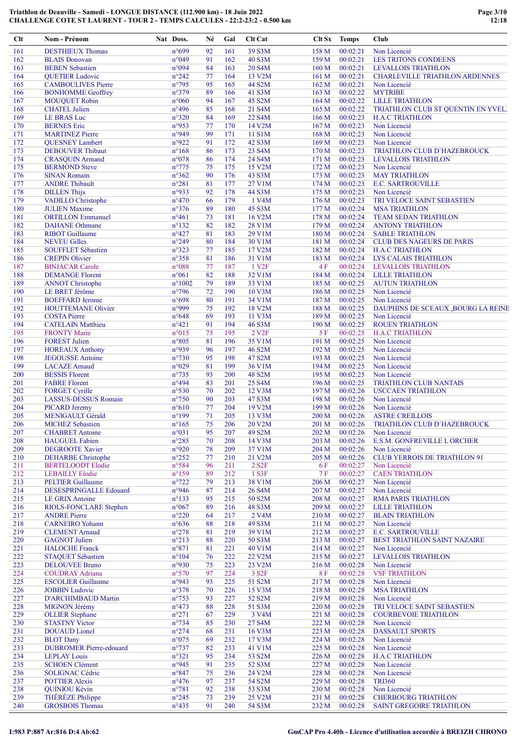| 39 S3M<br>161<br>n°699<br>92<br>161<br>158 M<br>00:02:21<br>Non Licencié<br><b>DESTHIEUX Thomas</b><br>n°049<br>91<br>40 S3M<br>00:02:21<br>162<br>162<br>159 M<br><b>LES TRITONS CONDEENS</b><br><b>BLAIS</b> Donovan<br>n°094<br>163<br><b>BEBEN Sebastien</b><br>84<br>20 S4M<br>160 <sub>M</sub><br>00:02:21<br><b>LEVALLOIS TRIATHLON</b><br>163<br>164<br>13 V2M<br>164<br><b>QUETIER Ludovic</b><br>$n^{\circ}242$<br>77<br>161 <sub>M</sub><br>00:02:21<br>165<br>$n^{\circ}795$<br>95<br>44 S2M<br><b>CAMBOULIVES Pierre</b><br>165<br>162 M<br>00:02:21<br>Non Licencié<br>$n^{\circ}379$<br>166<br><b>BONHOMME</b> Geoffrey<br>89<br>166<br>41 S3M<br>163 M<br>00:02:22<br><b>MYTRIBE</b><br>$n^{\circ}060$<br>94<br>45 S2M<br>167<br><b>MOUQUET Robin</b><br>167<br>164 M<br>00:02:22<br><b>LILLE TRIATHLON</b><br>$n^{\circ}496$<br>168<br><b>CHATEL Julien</b><br>85<br>168<br>21 S4M<br>165 M<br>00:02:22<br>$n^{\circ}320$<br>169<br><b>LE BRAS Luc</b><br>84<br>169<br>22 S4M<br>00:02:23<br>166 M<br><b>H.A.C TRIATHLON</b><br>n°953<br>00:02:23<br>170<br><b>BERNES</b> Eric<br>77<br>170<br>14 V2M<br>167 <sub>M</sub><br>Non Licencié<br>n°949<br>99<br>171<br>11 S1M<br>171<br><b>MARTINEZ Pierre</b><br>168 M<br>00:02:23<br>Non Licencié<br>n°922<br>42 S3M<br>00:02:23<br>172<br><b>OUESNEY Lambert</b><br>91<br>172<br>169 <sub>M</sub><br>Non Licencié<br>173<br>$n^{\circ}168$<br>86<br>173<br>23 S4M<br>170 M<br>00:02:23<br>TRIATHLON CLUB D'HAZEBROUCK<br><b>DEBOUVER</b> Thibaut<br>174<br>$n^{\circ}078$<br>86<br>174<br>24 S4M<br>171 M<br>00:02:23<br><b>CRASQUIN Armand</b><br><b>LEVALLOIS TRIATHLON</b><br>175<br>$n^{\circ}775$<br><b>BERMOND</b> Steve<br>175<br>15 V2M<br>172 M<br>00:02:23<br>Non Licencié<br>75<br>$n^{\circ}362$<br>176<br><b>SINAN Romain</b><br>90<br>176<br>43 S3M<br>173 M<br>00:02:23<br><b>MAY TRIATHLON</b><br>177<br>$n^{\circ}281$<br>81<br>177<br>27 V1M<br>00:02:23<br><b>ANDRE Thibault</b><br>174M<br><b>E.C. SARTROUVILLE</b><br>178<br>n°933<br><b>DILLEN Thijs</b><br>92<br>178<br>44 S3M<br>175 M<br>00:02:23<br>Non Licencié<br>179<br>$n^{\circ}470$<br>00:02:23<br>VADILLO Christophe<br>66<br>179<br>1 V4M<br>176M<br>TRI VELOCE SAINT SEBASTIEN<br>180<br>$n^{\circ}376$<br><b>JULIEN Maxime</b><br>180<br>45 S3M<br>00:02:24<br>89<br>177 M<br><b>MSA TRIATHLON</b><br>$n^{\circ}461$<br>73<br>16 V2M<br>178 M<br>00:02:24<br>181<br><b>ORTILLON Emmanuel</b><br>181<br><b>TEAM SEDAN TRIATHLON</b><br>$n^{\circ}132$<br>182<br><b>DAHANE</b> Othmane<br>82<br>182<br>28 V1M<br>179M<br>00:02:24<br><b>ANTONY TRIATHLON</b><br>183<br>183<br><b>RIBOT</b> Guillaume<br>$n^{\circ}427$<br>81<br>29 V1M<br>180 M<br>00:02:24<br><b>SABLE TRIATHLON</b><br>184<br>$n^{\circ}249$<br>30 V1M<br>00:02:24<br><b>NEVEU Gilles</b><br>80<br>184<br>181 M<br><b>CLUB DES NAGEURS DE PARIS</b><br>185<br>$n^{\circ}323$<br>77<br><b>SOUFFLET Sébastien</b><br>185<br>17 V2M<br>182 M<br>00:02:24<br><b>H.A.C TRIATHLON</b><br>$n^{\circ}358$<br>81<br>186<br><b>CREPIN Olivier</b><br>186<br>31 V1M<br>00:02:24<br>183 M<br>LYS CALAIS TRIATHLON<br>$n^{\circ}088$<br>1 V <sub>2F</sub><br>187<br>77<br>187<br>4 F<br>00:02:24<br><b>BINJACAR Carole</b><br>LEVALLOIS TRIATHLON<br>188<br>82<br>188<br>00:02:24<br><b>DEMANGE Florent</b><br>$n^{\circ}061$<br>32 V1M<br>184 M<br><b>LILLE TRIATHLON</b><br>189<br><b>ANNOT Christophe</b><br>$n^{\circ}1002$<br>79<br>189<br>33 V1M<br>185 M<br>00:02:25<br><b>AUTUN TRIATHLON</b><br>190<br>$n^{\circ}$ 796<br>190<br>LE BRET Jérôme<br>72<br>10 V3M<br>186 M<br>00:02:25<br>Non Licencié<br>191<br>n°698<br>80<br>191<br>34 V1M<br>00:02:25<br><b>BOEFFARD Jerome</b><br>187 M<br>Non Licencié<br>192<br>n°999<br>75<br>192<br>18 V2M<br>188 M<br>00:02:25<br><b>HOUTTEMANE Olivier</b><br>193<br>$n^{\circ}648$<br>69<br><b>COSTA Pierre</b><br>193<br>11 V3M<br>189 M<br>00:02:25<br>Non Licencié<br>194<br><b>CATELAIN Matthieu</b><br>$n^{\circ}421$<br>91<br>194<br>46 S3M<br>190 M<br>00:02:25<br><b>ROUEN TRIATHLON</b><br>195<br>75<br>195<br>2 V <sub>2</sub> F<br>00:02:25<br><b>FRONTY Marie</b><br>$n^{\circ}015$<br>5 F<br><b>H.A.C TRIATHLON</b><br>196<br>$n^{\circ}805$<br>81<br>35 V1M<br>191 M<br>00:02:25<br><b>FOREST Julien</b><br>196<br>Non Licencié<br>n°939<br>197<br>197<br>96<br>46 S2M<br>192 M<br>00:02:25<br>Non Licencié<br><b>HOREAUX Anthony</b><br>198<br>$n^{\circ}730$<br>47 S2M<br>00:02:25<br><b>JEGOUSSE</b> Antoine<br>95<br>198<br>193 M<br>Non Licencié<br>199<br>$n^{\circ}029$<br>199<br>81<br>36 V1M<br>194 M<br>00:02:25<br>Non Licencié<br><b>LACAZE</b> Arnaud<br>$n^{\circ}735$<br>200<br><b>BESSIS Florent</b><br>93<br>200<br>48 S2M<br>195 M<br>00:02:25<br>Non Licencié<br>201<br>$n^{\circ}494$<br>25 S4M<br><b>FABRE Florent</b><br>83<br>201<br>196M<br>00:02:25<br><b>TRIATHLON CLUB NANTAIS</b><br>202<br>$n^{\circ}530$<br>202<br><b>FORGET Cyrille</b><br>70<br>12 V3M<br>197 M<br>00:02:26<br><b>USCCAEN TRIATHLON</b><br>203<br>$n^{\circ}750$<br>47 S3M<br>00:02:26<br>LASSUS-DESSUS Romain<br>90<br>203<br>198 M<br>Non Licencié<br>204<br><b>PICARD Jeremy</b><br>$n^{\circ}610$<br>77<br>204<br>19 V2M<br>199 M<br>00:02:26<br>Non Licencié<br>71<br>205<br>$n^{\circ}199$<br>205<br><b>MENIGAULT Gérald</b><br>13 V3M<br>200 M<br>00:02:26<br><b>ASTRE CREILLOIS</b><br>$n^{\circ}165$<br>75<br>206<br>20 V2M<br>206<br><b>MICHEZ Sebastien</b><br>201 M<br>00:02:26<br>TRIATHLON CLUB D'HAZEBROUCK<br>n°031<br>49 S2M<br>207<br><b>CHABRET</b> Antoine<br>95<br>207<br>202 M<br>00:02:26<br>Non Licencié<br>208<br><b>HAUGUEL Fabien</b><br>$n^{\circ}285$<br>70<br>208<br>14 V3M<br>203 M<br>00:02:26<br>E.S.M. GONFREVILLE L ORCHER<br>n°920<br>37 V1M<br>209<br><b>DEGROOTE Xavier</b><br>78<br>209<br>204 M<br>00:02:26<br>Non Licencié<br>21 V2M<br>210<br><b>DEHARBE</b> Christophe<br>$n^{\circ}252$<br>77<br>210<br>205 M<br>00:02:26<br><b>CLUB YERROIS DE TRIATHLON 91</b><br>211<br>n°584<br>96<br>211<br>2 S <sub>2</sub> F<br><b>BERTELOODT Elodie</b><br>6 F<br>00:02:27<br>Non Licencié<br>$n^{\circ}159$<br>212<br>1 S3F<br>212<br><b>LEBAILLY Elodie</b><br>89<br>7 F<br>00:02:27<br><b>CAEN TRIATHLON</b><br>$n^{\circ}722$<br>213<br><b>PELTIER Guillaume</b><br>79<br>213<br>38 V1M<br>00:02:27<br>Non Licencié<br>206 M<br>214<br>214<br>DESESPRINGALLE Edouard<br>n°946<br>87<br>26 S4M<br>00:02:27<br>Non Licencié<br>207 M<br>50 S2M<br>215<br><b>LE GRIX Antoine</b><br>$n^{\circ}133$<br>95<br>215<br>208 M<br>00:02:27<br><b>RMA PARIS TRIATHLON</b><br>216<br>RIOLS-FONCLARE Stephen<br>$n^{\circ}067$<br>89<br>216<br>48 S3M<br>209 M<br>00:02:27<br><b>LILLE TRIATHLON</b><br>$n^{\circ}220$<br>217<br><b>ANDRE Pierre</b><br>64<br>217<br>2 V <sub>4</sub> M<br>00:02:27<br><b>BLAIN TRIATHLON</b><br>210 M<br>218<br>$n^{\circ}636$<br>88<br>218<br>49 S3M<br>00:02:27<br><b>CARNEIRO</b> Yohann<br>211 M<br>Non Licencié<br>$n^{\circ}278$<br>219<br><b>CLEMENT Arnaud</b><br>81<br>219<br>39 V1M<br>212 M<br>00:02:27<br><b>E.C. SARTROUVILLE</b><br>220<br><b>GAGNOT</b> Julien<br>$n^{\circ}213$<br>88<br>220<br>50 S3M<br>213 M<br>00:02:27<br>BEST TRIATHLON SAINT NAZAIRE<br>221<br>$n^{\circ}871$<br><b>HALOCHE Franck</b><br>81<br>221<br>40 V1M<br>214 M<br>00:02:27<br>Non Licencié<br>222<br>$n^{\circ}104$<br>222<br>22 V2M<br>STAQUET Sébastien<br>76<br>215 M<br>00:02:27<br><b>LEVALLOIS TRIATHLON</b><br>n°930<br>223<br><b>DELOUVEE Bruno</b><br>75<br>223<br>23 V2M<br>00:02:28<br>Non Licencié<br>216 M<br>$n^{\circ}570$<br>3 S <sub>2F</sub><br>224<br><b>COUDRAY Adriana</b><br>97<br>224<br>00:02:28<br><b>VSF TRIATHLON</b><br>8 F<br>225<br><b>ESCOLIER Guillaume</b><br>n°943<br>93<br>225<br>51 S2M<br>00:02:28<br>Non Licencié<br>217 M<br>226<br><b>JOBBIN Ludovic</b><br>n°378<br>70<br>226<br>15 V3M<br>218 M<br>00:02:28<br><b>MSA TRIATHLON</b><br>227<br>52 S2M<br><b>D'ARCHIMBAUD Martin</b><br>$n^{\circ}753$<br>93<br>227<br>219 M<br>00:02:28<br>Non Licencié<br>228<br>MIGNON Jérémy<br>$n^{\circ}473$<br>88<br>228<br>51 S3M<br>220 M<br>00:02:28<br>TRI VELOCE SAINT SEBASTIEN<br>229<br>$n^{\circ}271$<br>67<br>3 V4M<br><b>OLLIER</b> Stephane<br>229<br>221 M<br>00:02:28<br><b>COURBEVOIE TRIATHLON</b><br>$n^{\circ}$ 734<br>230<br><b>STASTNY Victor</b><br>85<br>230<br>27 S4M<br>00:02:28<br>222 M<br>Non Licencié<br>231<br><b>DOUAUD</b> Lionel<br>$n^{\circ}274$<br>68<br>231<br>16 V3M<br>223 M<br>00:02:28<br><b>DASSAULT SPORTS</b><br>232<br><b>BLOT</b> Dany<br>$n^{\circ}075$<br>232<br>17 V3M<br>224 M<br>00:02:28<br>Non Licencié<br>69<br>233<br>$n^{\circ}737$<br>233<br><b>DUBROMER Pierre-edouard</b><br>82<br>41 V1M<br>225 M<br>00:02:28<br>Non Licencié<br>234<br><b>LEPLAY Louis</b><br>$n^{\circ}321$<br>95<br>234<br>53 S2M<br>226 M<br>00:02:28<br><b>H.A.C TRIATHLON</b><br>235<br>n°945<br>91<br>235<br>52 S3M<br>227 M<br>00:02:28<br>Non Licencié<br><b>SCHOEN Clément</b><br>$n^{\circ}847$<br>75<br>236<br>SOLIGNAC Cédric<br>236<br>24 V2M<br>228 M<br>00:02:28<br>Non Licencié<br>237<br><b>POTTIER Alexis</b><br>$n^{\circ}476$<br>97<br>237<br>54 S2M<br>229 M<br>00:02:28<br><b>TRI360</b><br>238<br><b>QUINIOU Kévin</b><br>$n^{\circ}781$<br>92<br>238<br>53 S3M<br>230 M<br>00:02:28<br>Non Licencié | Clt | Nom - Prénom     | Nat Doss.      | Né | Gal | <b>Clt Cat</b> |       | Clt Sx Temps | Club                                  |
|----------------------------------------------------------------------------------------------------------------------------------------------------------------------------------------------------------------------------------------------------------------------------------------------------------------------------------------------------------------------------------------------------------------------------------------------------------------------------------------------------------------------------------------------------------------------------------------------------------------------------------------------------------------------------------------------------------------------------------------------------------------------------------------------------------------------------------------------------------------------------------------------------------------------------------------------------------------------------------------------------------------------------------------------------------------------------------------------------------------------------------------------------------------------------------------------------------------------------------------------------------------------------------------------------------------------------------------------------------------------------------------------------------------------------------------------------------------------------------------------------------------------------------------------------------------------------------------------------------------------------------------------------------------------------------------------------------------------------------------------------------------------------------------------------------------------------------------------------------------------------------------------------------------------------------------------------------------------------------------------------------------------------------------------------------------------------------------------------------------------------------------------------------------------------------------------------------------------------------------------------------------------------------------------------------------------------------------------------------------------------------------------------------------------------------------------------------------------------------------------------------------------------------------------------------------------------------------------------------------------------------------------------------------------------------------------------------------------------------------------------------------------------------------------------------------------------------------------------------------------------------------------------------------------------------------------------------------------------------------------------------------------------------------------------------------------------------------------------------------------------------------------------------------------------------------------------------------------------------------------------------------------------------------------------------------------------------------------------------------------------------------------------------------------------------------------------------------------------------------------------------------------------------------------------------------------------------------------------------------------------------------------------------------------------------------------------------------------------------------------------------------------------------------------------------------------------------------------------------------------------------------------------------------------------------------------------------------------------------------------------------------------------------------------------------------------------------------------------------------------------------------------------------------------------------------------------------------------------------------------------------------------------------------------------------------------------------------------------------------------------------------------------------------------------------------------------------------------------------------------------------------------------------------------------------------------------------------------------------------------------------------------------------------------------------------------------------------------------------------------------------------------------------------------------------------------------------------------------------------------------------------------------------------------------------------------------------------------------------------------------------------------------------------------------------------------------------------------------------------------------------------------------------------------------------------------------------------------------------------------------------------------------------------------------------------------------------------------------------------------------------------------------------------------------------------------------------------------------------------------------------------------------------------------------------------------------------------------------------------------------------------------------------------------------------------------------------------------------------------------------------------------------------------------------------------------------------------------------------------------------------------------------------------------------------------------------------------------------------------------------------------------------------------------------------------------------------------------------------------------------------------------------------------------------------------------------------------------------------------------------------------------------------------------------------------------------------------------------------------------------------------------------------------------------------------------------------------------------------------------------------------------------------------------------------------------------------------------------------------------------------------------------------------------------------------------------------------------------------------------------------------------------------------------------------------------------------------------------------------------------------------------------------------------------------------------------------------------------------------------------------------------------------------------------------------------------------------------------------------------------------------------------------------------------------------------------------------------------------------------------------------------------------------------------------------------------------------------------------------------------------------------------------------------------------------------------------------------------------------------------------------------------------------------------------------------------------------------------------------------------------------------------------------------------------------------------------------------------------------------------------------------------------------------------------------------------------------------------------------------------------------------------------------------------------------------------------------------------------------------------------------------------------------------------------------------------------------------------------------------------------------------------------------------------------------------------------------------------------------------------------------------------------------------------------------------------------------------------------------------------------------------------------------------------------------------------------------------------------------------------------------------------------------------------------------------------------------------------------------------------------------------------------------------------------------------------------------------------------------------------------------------------------------------------------------------------------------------------------------------------------------------------------------------------------------------------------------------------------------------------------------------------------------------------------------------------------------------------------------------------------------------------------------------------------------------------------------------------------------------------------------------------------------------------------------------------|-----|------------------|----------------|----|-----|----------------|-------|--------------|---------------------------------------|
|                                                                                                                                                                                                                                                                                                                                                                                                                                                                                                                                                                                                                                                                                                                                                                                                                                                                                                                                                                                                                                                                                                                                                                                                                                                                                                                                                                                                                                                                                                                                                                                                                                                                                                                                                                                                                                                                                                                                                                                                                                                                                                                                                                                                                                                                                                                                                                                                                                                                                                                                                                                                                                                                                                                                                                                                                                                                                                                                                                                                                                                                                                                                                                                                                                                                                                                                                                                                                                                                                                                                                                                                                                                                                                                                                                                                                                                                                                                                                                                                                                                                                                                                                                                                                                                                                                                                                                                                                                                                                                                                                                                                                                                                                                                                                                                                                                                                                                                                                                                                                                                                                                                                                                                                                                                                                                                                                                                                                                                                                                                                                                                                                                                                                                                                                                                                                                                                                                                                                                                                                                                                                                                                                                                                                                                                                                                                                                                                                                                                                                                                                                                                                                                                                                                                                                                                                                                                                                                                                                                                                                                                                                                                                                                                                                                                                                                                                                                                                                                                                                                                                                                                                                                                                                                                                                                                                                                                                                                                                                                                                                                                                                                                                                                                                                                                                                                                                                                                                                                                                                                                                                                                                                                                                                                                                                                                                                                                                                                                                                                                                                                                                                                                                                                                                                                                                                                            |     |                  |                |    |     |                |       |              |                                       |
|                                                                                                                                                                                                                                                                                                                                                                                                                                                                                                                                                                                                                                                                                                                                                                                                                                                                                                                                                                                                                                                                                                                                                                                                                                                                                                                                                                                                                                                                                                                                                                                                                                                                                                                                                                                                                                                                                                                                                                                                                                                                                                                                                                                                                                                                                                                                                                                                                                                                                                                                                                                                                                                                                                                                                                                                                                                                                                                                                                                                                                                                                                                                                                                                                                                                                                                                                                                                                                                                                                                                                                                                                                                                                                                                                                                                                                                                                                                                                                                                                                                                                                                                                                                                                                                                                                                                                                                                                                                                                                                                                                                                                                                                                                                                                                                                                                                                                                                                                                                                                                                                                                                                                                                                                                                                                                                                                                                                                                                                                                                                                                                                                                                                                                                                                                                                                                                                                                                                                                                                                                                                                                                                                                                                                                                                                                                                                                                                                                                                                                                                                                                                                                                                                                                                                                                                                                                                                                                                                                                                                                                                                                                                                                                                                                                                                                                                                                                                                                                                                                                                                                                                                                                                                                                                                                                                                                                                                                                                                                                                                                                                                                                                                                                                                                                                                                                                                                                                                                                                                                                                                                                                                                                                                                                                                                                                                                                                                                                                                                                                                                                                                                                                                                                                                                                                                                                            |     |                  |                |    |     |                |       |              |                                       |
|                                                                                                                                                                                                                                                                                                                                                                                                                                                                                                                                                                                                                                                                                                                                                                                                                                                                                                                                                                                                                                                                                                                                                                                                                                                                                                                                                                                                                                                                                                                                                                                                                                                                                                                                                                                                                                                                                                                                                                                                                                                                                                                                                                                                                                                                                                                                                                                                                                                                                                                                                                                                                                                                                                                                                                                                                                                                                                                                                                                                                                                                                                                                                                                                                                                                                                                                                                                                                                                                                                                                                                                                                                                                                                                                                                                                                                                                                                                                                                                                                                                                                                                                                                                                                                                                                                                                                                                                                                                                                                                                                                                                                                                                                                                                                                                                                                                                                                                                                                                                                                                                                                                                                                                                                                                                                                                                                                                                                                                                                                                                                                                                                                                                                                                                                                                                                                                                                                                                                                                                                                                                                                                                                                                                                                                                                                                                                                                                                                                                                                                                                                                                                                                                                                                                                                                                                                                                                                                                                                                                                                                                                                                                                                                                                                                                                                                                                                                                                                                                                                                                                                                                                                                                                                                                                                                                                                                                                                                                                                                                                                                                                                                                                                                                                                                                                                                                                                                                                                                                                                                                                                                                                                                                                                                                                                                                                                                                                                                                                                                                                                                                                                                                                                                                                                                                                                                            |     |                  |                |    |     |                |       |              |                                       |
|                                                                                                                                                                                                                                                                                                                                                                                                                                                                                                                                                                                                                                                                                                                                                                                                                                                                                                                                                                                                                                                                                                                                                                                                                                                                                                                                                                                                                                                                                                                                                                                                                                                                                                                                                                                                                                                                                                                                                                                                                                                                                                                                                                                                                                                                                                                                                                                                                                                                                                                                                                                                                                                                                                                                                                                                                                                                                                                                                                                                                                                                                                                                                                                                                                                                                                                                                                                                                                                                                                                                                                                                                                                                                                                                                                                                                                                                                                                                                                                                                                                                                                                                                                                                                                                                                                                                                                                                                                                                                                                                                                                                                                                                                                                                                                                                                                                                                                                                                                                                                                                                                                                                                                                                                                                                                                                                                                                                                                                                                                                                                                                                                                                                                                                                                                                                                                                                                                                                                                                                                                                                                                                                                                                                                                                                                                                                                                                                                                                                                                                                                                                                                                                                                                                                                                                                                                                                                                                                                                                                                                                                                                                                                                                                                                                                                                                                                                                                                                                                                                                                                                                                                                                                                                                                                                                                                                                                                                                                                                                                                                                                                                                                                                                                                                                                                                                                                                                                                                                                                                                                                                                                                                                                                                                                                                                                                                                                                                                                                                                                                                                                                                                                                                                                                                                                                                                            |     |                  |                |    |     |                |       |              | <b>CHARLEVILLE TRIATHLON ARDENNES</b> |
|                                                                                                                                                                                                                                                                                                                                                                                                                                                                                                                                                                                                                                                                                                                                                                                                                                                                                                                                                                                                                                                                                                                                                                                                                                                                                                                                                                                                                                                                                                                                                                                                                                                                                                                                                                                                                                                                                                                                                                                                                                                                                                                                                                                                                                                                                                                                                                                                                                                                                                                                                                                                                                                                                                                                                                                                                                                                                                                                                                                                                                                                                                                                                                                                                                                                                                                                                                                                                                                                                                                                                                                                                                                                                                                                                                                                                                                                                                                                                                                                                                                                                                                                                                                                                                                                                                                                                                                                                                                                                                                                                                                                                                                                                                                                                                                                                                                                                                                                                                                                                                                                                                                                                                                                                                                                                                                                                                                                                                                                                                                                                                                                                                                                                                                                                                                                                                                                                                                                                                                                                                                                                                                                                                                                                                                                                                                                                                                                                                                                                                                                                                                                                                                                                                                                                                                                                                                                                                                                                                                                                                                                                                                                                                                                                                                                                                                                                                                                                                                                                                                                                                                                                                                                                                                                                                                                                                                                                                                                                                                                                                                                                                                                                                                                                                                                                                                                                                                                                                                                                                                                                                                                                                                                                                                                                                                                                                                                                                                                                                                                                                                                                                                                                                                                                                                                                                                            |     |                  |                |    |     |                |       |              |                                       |
|                                                                                                                                                                                                                                                                                                                                                                                                                                                                                                                                                                                                                                                                                                                                                                                                                                                                                                                                                                                                                                                                                                                                                                                                                                                                                                                                                                                                                                                                                                                                                                                                                                                                                                                                                                                                                                                                                                                                                                                                                                                                                                                                                                                                                                                                                                                                                                                                                                                                                                                                                                                                                                                                                                                                                                                                                                                                                                                                                                                                                                                                                                                                                                                                                                                                                                                                                                                                                                                                                                                                                                                                                                                                                                                                                                                                                                                                                                                                                                                                                                                                                                                                                                                                                                                                                                                                                                                                                                                                                                                                                                                                                                                                                                                                                                                                                                                                                                                                                                                                                                                                                                                                                                                                                                                                                                                                                                                                                                                                                                                                                                                                                                                                                                                                                                                                                                                                                                                                                                                                                                                                                                                                                                                                                                                                                                                                                                                                                                                                                                                                                                                                                                                                                                                                                                                                                                                                                                                                                                                                                                                                                                                                                                                                                                                                                                                                                                                                                                                                                                                                                                                                                                                                                                                                                                                                                                                                                                                                                                                                                                                                                                                                                                                                                                                                                                                                                                                                                                                                                                                                                                                                                                                                                                                                                                                                                                                                                                                                                                                                                                                                                                                                                                                                                                                                                                                            |     |                  |                |    |     |                |       |              |                                       |
|                                                                                                                                                                                                                                                                                                                                                                                                                                                                                                                                                                                                                                                                                                                                                                                                                                                                                                                                                                                                                                                                                                                                                                                                                                                                                                                                                                                                                                                                                                                                                                                                                                                                                                                                                                                                                                                                                                                                                                                                                                                                                                                                                                                                                                                                                                                                                                                                                                                                                                                                                                                                                                                                                                                                                                                                                                                                                                                                                                                                                                                                                                                                                                                                                                                                                                                                                                                                                                                                                                                                                                                                                                                                                                                                                                                                                                                                                                                                                                                                                                                                                                                                                                                                                                                                                                                                                                                                                                                                                                                                                                                                                                                                                                                                                                                                                                                                                                                                                                                                                                                                                                                                                                                                                                                                                                                                                                                                                                                                                                                                                                                                                                                                                                                                                                                                                                                                                                                                                                                                                                                                                                                                                                                                                                                                                                                                                                                                                                                                                                                                                                                                                                                                                                                                                                                                                                                                                                                                                                                                                                                                                                                                                                                                                                                                                                                                                                                                                                                                                                                                                                                                                                                                                                                                                                                                                                                                                                                                                                                                                                                                                                                                                                                                                                                                                                                                                                                                                                                                                                                                                                                                                                                                                                                                                                                                                                                                                                                                                                                                                                                                                                                                                                                                                                                                                                                            |     |                  |                |    |     |                |       |              |                                       |
|                                                                                                                                                                                                                                                                                                                                                                                                                                                                                                                                                                                                                                                                                                                                                                                                                                                                                                                                                                                                                                                                                                                                                                                                                                                                                                                                                                                                                                                                                                                                                                                                                                                                                                                                                                                                                                                                                                                                                                                                                                                                                                                                                                                                                                                                                                                                                                                                                                                                                                                                                                                                                                                                                                                                                                                                                                                                                                                                                                                                                                                                                                                                                                                                                                                                                                                                                                                                                                                                                                                                                                                                                                                                                                                                                                                                                                                                                                                                                                                                                                                                                                                                                                                                                                                                                                                                                                                                                                                                                                                                                                                                                                                                                                                                                                                                                                                                                                                                                                                                                                                                                                                                                                                                                                                                                                                                                                                                                                                                                                                                                                                                                                                                                                                                                                                                                                                                                                                                                                                                                                                                                                                                                                                                                                                                                                                                                                                                                                                                                                                                                                                                                                                                                                                                                                                                                                                                                                                                                                                                                                                                                                                                                                                                                                                                                                                                                                                                                                                                                                                                                                                                                                                                                                                                                                                                                                                                                                                                                                                                                                                                                                                                                                                                                                                                                                                                                                                                                                                                                                                                                                                                                                                                                                                                                                                                                                                                                                                                                                                                                                                                                                                                                                                                                                                                                                                            |     |                  |                |    |     |                |       |              | TRIATHLON CLUB ST QUENTIN EN YVEL.    |
|                                                                                                                                                                                                                                                                                                                                                                                                                                                                                                                                                                                                                                                                                                                                                                                                                                                                                                                                                                                                                                                                                                                                                                                                                                                                                                                                                                                                                                                                                                                                                                                                                                                                                                                                                                                                                                                                                                                                                                                                                                                                                                                                                                                                                                                                                                                                                                                                                                                                                                                                                                                                                                                                                                                                                                                                                                                                                                                                                                                                                                                                                                                                                                                                                                                                                                                                                                                                                                                                                                                                                                                                                                                                                                                                                                                                                                                                                                                                                                                                                                                                                                                                                                                                                                                                                                                                                                                                                                                                                                                                                                                                                                                                                                                                                                                                                                                                                                                                                                                                                                                                                                                                                                                                                                                                                                                                                                                                                                                                                                                                                                                                                                                                                                                                                                                                                                                                                                                                                                                                                                                                                                                                                                                                                                                                                                                                                                                                                                                                                                                                                                                                                                                                                                                                                                                                                                                                                                                                                                                                                                                                                                                                                                                                                                                                                                                                                                                                                                                                                                                                                                                                                                                                                                                                                                                                                                                                                                                                                                                                                                                                                                                                                                                                                                                                                                                                                                                                                                                                                                                                                                                                                                                                                                                                                                                                                                                                                                                                                                                                                                                                                                                                                                                                                                                                                                                            |     |                  |                |    |     |                |       |              |                                       |
|                                                                                                                                                                                                                                                                                                                                                                                                                                                                                                                                                                                                                                                                                                                                                                                                                                                                                                                                                                                                                                                                                                                                                                                                                                                                                                                                                                                                                                                                                                                                                                                                                                                                                                                                                                                                                                                                                                                                                                                                                                                                                                                                                                                                                                                                                                                                                                                                                                                                                                                                                                                                                                                                                                                                                                                                                                                                                                                                                                                                                                                                                                                                                                                                                                                                                                                                                                                                                                                                                                                                                                                                                                                                                                                                                                                                                                                                                                                                                                                                                                                                                                                                                                                                                                                                                                                                                                                                                                                                                                                                                                                                                                                                                                                                                                                                                                                                                                                                                                                                                                                                                                                                                                                                                                                                                                                                                                                                                                                                                                                                                                                                                                                                                                                                                                                                                                                                                                                                                                                                                                                                                                                                                                                                                                                                                                                                                                                                                                                                                                                                                                                                                                                                                                                                                                                                                                                                                                                                                                                                                                                                                                                                                                                                                                                                                                                                                                                                                                                                                                                                                                                                                                                                                                                                                                                                                                                                                                                                                                                                                                                                                                                                                                                                                                                                                                                                                                                                                                                                                                                                                                                                                                                                                                                                                                                                                                                                                                                                                                                                                                                                                                                                                                                                                                                                                                                            |     |                  |                |    |     |                |       |              |                                       |
|                                                                                                                                                                                                                                                                                                                                                                                                                                                                                                                                                                                                                                                                                                                                                                                                                                                                                                                                                                                                                                                                                                                                                                                                                                                                                                                                                                                                                                                                                                                                                                                                                                                                                                                                                                                                                                                                                                                                                                                                                                                                                                                                                                                                                                                                                                                                                                                                                                                                                                                                                                                                                                                                                                                                                                                                                                                                                                                                                                                                                                                                                                                                                                                                                                                                                                                                                                                                                                                                                                                                                                                                                                                                                                                                                                                                                                                                                                                                                                                                                                                                                                                                                                                                                                                                                                                                                                                                                                                                                                                                                                                                                                                                                                                                                                                                                                                                                                                                                                                                                                                                                                                                                                                                                                                                                                                                                                                                                                                                                                                                                                                                                                                                                                                                                                                                                                                                                                                                                                                                                                                                                                                                                                                                                                                                                                                                                                                                                                                                                                                                                                                                                                                                                                                                                                                                                                                                                                                                                                                                                                                                                                                                                                                                                                                                                                                                                                                                                                                                                                                                                                                                                                                                                                                                                                                                                                                                                                                                                                                                                                                                                                                                                                                                                                                                                                                                                                                                                                                                                                                                                                                                                                                                                                                                                                                                                                                                                                                                                                                                                                                                                                                                                                                                                                                                                                                            |     |                  |                |    |     |                |       |              |                                       |
|                                                                                                                                                                                                                                                                                                                                                                                                                                                                                                                                                                                                                                                                                                                                                                                                                                                                                                                                                                                                                                                                                                                                                                                                                                                                                                                                                                                                                                                                                                                                                                                                                                                                                                                                                                                                                                                                                                                                                                                                                                                                                                                                                                                                                                                                                                                                                                                                                                                                                                                                                                                                                                                                                                                                                                                                                                                                                                                                                                                                                                                                                                                                                                                                                                                                                                                                                                                                                                                                                                                                                                                                                                                                                                                                                                                                                                                                                                                                                                                                                                                                                                                                                                                                                                                                                                                                                                                                                                                                                                                                                                                                                                                                                                                                                                                                                                                                                                                                                                                                                                                                                                                                                                                                                                                                                                                                                                                                                                                                                                                                                                                                                                                                                                                                                                                                                                                                                                                                                                                                                                                                                                                                                                                                                                                                                                                                                                                                                                                                                                                                                                                                                                                                                                                                                                                                                                                                                                                                                                                                                                                                                                                                                                                                                                                                                                                                                                                                                                                                                                                                                                                                                                                                                                                                                                                                                                                                                                                                                                                                                                                                                                                                                                                                                                                                                                                                                                                                                                                                                                                                                                                                                                                                                                                                                                                                                                                                                                                                                                                                                                                                                                                                                                                                                                                                                                                            |     |                  |                |    |     |                |       |              |                                       |
|                                                                                                                                                                                                                                                                                                                                                                                                                                                                                                                                                                                                                                                                                                                                                                                                                                                                                                                                                                                                                                                                                                                                                                                                                                                                                                                                                                                                                                                                                                                                                                                                                                                                                                                                                                                                                                                                                                                                                                                                                                                                                                                                                                                                                                                                                                                                                                                                                                                                                                                                                                                                                                                                                                                                                                                                                                                                                                                                                                                                                                                                                                                                                                                                                                                                                                                                                                                                                                                                                                                                                                                                                                                                                                                                                                                                                                                                                                                                                                                                                                                                                                                                                                                                                                                                                                                                                                                                                                                                                                                                                                                                                                                                                                                                                                                                                                                                                                                                                                                                                                                                                                                                                                                                                                                                                                                                                                                                                                                                                                                                                                                                                                                                                                                                                                                                                                                                                                                                                                                                                                                                                                                                                                                                                                                                                                                                                                                                                                                                                                                                                                                                                                                                                                                                                                                                                                                                                                                                                                                                                                                                                                                                                                                                                                                                                                                                                                                                                                                                                                                                                                                                                                                                                                                                                                                                                                                                                                                                                                                                                                                                                                                                                                                                                                                                                                                                                                                                                                                                                                                                                                                                                                                                                                                                                                                                                                                                                                                                                                                                                                                                                                                                                                                                                                                                                                                            |     |                  |                |    |     |                |       |              |                                       |
|                                                                                                                                                                                                                                                                                                                                                                                                                                                                                                                                                                                                                                                                                                                                                                                                                                                                                                                                                                                                                                                                                                                                                                                                                                                                                                                                                                                                                                                                                                                                                                                                                                                                                                                                                                                                                                                                                                                                                                                                                                                                                                                                                                                                                                                                                                                                                                                                                                                                                                                                                                                                                                                                                                                                                                                                                                                                                                                                                                                                                                                                                                                                                                                                                                                                                                                                                                                                                                                                                                                                                                                                                                                                                                                                                                                                                                                                                                                                                                                                                                                                                                                                                                                                                                                                                                                                                                                                                                                                                                                                                                                                                                                                                                                                                                                                                                                                                                                                                                                                                                                                                                                                                                                                                                                                                                                                                                                                                                                                                                                                                                                                                                                                                                                                                                                                                                                                                                                                                                                                                                                                                                                                                                                                                                                                                                                                                                                                                                                                                                                                                                                                                                                                                                                                                                                                                                                                                                                                                                                                                                                                                                                                                                                                                                                                                                                                                                                                                                                                                                                                                                                                                                                                                                                                                                                                                                                                                                                                                                                                                                                                                                                                                                                                                                                                                                                                                                                                                                                                                                                                                                                                                                                                                                                                                                                                                                                                                                                                                                                                                                                                                                                                                                                                                                                                                                                            |     |                  |                |    |     |                |       |              |                                       |
|                                                                                                                                                                                                                                                                                                                                                                                                                                                                                                                                                                                                                                                                                                                                                                                                                                                                                                                                                                                                                                                                                                                                                                                                                                                                                                                                                                                                                                                                                                                                                                                                                                                                                                                                                                                                                                                                                                                                                                                                                                                                                                                                                                                                                                                                                                                                                                                                                                                                                                                                                                                                                                                                                                                                                                                                                                                                                                                                                                                                                                                                                                                                                                                                                                                                                                                                                                                                                                                                                                                                                                                                                                                                                                                                                                                                                                                                                                                                                                                                                                                                                                                                                                                                                                                                                                                                                                                                                                                                                                                                                                                                                                                                                                                                                                                                                                                                                                                                                                                                                                                                                                                                                                                                                                                                                                                                                                                                                                                                                                                                                                                                                                                                                                                                                                                                                                                                                                                                                                                                                                                                                                                                                                                                                                                                                                                                                                                                                                                                                                                                                                                                                                                                                                                                                                                                                                                                                                                                                                                                                                                                                                                                                                                                                                                                                                                                                                                                                                                                                                                                                                                                                                                                                                                                                                                                                                                                                                                                                                                                                                                                                                                                                                                                                                                                                                                                                                                                                                                                                                                                                                                                                                                                                                                                                                                                                                                                                                                                                                                                                                                                                                                                                                                                                                                                                                                            |     |                  |                |    |     |                |       |              |                                       |
|                                                                                                                                                                                                                                                                                                                                                                                                                                                                                                                                                                                                                                                                                                                                                                                                                                                                                                                                                                                                                                                                                                                                                                                                                                                                                                                                                                                                                                                                                                                                                                                                                                                                                                                                                                                                                                                                                                                                                                                                                                                                                                                                                                                                                                                                                                                                                                                                                                                                                                                                                                                                                                                                                                                                                                                                                                                                                                                                                                                                                                                                                                                                                                                                                                                                                                                                                                                                                                                                                                                                                                                                                                                                                                                                                                                                                                                                                                                                                                                                                                                                                                                                                                                                                                                                                                                                                                                                                                                                                                                                                                                                                                                                                                                                                                                                                                                                                                                                                                                                                                                                                                                                                                                                                                                                                                                                                                                                                                                                                                                                                                                                                                                                                                                                                                                                                                                                                                                                                                                                                                                                                                                                                                                                                                                                                                                                                                                                                                                                                                                                                                                                                                                                                                                                                                                                                                                                                                                                                                                                                                                                                                                                                                                                                                                                                                                                                                                                                                                                                                                                                                                                                                                                                                                                                                                                                                                                                                                                                                                                                                                                                                                                                                                                                                                                                                                                                                                                                                                                                                                                                                                                                                                                                                                                                                                                                                                                                                                                                                                                                                                                                                                                                                                                                                                                                                                            |     |                  |                |    |     |                |       |              |                                       |
|                                                                                                                                                                                                                                                                                                                                                                                                                                                                                                                                                                                                                                                                                                                                                                                                                                                                                                                                                                                                                                                                                                                                                                                                                                                                                                                                                                                                                                                                                                                                                                                                                                                                                                                                                                                                                                                                                                                                                                                                                                                                                                                                                                                                                                                                                                                                                                                                                                                                                                                                                                                                                                                                                                                                                                                                                                                                                                                                                                                                                                                                                                                                                                                                                                                                                                                                                                                                                                                                                                                                                                                                                                                                                                                                                                                                                                                                                                                                                                                                                                                                                                                                                                                                                                                                                                                                                                                                                                                                                                                                                                                                                                                                                                                                                                                                                                                                                                                                                                                                                                                                                                                                                                                                                                                                                                                                                                                                                                                                                                                                                                                                                                                                                                                                                                                                                                                                                                                                                                                                                                                                                                                                                                                                                                                                                                                                                                                                                                                                                                                                                                                                                                                                                                                                                                                                                                                                                                                                                                                                                                                                                                                                                                                                                                                                                                                                                                                                                                                                                                                                                                                                                                                                                                                                                                                                                                                                                                                                                                                                                                                                                                                                                                                                                                                                                                                                                                                                                                                                                                                                                                                                                                                                                                                                                                                                                                                                                                                                                                                                                                                                                                                                                                                                                                                                                                                            |     |                  |                |    |     |                |       |              |                                       |
|                                                                                                                                                                                                                                                                                                                                                                                                                                                                                                                                                                                                                                                                                                                                                                                                                                                                                                                                                                                                                                                                                                                                                                                                                                                                                                                                                                                                                                                                                                                                                                                                                                                                                                                                                                                                                                                                                                                                                                                                                                                                                                                                                                                                                                                                                                                                                                                                                                                                                                                                                                                                                                                                                                                                                                                                                                                                                                                                                                                                                                                                                                                                                                                                                                                                                                                                                                                                                                                                                                                                                                                                                                                                                                                                                                                                                                                                                                                                                                                                                                                                                                                                                                                                                                                                                                                                                                                                                                                                                                                                                                                                                                                                                                                                                                                                                                                                                                                                                                                                                                                                                                                                                                                                                                                                                                                                                                                                                                                                                                                                                                                                                                                                                                                                                                                                                                                                                                                                                                                                                                                                                                                                                                                                                                                                                                                                                                                                                                                                                                                                                                                                                                                                                                                                                                                                                                                                                                                                                                                                                                                                                                                                                                                                                                                                                                                                                                                                                                                                                                                                                                                                                                                                                                                                                                                                                                                                                                                                                                                                                                                                                                                                                                                                                                                                                                                                                                                                                                                                                                                                                                                                                                                                                                                                                                                                                                                                                                                                                                                                                                                                                                                                                                                                                                                                                                                            |     |                  |                |    |     |                |       |              |                                       |
|                                                                                                                                                                                                                                                                                                                                                                                                                                                                                                                                                                                                                                                                                                                                                                                                                                                                                                                                                                                                                                                                                                                                                                                                                                                                                                                                                                                                                                                                                                                                                                                                                                                                                                                                                                                                                                                                                                                                                                                                                                                                                                                                                                                                                                                                                                                                                                                                                                                                                                                                                                                                                                                                                                                                                                                                                                                                                                                                                                                                                                                                                                                                                                                                                                                                                                                                                                                                                                                                                                                                                                                                                                                                                                                                                                                                                                                                                                                                                                                                                                                                                                                                                                                                                                                                                                                                                                                                                                                                                                                                                                                                                                                                                                                                                                                                                                                                                                                                                                                                                                                                                                                                                                                                                                                                                                                                                                                                                                                                                                                                                                                                                                                                                                                                                                                                                                                                                                                                                                                                                                                                                                                                                                                                                                                                                                                                                                                                                                                                                                                                                                                                                                                                                                                                                                                                                                                                                                                                                                                                                                                                                                                                                                                                                                                                                                                                                                                                                                                                                                                                                                                                                                                                                                                                                                                                                                                                                                                                                                                                                                                                                                                                                                                                                                                                                                                                                                                                                                                                                                                                                                                                                                                                                                                                                                                                                                                                                                                                                                                                                                                                                                                                                                                                                                                                                                                            |     |                  |                |    |     |                |       |              |                                       |
|                                                                                                                                                                                                                                                                                                                                                                                                                                                                                                                                                                                                                                                                                                                                                                                                                                                                                                                                                                                                                                                                                                                                                                                                                                                                                                                                                                                                                                                                                                                                                                                                                                                                                                                                                                                                                                                                                                                                                                                                                                                                                                                                                                                                                                                                                                                                                                                                                                                                                                                                                                                                                                                                                                                                                                                                                                                                                                                                                                                                                                                                                                                                                                                                                                                                                                                                                                                                                                                                                                                                                                                                                                                                                                                                                                                                                                                                                                                                                                                                                                                                                                                                                                                                                                                                                                                                                                                                                                                                                                                                                                                                                                                                                                                                                                                                                                                                                                                                                                                                                                                                                                                                                                                                                                                                                                                                                                                                                                                                                                                                                                                                                                                                                                                                                                                                                                                                                                                                                                                                                                                                                                                                                                                                                                                                                                                                                                                                                                                                                                                                                                                                                                                                                                                                                                                                                                                                                                                                                                                                                                                                                                                                                                                                                                                                                                                                                                                                                                                                                                                                                                                                                                                                                                                                                                                                                                                                                                                                                                                                                                                                                                                                                                                                                                                                                                                                                                                                                                                                                                                                                                                                                                                                                                                                                                                                                                                                                                                                                                                                                                                                                                                                                                                                                                                                                                                            |     |                  |                |    |     |                |       |              |                                       |
|                                                                                                                                                                                                                                                                                                                                                                                                                                                                                                                                                                                                                                                                                                                                                                                                                                                                                                                                                                                                                                                                                                                                                                                                                                                                                                                                                                                                                                                                                                                                                                                                                                                                                                                                                                                                                                                                                                                                                                                                                                                                                                                                                                                                                                                                                                                                                                                                                                                                                                                                                                                                                                                                                                                                                                                                                                                                                                                                                                                                                                                                                                                                                                                                                                                                                                                                                                                                                                                                                                                                                                                                                                                                                                                                                                                                                                                                                                                                                                                                                                                                                                                                                                                                                                                                                                                                                                                                                                                                                                                                                                                                                                                                                                                                                                                                                                                                                                                                                                                                                                                                                                                                                                                                                                                                                                                                                                                                                                                                                                                                                                                                                                                                                                                                                                                                                                                                                                                                                                                                                                                                                                                                                                                                                                                                                                                                                                                                                                                                                                                                                                                                                                                                                                                                                                                                                                                                                                                                                                                                                                                                                                                                                                                                                                                                                                                                                                                                                                                                                                                                                                                                                                                                                                                                                                                                                                                                                                                                                                                                                                                                                                                                                                                                                                                                                                                                                                                                                                                                                                                                                                                                                                                                                                                                                                                                                                                                                                                                                                                                                                                                                                                                                                                                                                                                                                                            |     |                  |                |    |     |                |       |              |                                       |
|                                                                                                                                                                                                                                                                                                                                                                                                                                                                                                                                                                                                                                                                                                                                                                                                                                                                                                                                                                                                                                                                                                                                                                                                                                                                                                                                                                                                                                                                                                                                                                                                                                                                                                                                                                                                                                                                                                                                                                                                                                                                                                                                                                                                                                                                                                                                                                                                                                                                                                                                                                                                                                                                                                                                                                                                                                                                                                                                                                                                                                                                                                                                                                                                                                                                                                                                                                                                                                                                                                                                                                                                                                                                                                                                                                                                                                                                                                                                                                                                                                                                                                                                                                                                                                                                                                                                                                                                                                                                                                                                                                                                                                                                                                                                                                                                                                                                                                                                                                                                                                                                                                                                                                                                                                                                                                                                                                                                                                                                                                                                                                                                                                                                                                                                                                                                                                                                                                                                                                                                                                                                                                                                                                                                                                                                                                                                                                                                                                                                                                                                                                                                                                                                                                                                                                                                                                                                                                                                                                                                                                                                                                                                                                                                                                                                                                                                                                                                                                                                                                                                                                                                                                                                                                                                                                                                                                                                                                                                                                                                                                                                                                                                                                                                                                                                                                                                                                                                                                                                                                                                                                                                                                                                                                                                                                                                                                                                                                                                                                                                                                                                                                                                                                                                                                                                                                                            |     |                  |                |    |     |                |       |              |                                       |
|                                                                                                                                                                                                                                                                                                                                                                                                                                                                                                                                                                                                                                                                                                                                                                                                                                                                                                                                                                                                                                                                                                                                                                                                                                                                                                                                                                                                                                                                                                                                                                                                                                                                                                                                                                                                                                                                                                                                                                                                                                                                                                                                                                                                                                                                                                                                                                                                                                                                                                                                                                                                                                                                                                                                                                                                                                                                                                                                                                                                                                                                                                                                                                                                                                                                                                                                                                                                                                                                                                                                                                                                                                                                                                                                                                                                                                                                                                                                                                                                                                                                                                                                                                                                                                                                                                                                                                                                                                                                                                                                                                                                                                                                                                                                                                                                                                                                                                                                                                                                                                                                                                                                                                                                                                                                                                                                                                                                                                                                                                                                                                                                                                                                                                                                                                                                                                                                                                                                                                                                                                                                                                                                                                                                                                                                                                                                                                                                                                                                                                                                                                                                                                                                                                                                                                                                                                                                                                                                                                                                                                                                                                                                                                                                                                                                                                                                                                                                                                                                                                                                                                                                                                                                                                                                                                                                                                                                                                                                                                                                                                                                                                                                                                                                                                                                                                                                                                                                                                                                                                                                                                                                                                                                                                                                                                                                                                                                                                                                                                                                                                                                                                                                                                                                                                                                                                                            |     |                  |                |    |     |                |       |              |                                       |
|                                                                                                                                                                                                                                                                                                                                                                                                                                                                                                                                                                                                                                                                                                                                                                                                                                                                                                                                                                                                                                                                                                                                                                                                                                                                                                                                                                                                                                                                                                                                                                                                                                                                                                                                                                                                                                                                                                                                                                                                                                                                                                                                                                                                                                                                                                                                                                                                                                                                                                                                                                                                                                                                                                                                                                                                                                                                                                                                                                                                                                                                                                                                                                                                                                                                                                                                                                                                                                                                                                                                                                                                                                                                                                                                                                                                                                                                                                                                                                                                                                                                                                                                                                                                                                                                                                                                                                                                                                                                                                                                                                                                                                                                                                                                                                                                                                                                                                                                                                                                                                                                                                                                                                                                                                                                                                                                                                                                                                                                                                                                                                                                                                                                                                                                                                                                                                                                                                                                                                                                                                                                                                                                                                                                                                                                                                                                                                                                                                                                                                                                                                                                                                                                                                                                                                                                                                                                                                                                                                                                                                                                                                                                                                                                                                                                                                                                                                                                                                                                                                                                                                                                                                                                                                                                                                                                                                                                                                                                                                                                                                                                                                                                                                                                                                                                                                                                                                                                                                                                                                                                                                                                                                                                                                                                                                                                                                                                                                                                                                                                                                                                                                                                                                                                                                                                                                                            |     |                  |                |    |     |                |       |              |                                       |
|                                                                                                                                                                                                                                                                                                                                                                                                                                                                                                                                                                                                                                                                                                                                                                                                                                                                                                                                                                                                                                                                                                                                                                                                                                                                                                                                                                                                                                                                                                                                                                                                                                                                                                                                                                                                                                                                                                                                                                                                                                                                                                                                                                                                                                                                                                                                                                                                                                                                                                                                                                                                                                                                                                                                                                                                                                                                                                                                                                                                                                                                                                                                                                                                                                                                                                                                                                                                                                                                                                                                                                                                                                                                                                                                                                                                                                                                                                                                                                                                                                                                                                                                                                                                                                                                                                                                                                                                                                                                                                                                                                                                                                                                                                                                                                                                                                                                                                                                                                                                                                                                                                                                                                                                                                                                                                                                                                                                                                                                                                                                                                                                                                                                                                                                                                                                                                                                                                                                                                                                                                                                                                                                                                                                                                                                                                                                                                                                                                                                                                                                                                                                                                                                                                                                                                                                                                                                                                                                                                                                                                                                                                                                                                                                                                                                                                                                                                                                                                                                                                                                                                                                                                                                                                                                                                                                                                                                                                                                                                                                                                                                                                                                                                                                                                                                                                                                                                                                                                                                                                                                                                                                                                                                                                                                                                                                                                                                                                                                                                                                                                                                                                                                                                                                                                                                                                                            |     |                  |                |    |     |                |       |              |                                       |
|                                                                                                                                                                                                                                                                                                                                                                                                                                                                                                                                                                                                                                                                                                                                                                                                                                                                                                                                                                                                                                                                                                                                                                                                                                                                                                                                                                                                                                                                                                                                                                                                                                                                                                                                                                                                                                                                                                                                                                                                                                                                                                                                                                                                                                                                                                                                                                                                                                                                                                                                                                                                                                                                                                                                                                                                                                                                                                                                                                                                                                                                                                                                                                                                                                                                                                                                                                                                                                                                                                                                                                                                                                                                                                                                                                                                                                                                                                                                                                                                                                                                                                                                                                                                                                                                                                                                                                                                                                                                                                                                                                                                                                                                                                                                                                                                                                                                                                                                                                                                                                                                                                                                                                                                                                                                                                                                                                                                                                                                                                                                                                                                                                                                                                                                                                                                                                                                                                                                                                                                                                                                                                                                                                                                                                                                                                                                                                                                                                                                                                                                                                                                                                                                                                                                                                                                                                                                                                                                                                                                                                                                                                                                                                                                                                                                                                                                                                                                                                                                                                                                                                                                                                                                                                                                                                                                                                                                                                                                                                                                                                                                                                                                                                                                                                                                                                                                                                                                                                                                                                                                                                                                                                                                                                                                                                                                                                                                                                                                                                                                                                                                                                                                                                                                                                                                                                                            |     |                  |                |    |     |                |       |              |                                       |
|                                                                                                                                                                                                                                                                                                                                                                                                                                                                                                                                                                                                                                                                                                                                                                                                                                                                                                                                                                                                                                                                                                                                                                                                                                                                                                                                                                                                                                                                                                                                                                                                                                                                                                                                                                                                                                                                                                                                                                                                                                                                                                                                                                                                                                                                                                                                                                                                                                                                                                                                                                                                                                                                                                                                                                                                                                                                                                                                                                                                                                                                                                                                                                                                                                                                                                                                                                                                                                                                                                                                                                                                                                                                                                                                                                                                                                                                                                                                                                                                                                                                                                                                                                                                                                                                                                                                                                                                                                                                                                                                                                                                                                                                                                                                                                                                                                                                                                                                                                                                                                                                                                                                                                                                                                                                                                                                                                                                                                                                                                                                                                                                                                                                                                                                                                                                                                                                                                                                                                                                                                                                                                                                                                                                                                                                                                                                                                                                                                                                                                                                                                                                                                                                                                                                                                                                                                                                                                                                                                                                                                                                                                                                                                                                                                                                                                                                                                                                                                                                                                                                                                                                                                                                                                                                                                                                                                                                                                                                                                                                                                                                                                                                                                                                                                                                                                                                                                                                                                                                                                                                                                                                                                                                                                                                                                                                                                                                                                                                                                                                                                                                                                                                                                                                                                                                                                                            |     |                  |                |    |     |                |       |              |                                       |
|                                                                                                                                                                                                                                                                                                                                                                                                                                                                                                                                                                                                                                                                                                                                                                                                                                                                                                                                                                                                                                                                                                                                                                                                                                                                                                                                                                                                                                                                                                                                                                                                                                                                                                                                                                                                                                                                                                                                                                                                                                                                                                                                                                                                                                                                                                                                                                                                                                                                                                                                                                                                                                                                                                                                                                                                                                                                                                                                                                                                                                                                                                                                                                                                                                                                                                                                                                                                                                                                                                                                                                                                                                                                                                                                                                                                                                                                                                                                                                                                                                                                                                                                                                                                                                                                                                                                                                                                                                                                                                                                                                                                                                                                                                                                                                                                                                                                                                                                                                                                                                                                                                                                                                                                                                                                                                                                                                                                                                                                                                                                                                                                                                                                                                                                                                                                                                                                                                                                                                                                                                                                                                                                                                                                                                                                                                                                                                                                                                                                                                                                                                                                                                                                                                                                                                                                                                                                                                                                                                                                                                                                                                                                                                                                                                                                                                                                                                                                                                                                                                                                                                                                                                                                                                                                                                                                                                                                                                                                                                                                                                                                                                                                                                                                                                                                                                                                                                                                                                                                                                                                                                                                                                                                                                                                                                                                                                                                                                                                                                                                                                                                                                                                                                                                                                                                                                                            |     |                  |                |    |     |                |       |              |                                       |
|                                                                                                                                                                                                                                                                                                                                                                                                                                                                                                                                                                                                                                                                                                                                                                                                                                                                                                                                                                                                                                                                                                                                                                                                                                                                                                                                                                                                                                                                                                                                                                                                                                                                                                                                                                                                                                                                                                                                                                                                                                                                                                                                                                                                                                                                                                                                                                                                                                                                                                                                                                                                                                                                                                                                                                                                                                                                                                                                                                                                                                                                                                                                                                                                                                                                                                                                                                                                                                                                                                                                                                                                                                                                                                                                                                                                                                                                                                                                                                                                                                                                                                                                                                                                                                                                                                                                                                                                                                                                                                                                                                                                                                                                                                                                                                                                                                                                                                                                                                                                                                                                                                                                                                                                                                                                                                                                                                                                                                                                                                                                                                                                                                                                                                                                                                                                                                                                                                                                                                                                                                                                                                                                                                                                                                                                                                                                                                                                                                                                                                                                                                                                                                                                                                                                                                                                                                                                                                                                                                                                                                                                                                                                                                                                                                                                                                                                                                                                                                                                                                                                                                                                                                                                                                                                                                                                                                                                                                                                                                                                                                                                                                                                                                                                                                                                                                                                                                                                                                                                                                                                                                                                                                                                                                                                                                                                                                                                                                                                                                                                                                                                                                                                                                                                                                                                                                                            |     |                  |                |    |     |                |       |              |                                       |
|                                                                                                                                                                                                                                                                                                                                                                                                                                                                                                                                                                                                                                                                                                                                                                                                                                                                                                                                                                                                                                                                                                                                                                                                                                                                                                                                                                                                                                                                                                                                                                                                                                                                                                                                                                                                                                                                                                                                                                                                                                                                                                                                                                                                                                                                                                                                                                                                                                                                                                                                                                                                                                                                                                                                                                                                                                                                                                                                                                                                                                                                                                                                                                                                                                                                                                                                                                                                                                                                                                                                                                                                                                                                                                                                                                                                                                                                                                                                                                                                                                                                                                                                                                                                                                                                                                                                                                                                                                                                                                                                                                                                                                                                                                                                                                                                                                                                                                                                                                                                                                                                                                                                                                                                                                                                                                                                                                                                                                                                                                                                                                                                                                                                                                                                                                                                                                                                                                                                                                                                                                                                                                                                                                                                                                                                                                                                                                                                                                                                                                                                                                                                                                                                                                                                                                                                                                                                                                                                                                                                                                                                                                                                                                                                                                                                                                                                                                                                                                                                                                                                                                                                                                                                                                                                                                                                                                                                                                                                                                                                                                                                                                                                                                                                                                                                                                                                                                                                                                                                                                                                                                                                                                                                                                                                                                                                                                                                                                                                                                                                                                                                                                                                                                                                                                                                                                                            |     |                  |                |    |     |                |       |              |                                       |
|                                                                                                                                                                                                                                                                                                                                                                                                                                                                                                                                                                                                                                                                                                                                                                                                                                                                                                                                                                                                                                                                                                                                                                                                                                                                                                                                                                                                                                                                                                                                                                                                                                                                                                                                                                                                                                                                                                                                                                                                                                                                                                                                                                                                                                                                                                                                                                                                                                                                                                                                                                                                                                                                                                                                                                                                                                                                                                                                                                                                                                                                                                                                                                                                                                                                                                                                                                                                                                                                                                                                                                                                                                                                                                                                                                                                                                                                                                                                                                                                                                                                                                                                                                                                                                                                                                                                                                                                                                                                                                                                                                                                                                                                                                                                                                                                                                                                                                                                                                                                                                                                                                                                                                                                                                                                                                                                                                                                                                                                                                                                                                                                                                                                                                                                                                                                                                                                                                                                                                                                                                                                                                                                                                                                                                                                                                                                                                                                                                                                                                                                                                                                                                                                                                                                                                                                                                                                                                                                                                                                                                                                                                                                                                                                                                                                                                                                                                                                                                                                                                                                                                                                                                                                                                                                                                                                                                                                                                                                                                                                                                                                                                                                                                                                                                                                                                                                                                                                                                                                                                                                                                                                                                                                                                                                                                                                                                                                                                                                                                                                                                                                                                                                                                                                                                                                                                                            |     |                  |                |    |     |                |       |              |                                       |
|                                                                                                                                                                                                                                                                                                                                                                                                                                                                                                                                                                                                                                                                                                                                                                                                                                                                                                                                                                                                                                                                                                                                                                                                                                                                                                                                                                                                                                                                                                                                                                                                                                                                                                                                                                                                                                                                                                                                                                                                                                                                                                                                                                                                                                                                                                                                                                                                                                                                                                                                                                                                                                                                                                                                                                                                                                                                                                                                                                                                                                                                                                                                                                                                                                                                                                                                                                                                                                                                                                                                                                                                                                                                                                                                                                                                                                                                                                                                                                                                                                                                                                                                                                                                                                                                                                                                                                                                                                                                                                                                                                                                                                                                                                                                                                                                                                                                                                                                                                                                                                                                                                                                                                                                                                                                                                                                                                                                                                                                                                                                                                                                                                                                                                                                                                                                                                                                                                                                                                                                                                                                                                                                                                                                                                                                                                                                                                                                                                                                                                                                                                                                                                                                                                                                                                                                                                                                                                                                                                                                                                                                                                                                                                                                                                                                                                                                                                                                                                                                                                                                                                                                                                                                                                                                                                                                                                                                                                                                                                                                                                                                                                                                                                                                                                                                                                                                                                                                                                                                                                                                                                                                                                                                                                                                                                                                                                                                                                                                                                                                                                                                                                                                                                                                                                                                                                                            |     |                  |                |    |     |                |       |              | DAUPHINS DE SCEAUX _BOURG LA REINE    |
|                                                                                                                                                                                                                                                                                                                                                                                                                                                                                                                                                                                                                                                                                                                                                                                                                                                                                                                                                                                                                                                                                                                                                                                                                                                                                                                                                                                                                                                                                                                                                                                                                                                                                                                                                                                                                                                                                                                                                                                                                                                                                                                                                                                                                                                                                                                                                                                                                                                                                                                                                                                                                                                                                                                                                                                                                                                                                                                                                                                                                                                                                                                                                                                                                                                                                                                                                                                                                                                                                                                                                                                                                                                                                                                                                                                                                                                                                                                                                                                                                                                                                                                                                                                                                                                                                                                                                                                                                                                                                                                                                                                                                                                                                                                                                                                                                                                                                                                                                                                                                                                                                                                                                                                                                                                                                                                                                                                                                                                                                                                                                                                                                                                                                                                                                                                                                                                                                                                                                                                                                                                                                                                                                                                                                                                                                                                                                                                                                                                                                                                                                                                                                                                                                                                                                                                                                                                                                                                                                                                                                                                                                                                                                                                                                                                                                                                                                                                                                                                                                                                                                                                                                                                                                                                                                                                                                                                                                                                                                                                                                                                                                                                                                                                                                                                                                                                                                                                                                                                                                                                                                                                                                                                                                                                                                                                                                                                                                                                                                                                                                                                                                                                                                                                                                                                                                                                            |     |                  |                |    |     |                |       |              |                                       |
|                                                                                                                                                                                                                                                                                                                                                                                                                                                                                                                                                                                                                                                                                                                                                                                                                                                                                                                                                                                                                                                                                                                                                                                                                                                                                                                                                                                                                                                                                                                                                                                                                                                                                                                                                                                                                                                                                                                                                                                                                                                                                                                                                                                                                                                                                                                                                                                                                                                                                                                                                                                                                                                                                                                                                                                                                                                                                                                                                                                                                                                                                                                                                                                                                                                                                                                                                                                                                                                                                                                                                                                                                                                                                                                                                                                                                                                                                                                                                                                                                                                                                                                                                                                                                                                                                                                                                                                                                                                                                                                                                                                                                                                                                                                                                                                                                                                                                                                                                                                                                                                                                                                                                                                                                                                                                                                                                                                                                                                                                                                                                                                                                                                                                                                                                                                                                                                                                                                                                                                                                                                                                                                                                                                                                                                                                                                                                                                                                                                                                                                                                                                                                                                                                                                                                                                                                                                                                                                                                                                                                                                                                                                                                                                                                                                                                                                                                                                                                                                                                                                                                                                                                                                                                                                                                                                                                                                                                                                                                                                                                                                                                                                                                                                                                                                                                                                                                                                                                                                                                                                                                                                                                                                                                                                                                                                                                                                                                                                                                                                                                                                                                                                                                                                                                                                                                                                            |     |                  |                |    |     |                |       |              |                                       |
|                                                                                                                                                                                                                                                                                                                                                                                                                                                                                                                                                                                                                                                                                                                                                                                                                                                                                                                                                                                                                                                                                                                                                                                                                                                                                                                                                                                                                                                                                                                                                                                                                                                                                                                                                                                                                                                                                                                                                                                                                                                                                                                                                                                                                                                                                                                                                                                                                                                                                                                                                                                                                                                                                                                                                                                                                                                                                                                                                                                                                                                                                                                                                                                                                                                                                                                                                                                                                                                                                                                                                                                                                                                                                                                                                                                                                                                                                                                                                                                                                                                                                                                                                                                                                                                                                                                                                                                                                                                                                                                                                                                                                                                                                                                                                                                                                                                                                                                                                                                                                                                                                                                                                                                                                                                                                                                                                                                                                                                                                                                                                                                                                                                                                                                                                                                                                                                                                                                                                                                                                                                                                                                                                                                                                                                                                                                                                                                                                                                                                                                                                                                                                                                                                                                                                                                                                                                                                                                                                                                                                                                                                                                                                                                                                                                                                                                                                                                                                                                                                                                                                                                                                                                                                                                                                                                                                                                                                                                                                                                                                                                                                                                                                                                                                                                                                                                                                                                                                                                                                                                                                                                                                                                                                                                                                                                                                                                                                                                                                                                                                                                                                                                                                                                                                                                                                                                            |     |                  |                |    |     |                |       |              |                                       |
|                                                                                                                                                                                                                                                                                                                                                                                                                                                                                                                                                                                                                                                                                                                                                                                                                                                                                                                                                                                                                                                                                                                                                                                                                                                                                                                                                                                                                                                                                                                                                                                                                                                                                                                                                                                                                                                                                                                                                                                                                                                                                                                                                                                                                                                                                                                                                                                                                                                                                                                                                                                                                                                                                                                                                                                                                                                                                                                                                                                                                                                                                                                                                                                                                                                                                                                                                                                                                                                                                                                                                                                                                                                                                                                                                                                                                                                                                                                                                                                                                                                                                                                                                                                                                                                                                                                                                                                                                                                                                                                                                                                                                                                                                                                                                                                                                                                                                                                                                                                                                                                                                                                                                                                                                                                                                                                                                                                                                                                                                                                                                                                                                                                                                                                                                                                                                                                                                                                                                                                                                                                                                                                                                                                                                                                                                                                                                                                                                                                                                                                                                                                                                                                                                                                                                                                                                                                                                                                                                                                                                                                                                                                                                                                                                                                                                                                                                                                                                                                                                                                                                                                                                                                                                                                                                                                                                                                                                                                                                                                                                                                                                                                                                                                                                                                                                                                                                                                                                                                                                                                                                                                                                                                                                                                                                                                                                                                                                                                                                                                                                                                                                                                                                                                                                                                                                                                            |     |                  |                |    |     |                |       |              |                                       |
|                                                                                                                                                                                                                                                                                                                                                                                                                                                                                                                                                                                                                                                                                                                                                                                                                                                                                                                                                                                                                                                                                                                                                                                                                                                                                                                                                                                                                                                                                                                                                                                                                                                                                                                                                                                                                                                                                                                                                                                                                                                                                                                                                                                                                                                                                                                                                                                                                                                                                                                                                                                                                                                                                                                                                                                                                                                                                                                                                                                                                                                                                                                                                                                                                                                                                                                                                                                                                                                                                                                                                                                                                                                                                                                                                                                                                                                                                                                                                                                                                                                                                                                                                                                                                                                                                                                                                                                                                                                                                                                                                                                                                                                                                                                                                                                                                                                                                                                                                                                                                                                                                                                                                                                                                                                                                                                                                                                                                                                                                                                                                                                                                                                                                                                                                                                                                                                                                                                                                                                                                                                                                                                                                                                                                                                                                                                                                                                                                                                                                                                                                                                                                                                                                                                                                                                                                                                                                                                                                                                                                                                                                                                                                                                                                                                                                                                                                                                                                                                                                                                                                                                                                                                                                                                                                                                                                                                                                                                                                                                                                                                                                                                                                                                                                                                                                                                                                                                                                                                                                                                                                                                                                                                                                                                                                                                                                                                                                                                                                                                                                                                                                                                                                                                                                                                                                                                            |     |                  |                |    |     |                |       |              |                                       |
|                                                                                                                                                                                                                                                                                                                                                                                                                                                                                                                                                                                                                                                                                                                                                                                                                                                                                                                                                                                                                                                                                                                                                                                                                                                                                                                                                                                                                                                                                                                                                                                                                                                                                                                                                                                                                                                                                                                                                                                                                                                                                                                                                                                                                                                                                                                                                                                                                                                                                                                                                                                                                                                                                                                                                                                                                                                                                                                                                                                                                                                                                                                                                                                                                                                                                                                                                                                                                                                                                                                                                                                                                                                                                                                                                                                                                                                                                                                                                                                                                                                                                                                                                                                                                                                                                                                                                                                                                                                                                                                                                                                                                                                                                                                                                                                                                                                                                                                                                                                                                                                                                                                                                                                                                                                                                                                                                                                                                                                                                                                                                                                                                                                                                                                                                                                                                                                                                                                                                                                                                                                                                                                                                                                                                                                                                                                                                                                                                                                                                                                                                                                                                                                                                                                                                                                                                                                                                                                                                                                                                                                                                                                                                                                                                                                                                                                                                                                                                                                                                                                                                                                                                                                                                                                                                                                                                                                                                                                                                                                                                                                                                                                                                                                                                                                                                                                                                                                                                                                                                                                                                                                                                                                                                                                                                                                                                                                                                                                                                                                                                                                                                                                                                                                                                                                                                                                            |     |                  |                |    |     |                |       |              |                                       |
|                                                                                                                                                                                                                                                                                                                                                                                                                                                                                                                                                                                                                                                                                                                                                                                                                                                                                                                                                                                                                                                                                                                                                                                                                                                                                                                                                                                                                                                                                                                                                                                                                                                                                                                                                                                                                                                                                                                                                                                                                                                                                                                                                                                                                                                                                                                                                                                                                                                                                                                                                                                                                                                                                                                                                                                                                                                                                                                                                                                                                                                                                                                                                                                                                                                                                                                                                                                                                                                                                                                                                                                                                                                                                                                                                                                                                                                                                                                                                                                                                                                                                                                                                                                                                                                                                                                                                                                                                                                                                                                                                                                                                                                                                                                                                                                                                                                                                                                                                                                                                                                                                                                                                                                                                                                                                                                                                                                                                                                                                                                                                                                                                                                                                                                                                                                                                                                                                                                                                                                                                                                                                                                                                                                                                                                                                                                                                                                                                                                                                                                                                                                                                                                                                                                                                                                                                                                                                                                                                                                                                                                                                                                                                                                                                                                                                                                                                                                                                                                                                                                                                                                                                                                                                                                                                                                                                                                                                                                                                                                                                                                                                                                                                                                                                                                                                                                                                                                                                                                                                                                                                                                                                                                                                                                                                                                                                                                                                                                                                                                                                                                                                                                                                                                                                                                                                                                            |     |                  |                |    |     |                |       |              |                                       |
|                                                                                                                                                                                                                                                                                                                                                                                                                                                                                                                                                                                                                                                                                                                                                                                                                                                                                                                                                                                                                                                                                                                                                                                                                                                                                                                                                                                                                                                                                                                                                                                                                                                                                                                                                                                                                                                                                                                                                                                                                                                                                                                                                                                                                                                                                                                                                                                                                                                                                                                                                                                                                                                                                                                                                                                                                                                                                                                                                                                                                                                                                                                                                                                                                                                                                                                                                                                                                                                                                                                                                                                                                                                                                                                                                                                                                                                                                                                                                                                                                                                                                                                                                                                                                                                                                                                                                                                                                                                                                                                                                                                                                                                                                                                                                                                                                                                                                                                                                                                                                                                                                                                                                                                                                                                                                                                                                                                                                                                                                                                                                                                                                                                                                                                                                                                                                                                                                                                                                                                                                                                                                                                                                                                                                                                                                                                                                                                                                                                                                                                                                                                                                                                                                                                                                                                                                                                                                                                                                                                                                                                                                                                                                                                                                                                                                                                                                                                                                                                                                                                                                                                                                                                                                                                                                                                                                                                                                                                                                                                                                                                                                                                                                                                                                                                                                                                                                                                                                                                                                                                                                                                                                                                                                                                                                                                                                                                                                                                                                                                                                                                                                                                                                                                                                                                                                                                            |     |                  |                |    |     |                |       |              |                                       |
|                                                                                                                                                                                                                                                                                                                                                                                                                                                                                                                                                                                                                                                                                                                                                                                                                                                                                                                                                                                                                                                                                                                                                                                                                                                                                                                                                                                                                                                                                                                                                                                                                                                                                                                                                                                                                                                                                                                                                                                                                                                                                                                                                                                                                                                                                                                                                                                                                                                                                                                                                                                                                                                                                                                                                                                                                                                                                                                                                                                                                                                                                                                                                                                                                                                                                                                                                                                                                                                                                                                                                                                                                                                                                                                                                                                                                                                                                                                                                                                                                                                                                                                                                                                                                                                                                                                                                                                                                                                                                                                                                                                                                                                                                                                                                                                                                                                                                                                                                                                                                                                                                                                                                                                                                                                                                                                                                                                                                                                                                                                                                                                                                                                                                                                                                                                                                                                                                                                                                                                                                                                                                                                                                                                                                                                                                                                                                                                                                                                                                                                                                                                                                                                                                                                                                                                                                                                                                                                                                                                                                                                                                                                                                                                                                                                                                                                                                                                                                                                                                                                                                                                                                                                                                                                                                                                                                                                                                                                                                                                                                                                                                                                                                                                                                                                                                                                                                                                                                                                                                                                                                                                                                                                                                                                                                                                                                                                                                                                                                                                                                                                                                                                                                                                                                                                                                                                            |     |                  |                |    |     |                |       |              |                                       |
|                                                                                                                                                                                                                                                                                                                                                                                                                                                                                                                                                                                                                                                                                                                                                                                                                                                                                                                                                                                                                                                                                                                                                                                                                                                                                                                                                                                                                                                                                                                                                                                                                                                                                                                                                                                                                                                                                                                                                                                                                                                                                                                                                                                                                                                                                                                                                                                                                                                                                                                                                                                                                                                                                                                                                                                                                                                                                                                                                                                                                                                                                                                                                                                                                                                                                                                                                                                                                                                                                                                                                                                                                                                                                                                                                                                                                                                                                                                                                                                                                                                                                                                                                                                                                                                                                                                                                                                                                                                                                                                                                                                                                                                                                                                                                                                                                                                                                                                                                                                                                                                                                                                                                                                                                                                                                                                                                                                                                                                                                                                                                                                                                                                                                                                                                                                                                                                                                                                                                                                                                                                                                                                                                                                                                                                                                                                                                                                                                                                                                                                                                                                                                                                                                                                                                                                                                                                                                                                                                                                                                                                                                                                                                                                                                                                                                                                                                                                                                                                                                                                                                                                                                                                                                                                                                                                                                                                                                                                                                                                                                                                                                                                                                                                                                                                                                                                                                                                                                                                                                                                                                                                                                                                                                                                                                                                                                                                                                                                                                                                                                                                                                                                                                                                                                                                                                                                            |     |                  |                |    |     |                |       |              |                                       |
|                                                                                                                                                                                                                                                                                                                                                                                                                                                                                                                                                                                                                                                                                                                                                                                                                                                                                                                                                                                                                                                                                                                                                                                                                                                                                                                                                                                                                                                                                                                                                                                                                                                                                                                                                                                                                                                                                                                                                                                                                                                                                                                                                                                                                                                                                                                                                                                                                                                                                                                                                                                                                                                                                                                                                                                                                                                                                                                                                                                                                                                                                                                                                                                                                                                                                                                                                                                                                                                                                                                                                                                                                                                                                                                                                                                                                                                                                                                                                                                                                                                                                                                                                                                                                                                                                                                                                                                                                                                                                                                                                                                                                                                                                                                                                                                                                                                                                                                                                                                                                                                                                                                                                                                                                                                                                                                                                                                                                                                                                                                                                                                                                                                                                                                                                                                                                                                                                                                                                                                                                                                                                                                                                                                                                                                                                                                                                                                                                                                                                                                                                                                                                                                                                                                                                                                                                                                                                                                                                                                                                                                                                                                                                                                                                                                                                                                                                                                                                                                                                                                                                                                                                                                                                                                                                                                                                                                                                                                                                                                                                                                                                                                                                                                                                                                                                                                                                                                                                                                                                                                                                                                                                                                                                                                                                                                                                                                                                                                                                                                                                                                                                                                                                                                                                                                                                                                            |     |                  |                |    |     |                |       |              |                                       |
|                                                                                                                                                                                                                                                                                                                                                                                                                                                                                                                                                                                                                                                                                                                                                                                                                                                                                                                                                                                                                                                                                                                                                                                                                                                                                                                                                                                                                                                                                                                                                                                                                                                                                                                                                                                                                                                                                                                                                                                                                                                                                                                                                                                                                                                                                                                                                                                                                                                                                                                                                                                                                                                                                                                                                                                                                                                                                                                                                                                                                                                                                                                                                                                                                                                                                                                                                                                                                                                                                                                                                                                                                                                                                                                                                                                                                                                                                                                                                                                                                                                                                                                                                                                                                                                                                                                                                                                                                                                                                                                                                                                                                                                                                                                                                                                                                                                                                                                                                                                                                                                                                                                                                                                                                                                                                                                                                                                                                                                                                                                                                                                                                                                                                                                                                                                                                                                                                                                                                                                                                                                                                                                                                                                                                                                                                                                                                                                                                                                                                                                                                                                                                                                                                                                                                                                                                                                                                                                                                                                                                                                                                                                                                                                                                                                                                                                                                                                                                                                                                                                                                                                                                                                                                                                                                                                                                                                                                                                                                                                                                                                                                                                                                                                                                                                                                                                                                                                                                                                                                                                                                                                                                                                                                                                                                                                                                                                                                                                                                                                                                                                                                                                                                                                                                                                                                                                            |     |                  |                |    |     |                |       |              |                                       |
|                                                                                                                                                                                                                                                                                                                                                                                                                                                                                                                                                                                                                                                                                                                                                                                                                                                                                                                                                                                                                                                                                                                                                                                                                                                                                                                                                                                                                                                                                                                                                                                                                                                                                                                                                                                                                                                                                                                                                                                                                                                                                                                                                                                                                                                                                                                                                                                                                                                                                                                                                                                                                                                                                                                                                                                                                                                                                                                                                                                                                                                                                                                                                                                                                                                                                                                                                                                                                                                                                                                                                                                                                                                                                                                                                                                                                                                                                                                                                                                                                                                                                                                                                                                                                                                                                                                                                                                                                                                                                                                                                                                                                                                                                                                                                                                                                                                                                                                                                                                                                                                                                                                                                                                                                                                                                                                                                                                                                                                                                                                                                                                                                                                                                                                                                                                                                                                                                                                                                                                                                                                                                                                                                                                                                                                                                                                                                                                                                                                                                                                                                                                                                                                                                                                                                                                                                                                                                                                                                                                                                                                                                                                                                                                                                                                                                                                                                                                                                                                                                                                                                                                                                                                                                                                                                                                                                                                                                                                                                                                                                                                                                                                                                                                                                                                                                                                                                                                                                                                                                                                                                                                                                                                                                                                                                                                                                                                                                                                                                                                                                                                                                                                                                                                                                                                                                                                            |     |                  |                |    |     |                |       |              |                                       |
|                                                                                                                                                                                                                                                                                                                                                                                                                                                                                                                                                                                                                                                                                                                                                                                                                                                                                                                                                                                                                                                                                                                                                                                                                                                                                                                                                                                                                                                                                                                                                                                                                                                                                                                                                                                                                                                                                                                                                                                                                                                                                                                                                                                                                                                                                                                                                                                                                                                                                                                                                                                                                                                                                                                                                                                                                                                                                                                                                                                                                                                                                                                                                                                                                                                                                                                                                                                                                                                                                                                                                                                                                                                                                                                                                                                                                                                                                                                                                                                                                                                                                                                                                                                                                                                                                                                                                                                                                                                                                                                                                                                                                                                                                                                                                                                                                                                                                                                                                                                                                                                                                                                                                                                                                                                                                                                                                                                                                                                                                                                                                                                                                                                                                                                                                                                                                                                                                                                                                                                                                                                                                                                                                                                                                                                                                                                                                                                                                                                                                                                                                                                                                                                                                                                                                                                                                                                                                                                                                                                                                                                                                                                                                                                                                                                                                                                                                                                                                                                                                                                                                                                                                                                                                                                                                                                                                                                                                                                                                                                                                                                                                                                                                                                                                                                                                                                                                                                                                                                                                                                                                                                                                                                                                                                                                                                                                                                                                                                                                                                                                                                                                                                                                                                                                                                                                                                            |     |                  |                |    |     |                |       |              |                                       |
|                                                                                                                                                                                                                                                                                                                                                                                                                                                                                                                                                                                                                                                                                                                                                                                                                                                                                                                                                                                                                                                                                                                                                                                                                                                                                                                                                                                                                                                                                                                                                                                                                                                                                                                                                                                                                                                                                                                                                                                                                                                                                                                                                                                                                                                                                                                                                                                                                                                                                                                                                                                                                                                                                                                                                                                                                                                                                                                                                                                                                                                                                                                                                                                                                                                                                                                                                                                                                                                                                                                                                                                                                                                                                                                                                                                                                                                                                                                                                                                                                                                                                                                                                                                                                                                                                                                                                                                                                                                                                                                                                                                                                                                                                                                                                                                                                                                                                                                                                                                                                                                                                                                                                                                                                                                                                                                                                                                                                                                                                                                                                                                                                                                                                                                                                                                                                                                                                                                                                                                                                                                                                                                                                                                                                                                                                                                                                                                                                                                                                                                                                                                                                                                                                                                                                                                                                                                                                                                                                                                                                                                                                                                                                                                                                                                                                                                                                                                                                                                                                                                                                                                                                                                                                                                                                                                                                                                                                                                                                                                                                                                                                                                                                                                                                                                                                                                                                                                                                                                                                                                                                                                                                                                                                                                                                                                                                                                                                                                                                                                                                                                                                                                                                                                                                                                                                                                            |     |                  |                |    |     |                |       |              |                                       |
|                                                                                                                                                                                                                                                                                                                                                                                                                                                                                                                                                                                                                                                                                                                                                                                                                                                                                                                                                                                                                                                                                                                                                                                                                                                                                                                                                                                                                                                                                                                                                                                                                                                                                                                                                                                                                                                                                                                                                                                                                                                                                                                                                                                                                                                                                                                                                                                                                                                                                                                                                                                                                                                                                                                                                                                                                                                                                                                                                                                                                                                                                                                                                                                                                                                                                                                                                                                                                                                                                                                                                                                                                                                                                                                                                                                                                                                                                                                                                                                                                                                                                                                                                                                                                                                                                                                                                                                                                                                                                                                                                                                                                                                                                                                                                                                                                                                                                                                                                                                                                                                                                                                                                                                                                                                                                                                                                                                                                                                                                                                                                                                                                                                                                                                                                                                                                                                                                                                                                                                                                                                                                                                                                                                                                                                                                                                                                                                                                                                                                                                                                                                                                                                                                                                                                                                                                                                                                                                                                                                                                                                                                                                                                                                                                                                                                                                                                                                                                                                                                                                                                                                                                                                                                                                                                                                                                                                                                                                                                                                                                                                                                                                                                                                                                                                                                                                                                                                                                                                                                                                                                                                                                                                                                                                                                                                                                                                                                                                                                                                                                                                                                                                                                                                                                                                                                                                            |     |                  |                |    |     |                |       |              |                                       |
|                                                                                                                                                                                                                                                                                                                                                                                                                                                                                                                                                                                                                                                                                                                                                                                                                                                                                                                                                                                                                                                                                                                                                                                                                                                                                                                                                                                                                                                                                                                                                                                                                                                                                                                                                                                                                                                                                                                                                                                                                                                                                                                                                                                                                                                                                                                                                                                                                                                                                                                                                                                                                                                                                                                                                                                                                                                                                                                                                                                                                                                                                                                                                                                                                                                                                                                                                                                                                                                                                                                                                                                                                                                                                                                                                                                                                                                                                                                                                                                                                                                                                                                                                                                                                                                                                                                                                                                                                                                                                                                                                                                                                                                                                                                                                                                                                                                                                                                                                                                                                                                                                                                                                                                                                                                                                                                                                                                                                                                                                                                                                                                                                                                                                                                                                                                                                                                                                                                                                                                                                                                                                                                                                                                                                                                                                                                                                                                                                                                                                                                                                                                                                                                                                                                                                                                                                                                                                                                                                                                                                                                                                                                                                                                                                                                                                                                                                                                                                                                                                                                                                                                                                                                                                                                                                                                                                                                                                                                                                                                                                                                                                                                                                                                                                                                                                                                                                                                                                                                                                                                                                                                                                                                                                                                                                                                                                                                                                                                                                                                                                                                                                                                                                                                                                                                                                                                            |     |                  |                |    |     |                |       |              |                                       |
|                                                                                                                                                                                                                                                                                                                                                                                                                                                                                                                                                                                                                                                                                                                                                                                                                                                                                                                                                                                                                                                                                                                                                                                                                                                                                                                                                                                                                                                                                                                                                                                                                                                                                                                                                                                                                                                                                                                                                                                                                                                                                                                                                                                                                                                                                                                                                                                                                                                                                                                                                                                                                                                                                                                                                                                                                                                                                                                                                                                                                                                                                                                                                                                                                                                                                                                                                                                                                                                                                                                                                                                                                                                                                                                                                                                                                                                                                                                                                                                                                                                                                                                                                                                                                                                                                                                                                                                                                                                                                                                                                                                                                                                                                                                                                                                                                                                                                                                                                                                                                                                                                                                                                                                                                                                                                                                                                                                                                                                                                                                                                                                                                                                                                                                                                                                                                                                                                                                                                                                                                                                                                                                                                                                                                                                                                                                                                                                                                                                                                                                                                                                                                                                                                                                                                                                                                                                                                                                                                                                                                                                                                                                                                                                                                                                                                                                                                                                                                                                                                                                                                                                                                                                                                                                                                                                                                                                                                                                                                                                                                                                                                                                                                                                                                                                                                                                                                                                                                                                                                                                                                                                                                                                                                                                                                                                                                                                                                                                                                                                                                                                                                                                                                                                                                                                                                                                            |     |                  |                |    |     |                |       |              |                                       |
|                                                                                                                                                                                                                                                                                                                                                                                                                                                                                                                                                                                                                                                                                                                                                                                                                                                                                                                                                                                                                                                                                                                                                                                                                                                                                                                                                                                                                                                                                                                                                                                                                                                                                                                                                                                                                                                                                                                                                                                                                                                                                                                                                                                                                                                                                                                                                                                                                                                                                                                                                                                                                                                                                                                                                                                                                                                                                                                                                                                                                                                                                                                                                                                                                                                                                                                                                                                                                                                                                                                                                                                                                                                                                                                                                                                                                                                                                                                                                                                                                                                                                                                                                                                                                                                                                                                                                                                                                                                                                                                                                                                                                                                                                                                                                                                                                                                                                                                                                                                                                                                                                                                                                                                                                                                                                                                                                                                                                                                                                                                                                                                                                                                                                                                                                                                                                                                                                                                                                                                                                                                                                                                                                                                                                                                                                                                                                                                                                                                                                                                                                                                                                                                                                                                                                                                                                                                                                                                                                                                                                                                                                                                                                                                                                                                                                                                                                                                                                                                                                                                                                                                                                                                                                                                                                                                                                                                                                                                                                                                                                                                                                                                                                                                                                                                                                                                                                                                                                                                                                                                                                                                                                                                                                                                                                                                                                                                                                                                                                                                                                                                                                                                                                                                                                                                                                                                            |     |                  |                |    |     |                |       |              |                                       |
|                                                                                                                                                                                                                                                                                                                                                                                                                                                                                                                                                                                                                                                                                                                                                                                                                                                                                                                                                                                                                                                                                                                                                                                                                                                                                                                                                                                                                                                                                                                                                                                                                                                                                                                                                                                                                                                                                                                                                                                                                                                                                                                                                                                                                                                                                                                                                                                                                                                                                                                                                                                                                                                                                                                                                                                                                                                                                                                                                                                                                                                                                                                                                                                                                                                                                                                                                                                                                                                                                                                                                                                                                                                                                                                                                                                                                                                                                                                                                                                                                                                                                                                                                                                                                                                                                                                                                                                                                                                                                                                                                                                                                                                                                                                                                                                                                                                                                                                                                                                                                                                                                                                                                                                                                                                                                                                                                                                                                                                                                                                                                                                                                                                                                                                                                                                                                                                                                                                                                                                                                                                                                                                                                                                                                                                                                                                                                                                                                                                                                                                                                                                                                                                                                                                                                                                                                                                                                                                                                                                                                                                                                                                                                                                                                                                                                                                                                                                                                                                                                                                                                                                                                                                                                                                                                                                                                                                                                                                                                                                                                                                                                                                                                                                                                                                                                                                                                                                                                                                                                                                                                                                                                                                                                                                                                                                                                                                                                                                                                                                                                                                                                                                                                                                                                                                                                                                            |     |                  |                |    |     |                |       |              |                                       |
|                                                                                                                                                                                                                                                                                                                                                                                                                                                                                                                                                                                                                                                                                                                                                                                                                                                                                                                                                                                                                                                                                                                                                                                                                                                                                                                                                                                                                                                                                                                                                                                                                                                                                                                                                                                                                                                                                                                                                                                                                                                                                                                                                                                                                                                                                                                                                                                                                                                                                                                                                                                                                                                                                                                                                                                                                                                                                                                                                                                                                                                                                                                                                                                                                                                                                                                                                                                                                                                                                                                                                                                                                                                                                                                                                                                                                                                                                                                                                                                                                                                                                                                                                                                                                                                                                                                                                                                                                                                                                                                                                                                                                                                                                                                                                                                                                                                                                                                                                                                                                                                                                                                                                                                                                                                                                                                                                                                                                                                                                                                                                                                                                                                                                                                                                                                                                                                                                                                                                                                                                                                                                                                                                                                                                                                                                                                                                                                                                                                                                                                                                                                                                                                                                                                                                                                                                                                                                                                                                                                                                                                                                                                                                                                                                                                                                                                                                                                                                                                                                                                                                                                                                                                                                                                                                                                                                                                                                                                                                                                                                                                                                                                                                                                                                                                                                                                                                                                                                                                                                                                                                                                                                                                                                                                                                                                                                                                                                                                                                                                                                                                                                                                                                                                                                                                                                                                            |     |                  |                |    |     |                |       |              |                                       |
|                                                                                                                                                                                                                                                                                                                                                                                                                                                                                                                                                                                                                                                                                                                                                                                                                                                                                                                                                                                                                                                                                                                                                                                                                                                                                                                                                                                                                                                                                                                                                                                                                                                                                                                                                                                                                                                                                                                                                                                                                                                                                                                                                                                                                                                                                                                                                                                                                                                                                                                                                                                                                                                                                                                                                                                                                                                                                                                                                                                                                                                                                                                                                                                                                                                                                                                                                                                                                                                                                                                                                                                                                                                                                                                                                                                                                                                                                                                                                                                                                                                                                                                                                                                                                                                                                                                                                                                                                                                                                                                                                                                                                                                                                                                                                                                                                                                                                                                                                                                                                                                                                                                                                                                                                                                                                                                                                                                                                                                                                                                                                                                                                                                                                                                                                                                                                                                                                                                                                                                                                                                                                                                                                                                                                                                                                                                                                                                                                                                                                                                                                                                                                                                                                                                                                                                                                                                                                                                                                                                                                                                                                                                                                                                                                                                                                                                                                                                                                                                                                                                                                                                                                                                                                                                                                                                                                                                                                                                                                                                                                                                                                                                                                                                                                                                                                                                                                                                                                                                                                                                                                                                                                                                                                                                                                                                                                                                                                                                                                                                                                                                                                                                                                                                                                                                                                                                            |     |                  |                |    |     |                |       |              |                                       |
|                                                                                                                                                                                                                                                                                                                                                                                                                                                                                                                                                                                                                                                                                                                                                                                                                                                                                                                                                                                                                                                                                                                                                                                                                                                                                                                                                                                                                                                                                                                                                                                                                                                                                                                                                                                                                                                                                                                                                                                                                                                                                                                                                                                                                                                                                                                                                                                                                                                                                                                                                                                                                                                                                                                                                                                                                                                                                                                                                                                                                                                                                                                                                                                                                                                                                                                                                                                                                                                                                                                                                                                                                                                                                                                                                                                                                                                                                                                                                                                                                                                                                                                                                                                                                                                                                                                                                                                                                                                                                                                                                                                                                                                                                                                                                                                                                                                                                                                                                                                                                                                                                                                                                                                                                                                                                                                                                                                                                                                                                                                                                                                                                                                                                                                                                                                                                                                                                                                                                                                                                                                                                                                                                                                                                                                                                                                                                                                                                                                                                                                                                                                                                                                                                                                                                                                                                                                                                                                                                                                                                                                                                                                                                                                                                                                                                                                                                                                                                                                                                                                                                                                                                                                                                                                                                                                                                                                                                                                                                                                                                                                                                                                                                                                                                                                                                                                                                                                                                                                                                                                                                                                                                                                                                                                                                                                                                                                                                                                                                                                                                                                                                                                                                                                                                                                                                                                            |     |                  |                |    |     |                |       |              |                                       |
|                                                                                                                                                                                                                                                                                                                                                                                                                                                                                                                                                                                                                                                                                                                                                                                                                                                                                                                                                                                                                                                                                                                                                                                                                                                                                                                                                                                                                                                                                                                                                                                                                                                                                                                                                                                                                                                                                                                                                                                                                                                                                                                                                                                                                                                                                                                                                                                                                                                                                                                                                                                                                                                                                                                                                                                                                                                                                                                                                                                                                                                                                                                                                                                                                                                                                                                                                                                                                                                                                                                                                                                                                                                                                                                                                                                                                                                                                                                                                                                                                                                                                                                                                                                                                                                                                                                                                                                                                                                                                                                                                                                                                                                                                                                                                                                                                                                                                                                                                                                                                                                                                                                                                                                                                                                                                                                                                                                                                                                                                                                                                                                                                                                                                                                                                                                                                                                                                                                                                                                                                                                                                                                                                                                                                                                                                                                                                                                                                                                                                                                                                                                                                                                                                                                                                                                                                                                                                                                                                                                                                                                                                                                                                                                                                                                                                                                                                                                                                                                                                                                                                                                                                                                                                                                                                                                                                                                                                                                                                                                                                                                                                                                                                                                                                                                                                                                                                                                                                                                                                                                                                                                                                                                                                                                                                                                                                                                                                                                                                                                                                                                                                                                                                                                                                                                                                                                            |     |                  |                |    |     |                |       |              |                                       |
|                                                                                                                                                                                                                                                                                                                                                                                                                                                                                                                                                                                                                                                                                                                                                                                                                                                                                                                                                                                                                                                                                                                                                                                                                                                                                                                                                                                                                                                                                                                                                                                                                                                                                                                                                                                                                                                                                                                                                                                                                                                                                                                                                                                                                                                                                                                                                                                                                                                                                                                                                                                                                                                                                                                                                                                                                                                                                                                                                                                                                                                                                                                                                                                                                                                                                                                                                                                                                                                                                                                                                                                                                                                                                                                                                                                                                                                                                                                                                                                                                                                                                                                                                                                                                                                                                                                                                                                                                                                                                                                                                                                                                                                                                                                                                                                                                                                                                                                                                                                                                                                                                                                                                                                                                                                                                                                                                                                                                                                                                                                                                                                                                                                                                                                                                                                                                                                                                                                                                                                                                                                                                                                                                                                                                                                                                                                                                                                                                                                                                                                                                                                                                                                                                                                                                                                                                                                                                                                                                                                                                                                                                                                                                                                                                                                                                                                                                                                                                                                                                                                                                                                                                                                                                                                                                                                                                                                                                                                                                                                                                                                                                                                                                                                                                                                                                                                                                                                                                                                                                                                                                                                                                                                                                                                                                                                                                                                                                                                                                                                                                                                                                                                                                                                                                                                                                                                            |     |                  |                |    |     |                |       |              |                                       |
|                                                                                                                                                                                                                                                                                                                                                                                                                                                                                                                                                                                                                                                                                                                                                                                                                                                                                                                                                                                                                                                                                                                                                                                                                                                                                                                                                                                                                                                                                                                                                                                                                                                                                                                                                                                                                                                                                                                                                                                                                                                                                                                                                                                                                                                                                                                                                                                                                                                                                                                                                                                                                                                                                                                                                                                                                                                                                                                                                                                                                                                                                                                                                                                                                                                                                                                                                                                                                                                                                                                                                                                                                                                                                                                                                                                                                                                                                                                                                                                                                                                                                                                                                                                                                                                                                                                                                                                                                                                                                                                                                                                                                                                                                                                                                                                                                                                                                                                                                                                                                                                                                                                                                                                                                                                                                                                                                                                                                                                                                                                                                                                                                                                                                                                                                                                                                                                                                                                                                                                                                                                                                                                                                                                                                                                                                                                                                                                                                                                                                                                                                                                                                                                                                                                                                                                                                                                                                                                                                                                                                                                                                                                                                                                                                                                                                                                                                                                                                                                                                                                                                                                                                                                                                                                                                                                                                                                                                                                                                                                                                                                                                                                                                                                                                                                                                                                                                                                                                                                                                                                                                                                                                                                                                                                                                                                                                                                                                                                                                                                                                                                                                                                                                                                                                                                                                                                            |     |                  |                |    |     |                |       |              |                                       |
|                                                                                                                                                                                                                                                                                                                                                                                                                                                                                                                                                                                                                                                                                                                                                                                                                                                                                                                                                                                                                                                                                                                                                                                                                                                                                                                                                                                                                                                                                                                                                                                                                                                                                                                                                                                                                                                                                                                                                                                                                                                                                                                                                                                                                                                                                                                                                                                                                                                                                                                                                                                                                                                                                                                                                                                                                                                                                                                                                                                                                                                                                                                                                                                                                                                                                                                                                                                                                                                                                                                                                                                                                                                                                                                                                                                                                                                                                                                                                                                                                                                                                                                                                                                                                                                                                                                                                                                                                                                                                                                                                                                                                                                                                                                                                                                                                                                                                                                                                                                                                                                                                                                                                                                                                                                                                                                                                                                                                                                                                                                                                                                                                                                                                                                                                                                                                                                                                                                                                                                                                                                                                                                                                                                                                                                                                                                                                                                                                                                                                                                                                                                                                                                                                                                                                                                                                                                                                                                                                                                                                                                                                                                                                                                                                                                                                                                                                                                                                                                                                                                                                                                                                                                                                                                                                                                                                                                                                                                                                                                                                                                                                                                                                                                                                                                                                                                                                                                                                                                                                                                                                                                                                                                                                                                                                                                                                                                                                                                                                                                                                                                                                                                                                                                                                                                                                                                            |     |                  |                |    |     |                |       |              |                                       |
|                                                                                                                                                                                                                                                                                                                                                                                                                                                                                                                                                                                                                                                                                                                                                                                                                                                                                                                                                                                                                                                                                                                                                                                                                                                                                                                                                                                                                                                                                                                                                                                                                                                                                                                                                                                                                                                                                                                                                                                                                                                                                                                                                                                                                                                                                                                                                                                                                                                                                                                                                                                                                                                                                                                                                                                                                                                                                                                                                                                                                                                                                                                                                                                                                                                                                                                                                                                                                                                                                                                                                                                                                                                                                                                                                                                                                                                                                                                                                                                                                                                                                                                                                                                                                                                                                                                                                                                                                                                                                                                                                                                                                                                                                                                                                                                                                                                                                                                                                                                                                                                                                                                                                                                                                                                                                                                                                                                                                                                                                                                                                                                                                                                                                                                                                                                                                                                                                                                                                                                                                                                                                                                                                                                                                                                                                                                                                                                                                                                                                                                                                                                                                                                                                                                                                                                                                                                                                                                                                                                                                                                                                                                                                                                                                                                                                                                                                                                                                                                                                                                                                                                                                                                                                                                                                                                                                                                                                                                                                                                                                                                                                                                                                                                                                                                                                                                                                                                                                                                                                                                                                                                                                                                                                                                                                                                                                                                                                                                                                                                                                                                                                                                                                                                                                                                                                                                            |     |                  |                |    |     |                |       |              |                                       |
|                                                                                                                                                                                                                                                                                                                                                                                                                                                                                                                                                                                                                                                                                                                                                                                                                                                                                                                                                                                                                                                                                                                                                                                                                                                                                                                                                                                                                                                                                                                                                                                                                                                                                                                                                                                                                                                                                                                                                                                                                                                                                                                                                                                                                                                                                                                                                                                                                                                                                                                                                                                                                                                                                                                                                                                                                                                                                                                                                                                                                                                                                                                                                                                                                                                                                                                                                                                                                                                                                                                                                                                                                                                                                                                                                                                                                                                                                                                                                                                                                                                                                                                                                                                                                                                                                                                                                                                                                                                                                                                                                                                                                                                                                                                                                                                                                                                                                                                                                                                                                                                                                                                                                                                                                                                                                                                                                                                                                                                                                                                                                                                                                                                                                                                                                                                                                                                                                                                                                                                                                                                                                                                                                                                                                                                                                                                                                                                                                                                                                                                                                                                                                                                                                                                                                                                                                                                                                                                                                                                                                                                                                                                                                                                                                                                                                                                                                                                                                                                                                                                                                                                                                                                                                                                                                                                                                                                                                                                                                                                                                                                                                                                                                                                                                                                                                                                                                                                                                                                                                                                                                                                                                                                                                                                                                                                                                                                                                                                                                                                                                                                                                                                                                                                                                                                                                                                            |     |                  |                |    |     |                |       |              |                                       |
|                                                                                                                                                                                                                                                                                                                                                                                                                                                                                                                                                                                                                                                                                                                                                                                                                                                                                                                                                                                                                                                                                                                                                                                                                                                                                                                                                                                                                                                                                                                                                                                                                                                                                                                                                                                                                                                                                                                                                                                                                                                                                                                                                                                                                                                                                                                                                                                                                                                                                                                                                                                                                                                                                                                                                                                                                                                                                                                                                                                                                                                                                                                                                                                                                                                                                                                                                                                                                                                                                                                                                                                                                                                                                                                                                                                                                                                                                                                                                                                                                                                                                                                                                                                                                                                                                                                                                                                                                                                                                                                                                                                                                                                                                                                                                                                                                                                                                                                                                                                                                                                                                                                                                                                                                                                                                                                                                                                                                                                                                                                                                                                                                                                                                                                                                                                                                                                                                                                                                                                                                                                                                                                                                                                                                                                                                                                                                                                                                                                                                                                                                                                                                                                                                                                                                                                                                                                                                                                                                                                                                                                                                                                                                                                                                                                                                                                                                                                                                                                                                                                                                                                                                                                                                                                                                                                                                                                                                                                                                                                                                                                                                                                                                                                                                                                                                                                                                                                                                                                                                                                                                                                                                                                                                                                                                                                                                                                                                                                                                                                                                                                                                                                                                                                                                                                                                                                            |     |                  |                |    |     |                |       |              |                                       |
|                                                                                                                                                                                                                                                                                                                                                                                                                                                                                                                                                                                                                                                                                                                                                                                                                                                                                                                                                                                                                                                                                                                                                                                                                                                                                                                                                                                                                                                                                                                                                                                                                                                                                                                                                                                                                                                                                                                                                                                                                                                                                                                                                                                                                                                                                                                                                                                                                                                                                                                                                                                                                                                                                                                                                                                                                                                                                                                                                                                                                                                                                                                                                                                                                                                                                                                                                                                                                                                                                                                                                                                                                                                                                                                                                                                                                                                                                                                                                                                                                                                                                                                                                                                                                                                                                                                                                                                                                                                                                                                                                                                                                                                                                                                                                                                                                                                                                                                                                                                                                                                                                                                                                                                                                                                                                                                                                                                                                                                                                                                                                                                                                                                                                                                                                                                                                                                                                                                                                                                                                                                                                                                                                                                                                                                                                                                                                                                                                                                                                                                                                                                                                                                                                                                                                                                                                                                                                                                                                                                                                                                                                                                                                                                                                                                                                                                                                                                                                                                                                                                                                                                                                                                                                                                                                                                                                                                                                                                                                                                                                                                                                                                                                                                                                                                                                                                                                                                                                                                                                                                                                                                                                                                                                                                                                                                                                                                                                                                                                                                                                                                                                                                                                                                                                                                                                                                            |     |                  |                |    |     |                |       |              |                                       |
|                                                                                                                                                                                                                                                                                                                                                                                                                                                                                                                                                                                                                                                                                                                                                                                                                                                                                                                                                                                                                                                                                                                                                                                                                                                                                                                                                                                                                                                                                                                                                                                                                                                                                                                                                                                                                                                                                                                                                                                                                                                                                                                                                                                                                                                                                                                                                                                                                                                                                                                                                                                                                                                                                                                                                                                                                                                                                                                                                                                                                                                                                                                                                                                                                                                                                                                                                                                                                                                                                                                                                                                                                                                                                                                                                                                                                                                                                                                                                                                                                                                                                                                                                                                                                                                                                                                                                                                                                                                                                                                                                                                                                                                                                                                                                                                                                                                                                                                                                                                                                                                                                                                                                                                                                                                                                                                                                                                                                                                                                                                                                                                                                                                                                                                                                                                                                                                                                                                                                                                                                                                                                                                                                                                                                                                                                                                                                                                                                                                                                                                                                                                                                                                                                                                                                                                                                                                                                                                                                                                                                                                                                                                                                                                                                                                                                                                                                                                                                                                                                                                                                                                                                                                                                                                                                                                                                                                                                                                                                                                                                                                                                                                                                                                                                                                                                                                                                                                                                                                                                                                                                                                                                                                                                                                                                                                                                                                                                                                                                                                                                                                                                                                                                                                                                                                                                                                            |     |                  |                |    |     |                |       |              |                                       |
|                                                                                                                                                                                                                                                                                                                                                                                                                                                                                                                                                                                                                                                                                                                                                                                                                                                                                                                                                                                                                                                                                                                                                                                                                                                                                                                                                                                                                                                                                                                                                                                                                                                                                                                                                                                                                                                                                                                                                                                                                                                                                                                                                                                                                                                                                                                                                                                                                                                                                                                                                                                                                                                                                                                                                                                                                                                                                                                                                                                                                                                                                                                                                                                                                                                                                                                                                                                                                                                                                                                                                                                                                                                                                                                                                                                                                                                                                                                                                                                                                                                                                                                                                                                                                                                                                                                                                                                                                                                                                                                                                                                                                                                                                                                                                                                                                                                                                                                                                                                                                                                                                                                                                                                                                                                                                                                                                                                                                                                                                                                                                                                                                                                                                                                                                                                                                                                                                                                                                                                                                                                                                                                                                                                                                                                                                                                                                                                                                                                                                                                                                                                                                                                                                                                                                                                                                                                                                                                                                                                                                                                                                                                                                                                                                                                                                                                                                                                                                                                                                                                                                                                                                                                                                                                                                                                                                                                                                                                                                                                                                                                                                                                                                                                                                                                                                                                                                                                                                                                                                                                                                                                                                                                                                                                                                                                                                                                                                                                                                                                                                                                                                                                                                                                                                                                                                                                            |     |                  |                |    |     |                |       |              |                                       |
|                                                                                                                                                                                                                                                                                                                                                                                                                                                                                                                                                                                                                                                                                                                                                                                                                                                                                                                                                                                                                                                                                                                                                                                                                                                                                                                                                                                                                                                                                                                                                                                                                                                                                                                                                                                                                                                                                                                                                                                                                                                                                                                                                                                                                                                                                                                                                                                                                                                                                                                                                                                                                                                                                                                                                                                                                                                                                                                                                                                                                                                                                                                                                                                                                                                                                                                                                                                                                                                                                                                                                                                                                                                                                                                                                                                                                                                                                                                                                                                                                                                                                                                                                                                                                                                                                                                                                                                                                                                                                                                                                                                                                                                                                                                                                                                                                                                                                                                                                                                                                                                                                                                                                                                                                                                                                                                                                                                                                                                                                                                                                                                                                                                                                                                                                                                                                                                                                                                                                                                                                                                                                                                                                                                                                                                                                                                                                                                                                                                                                                                                                                                                                                                                                                                                                                                                                                                                                                                                                                                                                                                                                                                                                                                                                                                                                                                                                                                                                                                                                                                                                                                                                                                                                                                                                                                                                                                                                                                                                                                                                                                                                                                                                                                                                                                                                                                                                                                                                                                                                                                                                                                                                                                                                                                                                                                                                                                                                                                                                                                                                                                                                                                                                                                                                                                                                                                            |     |                  |                |    |     |                |       |              |                                       |
|                                                                                                                                                                                                                                                                                                                                                                                                                                                                                                                                                                                                                                                                                                                                                                                                                                                                                                                                                                                                                                                                                                                                                                                                                                                                                                                                                                                                                                                                                                                                                                                                                                                                                                                                                                                                                                                                                                                                                                                                                                                                                                                                                                                                                                                                                                                                                                                                                                                                                                                                                                                                                                                                                                                                                                                                                                                                                                                                                                                                                                                                                                                                                                                                                                                                                                                                                                                                                                                                                                                                                                                                                                                                                                                                                                                                                                                                                                                                                                                                                                                                                                                                                                                                                                                                                                                                                                                                                                                                                                                                                                                                                                                                                                                                                                                                                                                                                                                                                                                                                                                                                                                                                                                                                                                                                                                                                                                                                                                                                                                                                                                                                                                                                                                                                                                                                                                                                                                                                                                                                                                                                                                                                                                                                                                                                                                                                                                                                                                                                                                                                                                                                                                                                                                                                                                                                                                                                                                                                                                                                                                                                                                                                                                                                                                                                                                                                                                                                                                                                                                                                                                                                                                                                                                                                                                                                                                                                                                                                                                                                                                                                                                                                                                                                                                                                                                                                                                                                                                                                                                                                                                                                                                                                                                                                                                                                                                                                                                                                                                                                                                                                                                                                                                                                                                                                                                            |     |                  |                |    |     |                |       |              |                                       |
|                                                                                                                                                                                                                                                                                                                                                                                                                                                                                                                                                                                                                                                                                                                                                                                                                                                                                                                                                                                                                                                                                                                                                                                                                                                                                                                                                                                                                                                                                                                                                                                                                                                                                                                                                                                                                                                                                                                                                                                                                                                                                                                                                                                                                                                                                                                                                                                                                                                                                                                                                                                                                                                                                                                                                                                                                                                                                                                                                                                                                                                                                                                                                                                                                                                                                                                                                                                                                                                                                                                                                                                                                                                                                                                                                                                                                                                                                                                                                                                                                                                                                                                                                                                                                                                                                                                                                                                                                                                                                                                                                                                                                                                                                                                                                                                                                                                                                                                                                                                                                                                                                                                                                                                                                                                                                                                                                                                                                                                                                                                                                                                                                                                                                                                                                                                                                                                                                                                                                                                                                                                                                                                                                                                                                                                                                                                                                                                                                                                                                                                                                                                                                                                                                                                                                                                                                                                                                                                                                                                                                                                                                                                                                                                                                                                                                                                                                                                                                                                                                                                                                                                                                                                                                                                                                                                                                                                                                                                                                                                                                                                                                                                                                                                                                                                                                                                                                                                                                                                                                                                                                                                                                                                                                                                                                                                                                                                                                                                                                                                                                                                                                                                                                                                                                                                                                                                            |     |                  |                |    |     |                |       |              |                                       |
|                                                                                                                                                                                                                                                                                                                                                                                                                                                                                                                                                                                                                                                                                                                                                                                                                                                                                                                                                                                                                                                                                                                                                                                                                                                                                                                                                                                                                                                                                                                                                                                                                                                                                                                                                                                                                                                                                                                                                                                                                                                                                                                                                                                                                                                                                                                                                                                                                                                                                                                                                                                                                                                                                                                                                                                                                                                                                                                                                                                                                                                                                                                                                                                                                                                                                                                                                                                                                                                                                                                                                                                                                                                                                                                                                                                                                                                                                                                                                                                                                                                                                                                                                                                                                                                                                                                                                                                                                                                                                                                                                                                                                                                                                                                                                                                                                                                                                                                                                                                                                                                                                                                                                                                                                                                                                                                                                                                                                                                                                                                                                                                                                                                                                                                                                                                                                                                                                                                                                                                                                                                                                                                                                                                                                                                                                                                                                                                                                                                                                                                                                                                                                                                                                                                                                                                                                                                                                                                                                                                                                                                                                                                                                                                                                                                                                                                                                                                                                                                                                                                                                                                                                                                                                                                                                                                                                                                                                                                                                                                                                                                                                                                                                                                                                                                                                                                                                                                                                                                                                                                                                                                                                                                                                                                                                                                                                                                                                                                                                                                                                                                                                                                                                                                                                                                                                                                            |     |                  |                |    |     |                |       |              |                                       |
|                                                                                                                                                                                                                                                                                                                                                                                                                                                                                                                                                                                                                                                                                                                                                                                                                                                                                                                                                                                                                                                                                                                                                                                                                                                                                                                                                                                                                                                                                                                                                                                                                                                                                                                                                                                                                                                                                                                                                                                                                                                                                                                                                                                                                                                                                                                                                                                                                                                                                                                                                                                                                                                                                                                                                                                                                                                                                                                                                                                                                                                                                                                                                                                                                                                                                                                                                                                                                                                                                                                                                                                                                                                                                                                                                                                                                                                                                                                                                                                                                                                                                                                                                                                                                                                                                                                                                                                                                                                                                                                                                                                                                                                                                                                                                                                                                                                                                                                                                                                                                                                                                                                                                                                                                                                                                                                                                                                                                                                                                                                                                                                                                                                                                                                                                                                                                                                                                                                                                                                                                                                                                                                                                                                                                                                                                                                                                                                                                                                                                                                                                                                                                                                                                                                                                                                                                                                                                                                                                                                                                                                                                                                                                                                                                                                                                                                                                                                                                                                                                                                                                                                                                                                                                                                                                                                                                                                                                                                                                                                                                                                                                                                                                                                                                                                                                                                                                                                                                                                                                                                                                                                                                                                                                                                                                                                                                                                                                                                                                                                                                                                                                                                                                                                                                                                                                                                            |     |                  |                |    |     |                |       |              |                                       |
|                                                                                                                                                                                                                                                                                                                                                                                                                                                                                                                                                                                                                                                                                                                                                                                                                                                                                                                                                                                                                                                                                                                                                                                                                                                                                                                                                                                                                                                                                                                                                                                                                                                                                                                                                                                                                                                                                                                                                                                                                                                                                                                                                                                                                                                                                                                                                                                                                                                                                                                                                                                                                                                                                                                                                                                                                                                                                                                                                                                                                                                                                                                                                                                                                                                                                                                                                                                                                                                                                                                                                                                                                                                                                                                                                                                                                                                                                                                                                                                                                                                                                                                                                                                                                                                                                                                                                                                                                                                                                                                                                                                                                                                                                                                                                                                                                                                                                                                                                                                                                                                                                                                                                                                                                                                                                                                                                                                                                                                                                                                                                                                                                                                                                                                                                                                                                                                                                                                                                                                                                                                                                                                                                                                                                                                                                                                                                                                                                                                                                                                                                                                                                                                                                                                                                                                                                                                                                                                                                                                                                                                                                                                                                                                                                                                                                                                                                                                                                                                                                                                                                                                                                                                                                                                                                                                                                                                                                                                                                                                                                                                                                                                                                                                                                                                                                                                                                                                                                                                                                                                                                                                                                                                                                                                                                                                                                                                                                                                                                                                                                                                                                                                                                                                                                                                                                                                            |     |                  |                |    |     |                |       |              |                                       |
|                                                                                                                                                                                                                                                                                                                                                                                                                                                                                                                                                                                                                                                                                                                                                                                                                                                                                                                                                                                                                                                                                                                                                                                                                                                                                                                                                                                                                                                                                                                                                                                                                                                                                                                                                                                                                                                                                                                                                                                                                                                                                                                                                                                                                                                                                                                                                                                                                                                                                                                                                                                                                                                                                                                                                                                                                                                                                                                                                                                                                                                                                                                                                                                                                                                                                                                                                                                                                                                                                                                                                                                                                                                                                                                                                                                                                                                                                                                                                                                                                                                                                                                                                                                                                                                                                                                                                                                                                                                                                                                                                                                                                                                                                                                                                                                                                                                                                                                                                                                                                                                                                                                                                                                                                                                                                                                                                                                                                                                                                                                                                                                                                                                                                                                                                                                                                                                                                                                                                                                                                                                                                                                                                                                                                                                                                                                                                                                                                                                                                                                                                                                                                                                                                                                                                                                                                                                                                                                                                                                                                                                                                                                                                                                                                                                                                                                                                                                                                                                                                                                                                                                                                                                                                                                                                                                                                                                                                                                                                                                                                                                                                                                                                                                                                                                                                                                                                                                                                                                                                                                                                                                                                                                                                                                                                                                                                                                                                                                                                                                                                                                                                                                                                                                                                                                                                                                            |     |                  |                |    |     |                |       |              |                                       |
|                                                                                                                                                                                                                                                                                                                                                                                                                                                                                                                                                                                                                                                                                                                                                                                                                                                                                                                                                                                                                                                                                                                                                                                                                                                                                                                                                                                                                                                                                                                                                                                                                                                                                                                                                                                                                                                                                                                                                                                                                                                                                                                                                                                                                                                                                                                                                                                                                                                                                                                                                                                                                                                                                                                                                                                                                                                                                                                                                                                                                                                                                                                                                                                                                                                                                                                                                                                                                                                                                                                                                                                                                                                                                                                                                                                                                                                                                                                                                                                                                                                                                                                                                                                                                                                                                                                                                                                                                                                                                                                                                                                                                                                                                                                                                                                                                                                                                                                                                                                                                                                                                                                                                                                                                                                                                                                                                                                                                                                                                                                                                                                                                                                                                                                                                                                                                                                                                                                                                                                                                                                                                                                                                                                                                                                                                                                                                                                                                                                                                                                                                                                                                                                                                                                                                                                                                                                                                                                                                                                                                                                                                                                                                                                                                                                                                                                                                                                                                                                                                                                                                                                                                                                                                                                                                                                                                                                                                                                                                                                                                                                                                                                                                                                                                                                                                                                                                                                                                                                                                                                                                                                                                                                                                                                                                                                                                                                                                                                                                                                                                                                                                                                                                                                                                                                                                                                            |     |                  |                |    |     |                |       |              |                                       |
|                                                                                                                                                                                                                                                                                                                                                                                                                                                                                                                                                                                                                                                                                                                                                                                                                                                                                                                                                                                                                                                                                                                                                                                                                                                                                                                                                                                                                                                                                                                                                                                                                                                                                                                                                                                                                                                                                                                                                                                                                                                                                                                                                                                                                                                                                                                                                                                                                                                                                                                                                                                                                                                                                                                                                                                                                                                                                                                                                                                                                                                                                                                                                                                                                                                                                                                                                                                                                                                                                                                                                                                                                                                                                                                                                                                                                                                                                                                                                                                                                                                                                                                                                                                                                                                                                                                                                                                                                                                                                                                                                                                                                                                                                                                                                                                                                                                                                                                                                                                                                                                                                                                                                                                                                                                                                                                                                                                                                                                                                                                                                                                                                                                                                                                                                                                                                                                                                                                                                                                                                                                                                                                                                                                                                                                                                                                                                                                                                                                                                                                                                                                                                                                                                                                                                                                                                                                                                                                                                                                                                                                                                                                                                                                                                                                                                                                                                                                                                                                                                                                                                                                                                                                                                                                                                                                                                                                                                                                                                                                                                                                                                                                                                                                                                                                                                                                                                                                                                                                                                                                                                                                                                                                                                                                                                                                                                                                                                                                                                                                                                                                                                                                                                                                                                                                                                                                            |     |                  |                |    |     |                |       |              |                                       |
|                                                                                                                                                                                                                                                                                                                                                                                                                                                                                                                                                                                                                                                                                                                                                                                                                                                                                                                                                                                                                                                                                                                                                                                                                                                                                                                                                                                                                                                                                                                                                                                                                                                                                                                                                                                                                                                                                                                                                                                                                                                                                                                                                                                                                                                                                                                                                                                                                                                                                                                                                                                                                                                                                                                                                                                                                                                                                                                                                                                                                                                                                                                                                                                                                                                                                                                                                                                                                                                                                                                                                                                                                                                                                                                                                                                                                                                                                                                                                                                                                                                                                                                                                                                                                                                                                                                                                                                                                                                                                                                                                                                                                                                                                                                                                                                                                                                                                                                                                                                                                                                                                                                                                                                                                                                                                                                                                                                                                                                                                                                                                                                                                                                                                                                                                                                                                                                                                                                                                                                                                                                                                                                                                                                                                                                                                                                                                                                                                                                                                                                                                                                                                                                                                                                                                                                                                                                                                                                                                                                                                                                                                                                                                                                                                                                                                                                                                                                                                                                                                                                                                                                                                                                                                                                                                                                                                                                                                                                                                                                                                                                                                                                                                                                                                                                                                                                                                                                                                                                                                                                                                                                                                                                                                                                                                                                                                                                                                                                                                                                                                                                                                                                                                                                                                                                                                                                            |     |                  |                |    |     |                |       |              |                                       |
|                                                                                                                                                                                                                                                                                                                                                                                                                                                                                                                                                                                                                                                                                                                                                                                                                                                                                                                                                                                                                                                                                                                                                                                                                                                                                                                                                                                                                                                                                                                                                                                                                                                                                                                                                                                                                                                                                                                                                                                                                                                                                                                                                                                                                                                                                                                                                                                                                                                                                                                                                                                                                                                                                                                                                                                                                                                                                                                                                                                                                                                                                                                                                                                                                                                                                                                                                                                                                                                                                                                                                                                                                                                                                                                                                                                                                                                                                                                                                                                                                                                                                                                                                                                                                                                                                                                                                                                                                                                                                                                                                                                                                                                                                                                                                                                                                                                                                                                                                                                                                                                                                                                                                                                                                                                                                                                                                                                                                                                                                                                                                                                                                                                                                                                                                                                                                                                                                                                                                                                                                                                                                                                                                                                                                                                                                                                                                                                                                                                                                                                                                                                                                                                                                                                                                                                                                                                                                                                                                                                                                                                                                                                                                                                                                                                                                                                                                                                                                                                                                                                                                                                                                                                                                                                                                                                                                                                                                                                                                                                                                                                                                                                                                                                                                                                                                                                                                                                                                                                                                                                                                                                                                                                                                                                                                                                                                                                                                                                                                                                                                                                                                                                                                                                                                                                                                                                            |     |                  |                |    |     |                |       |              |                                       |
|                                                                                                                                                                                                                                                                                                                                                                                                                                                                                                                                                                                                                                                                                                                                                                                                                                                                                                                                                                                                                                                                                                                                                                                                                                                                                                                                                                                                                                                                                                                                                                                                                                                                                                                                                                                                                                                                                                                                                                                                                                                                                                                                                                                                                                                                                                                                                                                                                                                                                                                                                                                                                                                                                                                                                                                                                                                                                                                                                                                                                                                                                                                                                                                                                                                                                                                                                                                                                                                                                                                                                                                                                                                                                                                                                                                                                                                                                                                                                                                                                                                                                                                                                                                                                                                                                                                                                                                                                                                                                                                                                                                                                                                                                                                                                                                                                                                                                                                                                                                                                                                                                                                                                                                                                                                                                                                                                                                                                                                                                                                                                                                                                                                                                                                                                                                                                                                                                                                                                                                                                                                                                                                                                                                                                                                                                                                                                                                                                                                                                                                                                                                                                                                                                                                                                                                                                                                                                                                                                                                                                                                                                                                                                                                                                                                                                                                                                                                                                                                                                                                                                                                                                                                                                                                                                                                                                                                                                                                                                                                                                                                                                                                                                                                                                                                                                                                                                                                                                                                                                                                                                                                                                                                                                                                                                                                                                                                                                                                                                                                                                                                                                                                                                                                                                                                                                                                            |     |                  |                |    |     |                |       |              |                                       |
|                                                                                                                                                                                                                                                                                                                                                                                                                                                                                                                                                                                                                                                                                                                                                                                                                                                                                                                                                                                                                                                                                                                                                                                                                                                                                                                                                                                                                                                                                                                                                                                                                                                                                                                                                                                                                                                                                                                                                                                                                                                                                                                                                                                                                                                                                                                                                                                                                                                                                                                                                                                                                                                                                                                                                                                                                                                                                                                                                                                                                                                                                                                                                                                                                                                                                                                                                                                                                                                                                                                                                                                                                                                                                                                                                                                                                                                                                                                                                                                                                                                                                                                                                                                                                                                                                                                                                                                                                                                                                                                                                                                                                                                                                                                                                                                                                                                                                                                                                                                                                                                                                                                                                                                                                                                                                                                                                                                                                                                                                                                                                                                                                                                                                                                                                                                                                                                                                                                                                                                                                                                                                                                                                                                                                                                                                                                                                                                                                                                                                                                                                                                                                                                                                                                                                                                                                                                                                                                                                                                                                                                                                                                                                                                                                                                                                                                                                                                                                                                                                                                                                                                                                                                                                                                                                                                                                                                                                                                                                                                                                                                                                                                                                                                                                                                                                                                                                                                                                                                                                                                                                                                                                                                                                                                                                                                                                                                                                                                                                                                                                                                                                                                                                                                                                                                                                                                            | 239 | THÉRÈZE Philippe | $n^{\circ}245$ | 73 | 239 | 25 V2M         | 231 M | 00:02:28     | <b>CHERBOURG TRIATHLON</b>            |
| 54 S3M<br>240<br><b>GROSBOIS Thomas</b><br>$n^{\circ}435$<br>91<br>240<br>232 M<br>00:02:28<br><b>SAINT GREGOIRE TRIATHLON</b>                                                                                                                                                                                                                                                                                                                                                                                                                                                                                                                                                                                                                                                                                                                                                                                                                                                                                                                                                                                                                                                                                                                                                                                                                                                                                                                                                                                                                                                                                                                                                                                                                                                                                                                                                                                                                                                                                                                                                                                                                                                                                                                                                                                                                                                                                                                                                                                                                                                                                                                                                                                                                                                                                                                                                                                                                                                                                                                                                                                                                                                                                                                                                                                                                                                                                                                                                                                                                                                                                                                                                                                                                                                                                                                                                                                                                                                                                                                                                                                                                                                                                                                                                                                                                                                                                                                                                                                                                                                                                                                                                                                                                                                                                                                                                                                                                                                                                                                                                                                                                                                                                                                                                                                                                                                                                                                                                                                                                                                                                                                                                                                                                                                                                                                                                                                                                                                                                                                                                                                                                                                                                                                                                                                                                                                                                                                                                                                                                                                                                                                                                                                                                                                                                                                                                                                                                                                                                                                                                                                                                                                                                                                                                                                                                                                                                                                                                                                                                                                                                                                                                                                                                                                                                                                                                                                                                                                                                                                                                                                                                                                                                                                                                                                                                                                                                                                                                                                                                                                                                                                                                                                                                                                                                                                                                                                                                                                                                                                                                                                                                                                                                                                                                                                             |     |                  |                |    |     |                |       |              |                                       |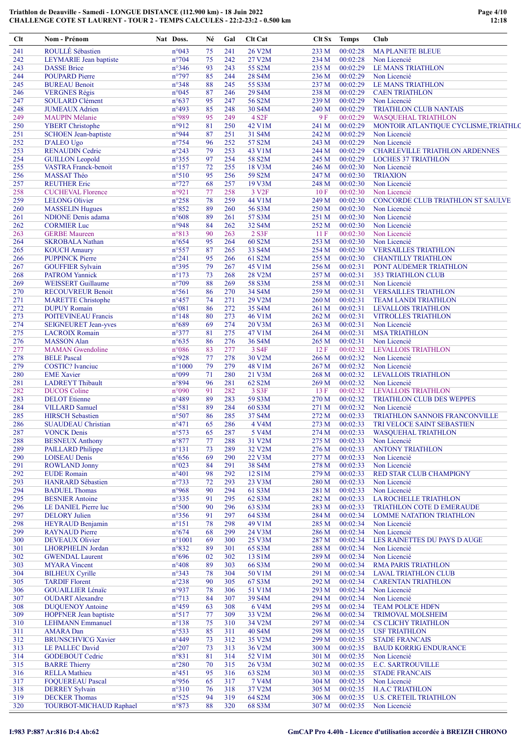| Clt        | Nom - Prénom                                  | Nat Doss.                         | Né       | Gal        | Clt Cat            |                | Clt Sx Temps         | Club                                                      |
|------------|-----------------------------------------------|-----------------------------------|----------|------------|--------------------|----------------|----------------------|-----------------------------------------------------------|
| 241        | ROULLÉ Sébastien                              | n°043                             | 75       | 241        | 26 V2M             | 233 M          | 00:02:28             | <b>MAPLANETE BLEUE</b>                                    |
| 242        | LEYMARIE Jean baptiste                        | $n^{\circ}704$                    | 75       | 242        | 27 V2M             | 234 M          | 00:02:28             | Non Licencié                                              |
| 243        | <b>DASSE</b> Brice                            | $n^{\circ}346$                    | 93       | 243        | 55 S2M             | 235 M          | 00:02:29             | <b>LE MANS TRIATHLON</b>                                  |
| 244        | <b>POUPARD Pierre</b>                         | $n^{\circ}797$                    | 85       | 244        | 28 S4M             | 236 M          | 00:02:29             | Non Licencié                                              |
| 245        | <b>BUREAU Benoit</b>                          | $n^{\circ}348$                    | 88       | 245        | 55 S3M             | 237 M          | 00:02:29             | <b>LE MANS TRIATHLON</b>                                  |
| 246        | <b>VERGNES Régis</b>                          | n°045                             | 87       | 246        | 29 S4M             | 238 M          | 00:02:29             | <b>CAEN TRIATHLON</b>                                     |
| 247        | SOULARD Clément                               | $n^{\circ}637$                    | 95       | 247        | 56 S2M             | 239 M          | 00:02:29             | Non Licencié                                              |
| 248        | <b>JUMEAUX</b> Adrien                         | n°493                             | 85       | 248        | 30 S4M             | 240 M          | 00:02:29             | <b>TRIATHLON CLUB NANTAIS</b>                             |
| 249        | <b>MAUPIN Mélanie</b>                         | n°989                             | 95       | 249        | 4 S <sub>2</sub> F | 9F             | 00:02:29             | <b>WASQUEHAL TRIATHLON</b>                                |
| 250        | <b>YBERT</b> Christophe                       | n°912                             | 81       | 250        | 42 V1M             | 241 M          | 00:02:29             | MONTOIR ATLANTIQUE CYCLISME, TRIATHLO                     |
| 251        | <b>SCHOEN</b> Jean-baptiste                   | n°944                             | 87       | 251        | 31 S4M             | 242 M          | 00:02:29             | Non Licencié                                              |
| 252        | D'ALEO Ugo                                    | $n^{\circ}$ 754                   | 96       | 252        | 57 S2M             | 243 M          | 00:02:29             | Non Licencié                                              |
| 253        | <b>RENAUDIN Cedric</b>                        | $n^{\circ}243$                    | 79       | 253        | 43 V1M             | 244 M          | 00:02:29             | CHARLEVILLE TRIATHLON ARDENNES                            |
| 254        | <b>GUILLON Leopold</b>                        | $n^{\circ}355$                    | 97       | 254        | 58 S2M             | 245 M          | 00:02:29             | <b>LOCHES 37 TRIATHLON</b>                                |
| 255        | <b>VASTRA Franck-benoit</b>                   | $n^{\circ}157$                    | 72       | 255        | 18 V3M             | 246 M          | 00:02:30             | Non Licencié                                              |
| 256        | MASSAT Théo                                   | $n^{\circ}510$                    | 95       | 256        | 59 S2M             | 247 M          | 00:02:30             | <b>TRIAXION</b>                                           |
| 257        | <b>REUTHER Eric</b>                           | $n^{\circ}727$                    | 68       | 257        | 19 V3M             | 248 M          | 00:02:30             | Non Licencié                                              |
| 258        | <b>CUCHEVAL Florence</b>                      | n°921                             | 77       | 258        | 3 V <sub>2F</sub>  | 10F            | 00:02:30             | Non Licencié                                              |
| 259<br>260 | <b>LELONG Olivier</b>                         | $n^{\circ}258$<br>$n^{\circ}852$  | 78<br>89 | 259<br>260 | 44 V1M             | 249 M<br>250 M | 00:02:30<br>00:02:30 | CONCORDE CLUB TRIATHLON ST SAULVE                         |
|            | <b>MASSELIN Hugues</b>                        |                                   |          |            | 56 S3M             |                |                      | Non Licencié                                              |
| 261        | <b>NDIONE</b> Denis adama                     | $n^{\circ}608$                    | 89<br>84 | 261        | 57 S3M             | 251 M          | 00:02:30             | Non Licencié<br>Non Licencié                              |
| 262        | <b>CORMIER Luc</b>                            | n°948                             | 90       | 262        | 32 S4M             | 252 M          | 00:02:30             |                                                           |
| 263        | <b>GERBE</b> Maureen                          | n°813                             | 95       | 263        | 2 S3F<br>60 S2M    | 11F<br>253 M   | 00:02:30<br>00:02:30 | Non Licencié<br>Non Licencié                              |
| 264        | <b>SKROBALA Nathan</b>                        | $n^{\circ}654$                    |          | 264        |                    |                | 00:02:30             |                                                           |
| 265<br>266 | <b>KOUCH Amaury</b><br><b>PUPPINCK Pierre</b> | $n^{\circ}$ 557<br>$n^{\circ}241$ | 87<br>95 | 265<br>266 | 33 S4M<br>61 S2M   | 254 M<br>255 M | 00:02:30             | <b>VERSAILLES TRIATHLON</b><br><b>CHANTILLY TRIATHLON</b> |
| 267        | <b>GOUFFIER Sylvain</b>                       | n°395                             | 79       | 267        | 45 V1M             |                | 00:02:31             |                                                           |
| 268        | <b>PATROM Yannick</b>                         | $n^{\circ}173$                    | 73       | 268        | 28 V2M             | 256 M<br>257 M | 00:02:31             | PONT AUDEMER TRIATHLON<br><b>353 TRIATHLON CLUB</b>       |
| 269        | <b>WEISSERT Guillaume</b>                     | $n^{\circ}709$                    | 88       | 269        | 58 S3M             | 258 M          | 00:02:31             | Non Licencié                                              |
| 270        | <b>RECOUVREUR Benoit</b>                      | $n^{\circ}561$                    | 86       | 270        | 34 S4M             | 259 M          | 00:02:31             | <b>VERSAILLES TRIATHLON</b>                               |
| 271        | <b>MARETTE Christophe</b>                     | $n^{\circ}457$                    | 74       | 271        | 29 V2M             | 260 M          | 00:02:31             | <b>TEAM LANDI TRIATHLON</b>                               |
| 272        | <b>DUPUY</b> Romain                           | $n^{\circ}081$                    | 86       | 272        | 35 S4M             | 261 M          | 00:02:31             | <b>LEVALLOIS TRIATHLON</b>                                |
| 273        | <b>POITEVINEAU Francis</b>                    | $n^{\circ}148$                    | 80       | 273        | 46 V1M             | 262 M          | 00:02:31             | <b>VITROLLES TRIATHLON</b>                                |
| 274        | <b>SEIGNEURET Jean-yves</b>                   | $n^{\circ}689$                    | 69       | 274        | 20 V3M             | 263 M          | 00:02:31             | Non Licencié                                              |
| 275        | <b>LACROIX Romain</b>                         | $n^{\circ}377$                    | 81       | 275        | 47 V1M             | 264 M          | 00:02:31             | <b>MSA TRIATHLON</b>                                      |
| 276        | <b>MASSON</b> Alan                            | $n^{\circ}635$                    | 86       | 276        | 36 S4M             | 265 M          | 00:02:31             | Non Licencié                                              |
| 277        | <b>MAMAN</b> Gwendoline                       | $n^{\circ}086$                    | 83       | 277        | 3 S4F              | 12F            | 00:02:32             | <b>LEVALLOIS TRIATHLON</b>                                |
| 278        | <b>BELE Pascal</b>                            | n°928                             | 77       | 278        | 30 V2M             | 266 M          | 00:02:32             | Non Licencié                                              |
| 279        | <b>COSTIC?</b> Ivanciuc                       | $n^{\circ}1000$                   | 79       | 279        | 48 V1M             | 267 M          | 00:02:32             | Non Licencié                                              |
| 280        | <b>EME</b> Xavier                             | n°099                             | 71       | 280        | 21 V3M             | 268 M          | 00:02:32             | <b>LEVALLOIS TRIATHLON</b>                                |
| 281        | <b>LADREYT Thibault</b>                       | n°894                             | 96       | 281        | 62 S2M             | 269 M          | 00:02:32             | Non Licencié                                              |
| 282        | <b>DUCOS</b> Coline                           | n°090                             | 91       | 282        | 3 S3F              | 13F            | 00:02:32             | <b>LEVALLOIS TRIATHLON</b>                                |
| 283        | <b>DELOT</b> Etienne                          | $n^{\circ}489$                    | 89       | 283        | 59 S3M             | 270 M          | 00:02:32             | <b>TRIATHLON CLUB DES WEPPES</b>                          |
| 284        | <b>VILLARD</b> Samuel                         | n°581                             | 89       | 284        | 60 S3M             | 271 M          | 00:02:32             | Non Licencié                                              |
| 285        | <b>HIRSCH Sebastien</b>                       | n°507                             | 86       | 285        | 37 S4M             | 272 M          | 00:02:33             | TRIATHLON SANNOIS FRANCONVILLE                            |
| 286        | <b>SUAUDEAU Christian</b>                     | $n^{\circ}471$                    | 65       | 286        | 4 V4M              | 273 M          | 00:02:33             | TRI VELOCE SAINT SEBASTIEN                                |
| 287        | <b>VONCK Denis</b>                            | $n^{\circ}573$                    | 65       | 287        | 5 V4M              | 274 M          | 00:02:33             | <b>WASQUEHAL TRIATHLON</b>                                |
| 288        | <b>BESNEUX Anthony</b>                        | $n^{\circ}877$                    | 77       | 288        | 31 V2M             | 275 M          | 00:02:33             | Non Licencié                                              |
| 289        | <b>PAILLARD Philippe</b>                      | $n^{\circ}131$                    | 73       | 289        | 32 V2M             | 276 M          | 00:02:33             | <b>ANTONY TRIATHLON</b>                                   |
| 290        | <b>LOISEAU</b> Denis                          | $n^{\circ}656$                    | 69       | 290        | 22 V3M             | 277 M          | 00:02:33             | Non Licencié                                              |
| 291        | <b>ROWLAND Jonny</b>                          | $n^{\circ}023$                    | 84       | 291        | 38 S4M             | 278 M          | 00:02:33             | Non Licencié                                              |
| 292        | <b>EUDE</b> Romain                            | $n^{\circ}401$                    | 98       | 292        | 12 S1M             | 279 M          | 00:02:33             | RED STAR CLUB CHAMPIGNY                                   |
| 293        | <b>HANRARD</b> Sébastien                      | $n^{\circ}733$                    | 72       | 293        | 23 V3M             | 280 M          | 00:02:33             | Non Licencié                                              |
| 294        | <b>BADUEL Thomas</b>                          | n°968                             | 90       | 294        | 61 S3M             | 281 M          | 00:02:33             | Non Licencié                                              |
| 295        | <b>BESNIER Antoine</b>                        | $n^{\circ}335$                    | 91       | 295        | 62 S3M             | 282 M          | 00:02:33             | <b>LA ROCHELLE TRIATHLON</b>                              |
| 296        | LE DANIEL Pierre luc                          | $n^{\circ}500$                    | 90       | 296        | 63 S3M             | 283 M          | 00:02:33             | TRIATHLON COTE D EMERAUDE                                 |
| 297        | <b>DELORY</b> Julien                          | $n^{\circ}356$                    | 91       | 297        | 64 S3M             | 284 M          | 00:02:34             | <b>LOMME NATATION TRIATHLON</b>                           |
| 298        | <b>HEYRAUD Benjamin</b>                       | $n^{\circ}151$                    | 78       | 298        | 49 V1M             | 285 M          | 00:02:34             | Non Licencié                                              |
| 299        | <b>RAYNAUD Pierre</b>                         | $n^{\circ}674$                    | 68       | 299        | 24 V3M             | 286 M          | 00:02:34             | Non Licencié                                              |
| 300        | <b>DEVEAUX Olivier</b>                        | $n^{\circ}1001$                   | 69       | 300        | 25 V3M             | 287 M          | 00:02:34             | LES RAINETTES DU PAYS D AUGE                              |
| 301        | <b>LHORPHELIN Jordan</b>                      | $n^{\circ}832$                    | 89       | 301        | 65 S3M             | 288 M          | 00:02:34             | Non Licencié                                              |
| 302        | <b>GWENDAL Laurent</b>                        | $n^{\circ}696$                    | 02       | 302        | 13 S1M             | 289 M          | 00:02:34             | Non Licencié                                              |
| 303        | <b>MYARA</b> Vincent                          | $n^{\circ}408$                    | 89       | 303        | 66 S3M             | 290 M          | 00:02:34             | <b>RMA PARIS TRIATHLON</b>                                |
| 304        | <b>BILHEUX Cyrille</b>                        | $n^{\circ}343$                    | 78       | 304        | 50 V1M             | 291 M          | 00:02:34             | <b>LAVAL TRIATHLON CLUB</b>                               |
| 305        | <b>TARDIF Florent</b>                         | $n^{\circ}238$                    | 90       | 305        | 67 S3M             | 292 M          | 00:02:34             | <b>CARENTAN TRIATHLON</b>                                 |
| 306        | <b>GOUAILLIER Lénaïc</b>                      | n°937                             | 78       | 306        | 51 V1M             | 293 M          | 00:02:34             | Non Licencié                                              |
| 307        | <b>OUDART</b> Alexandre                       | $n^{\circ}713$                    | 84       | 307        | 39 S4M             | 294 M          | 00:02:34             | Non Licencié                                              |
| 308        | <b>DUQUENOY Antoine</b>                       | $n^{\circ}459$                    | 63       | 308        | 6 V4M              | 295 M          | 00:02:34             | <b>TEAM POLICE HDFN</b>                                   |
| 309        | <b>HOPFNER</b> Jean baptiste                  | $n^{\circ}517$                    | 77       | 309        | 33 V2M             | 296 M          | 00:02:34             | <b>TRIMOVAL MOLSHEIM</b>                                  |
| 310        | <b>LEHMANN Emmanuel</b>                       | $n^{\circ}138$                    | 75       | 310        | 34 V2M             | 297 M          | 00:02:34             | <b>CS CLICHY TRIATHLON</b>                                |
| 311        | <b>AMARA</b> Dan                              | $n^{\circ}533$                    | 85       | 311        | 40 S4M             | 298 M          | 00:02:35             | <b>USF TRIATHLON</b>                                      |
| 312        | <b>BRUNSCHVICG Xavier</b>                     | $n^{\circ}449$                    | 73       | 312        | 35 V2M             | 299 M          | 00:02:35             | <b>STADE FRANCAIS</b>                                     |
| 313        | LE PALLEC David                               | $n^{\circ}207$                    | 73       | 313        | 36 V2M             | 300 M          | 00:02:35             | <b>BAUD KORRIG ENDURANCE</b>                              |
| 314        | <b>GODEBOUT Cedric</b>                        | $n^{\circ}831$                    | 81       | 314        | 52 V1M             | 301 M          | 00:02:35             | Non Licencié                                              |
| 315        | <b>BARRE Thierry</b>                          | $n^{\circ}280$                    | 70       | 315        | 26 V3M             | 302 M          | 00:02:35             | <b>E.C. SARTROUVILLE</b>                                  |
| 316        | <b>RELLA Mathieu</b>                          | $n^{\circ}451$                    | 95       | 316        | 63 S2M             | 303 M          | 00:02:35             | <b>STADE FRANCAIS</b>                                     |
| 317        | <b>FOQUEREAU Pascal</b>                       | n°956                             | 65       | 317        | 7 V4M              | 304 M          | 00:02:35             | Non Licencié                                              |
| 318        | <b>DERREY Sylvain</b>                         | $n^{\circ}310$                    | 76       | 318        | 37 V2M             | 305 M          | 00:02:35             | <b>H.A.C TRIATHLON</b>                                    |
| 319        | <b>DECKER Thomas</b>                          | $n^{\circ}525$                    | 94       | 319        | 64 S2M             | 306 M          | 00:02:35             | <b>U.S. CRETEIL TRIATHLON</b>                             |
| 320        | <b>TOURBOT-MICHAUD Raphael</b>                | $n^{\circ}873$                    | 88       | 320        | 68 S3M             | 307 M          | 00:02:35             | Non Licencié                                              |
|            |                                               |                                   |          |            |                    |                |                      |                                                           |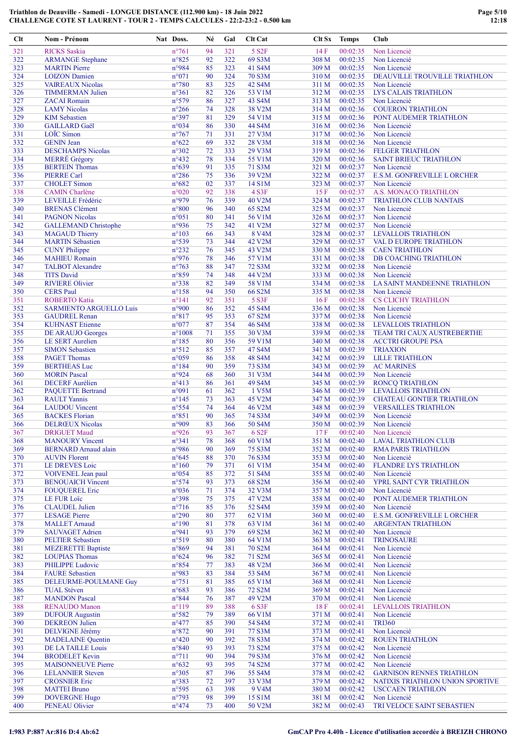| $Clt$      | Nom - Prénom                                     | Nat Doss.               | Né       | Gal        | <b>Clt Cat</b>     |                | Clt Sx Temps         | Club                                    |
|------------|--------------------------------------------------|-------------------------|----------|------------|--------------------|----------------|----------------------|-----------------------------------------|
| 321        | <b>RICKS</b> Saskia                              | $n^{\circ}761$          | 94       | 321        | 5 S <sub>2</sub> F | 14F            | 00:02:35             | Non Licencié                            |
| 322        | <b>ARMANGE</b> Stephane                          | $n^{\circ}825$          | 92       | 322        | 69 S3M             | 308 M          | 00:02:35             | Non Licencié                            |
| 323        | <b>MARTIN</b> Pierre                             | n°984                   | 85       | 323        | 41 S4M             | 309 M          | 00:02:35             | Non Licencié                            |
| 324        | <b>LOIZON</b> Damien                             | n°071                   | 90       | 324        | 70 S3M             | 310 M          | 00:02:35             | DEAUVILLE TROUVILLE TRIATHLON           |
| 325        | <b>VAIREAUX Nicolas</b>                          | $n^{\circ}780$          | 83       | 325        | 42 S4M             | 311 M          | 00:02:35             | Non Licencié                            |
| 326        | <b>TIMMERMAN Julien</b>                          | $n^{\circ}361$          | 82       | 326        | 53 V1M             | 312 M          | 00:02:35             | LYS CALAIS TRIATHLON                    |
| 327        | <b>ZACAI</b> Romain                              | n°579                   | 86       | 327        | 43 S4M             | 313 M          | 00:02:35             | Non Licencié                            |
| 328        | <b>LAMY</b> Nicolas                              | $n^{\circ}266$          | 74       | 328        | 38 V2M             | 314 M          | 00:02:36             | <b>COUERON TRIATHLON</b>                |
| 329        | <b>KIM</b> Sebastien                             | n°397                   | 81       | 329        | 54 V1M             | 315 M          | 00:02:36             | PONT AUDEMER TRIATHLON                  |
| 330        | <b>GAILLARD</b> Gaël                             | n°034                   | 86       | 330        | 44 S4M             | 316 M          | 00:02:36             | Non Licencié                            |
| 331        | LOÏC Simon                                       | $n^{\circ}767$          | 71       | 331        | 27 V3M             | 317 M          | 00:02:36             | Non Licencié                            |
| 332        | <b>GENIN Jean</b>                                | $n^{\circ}622$          | 69       | 332        | 28 V3M             | 318 M          | 00:02:36             | Non Licencié<br><b>FELGER TRIATHLON</b> |
| 333<br>334 | <b>DESCHAMPS Nicolas</b><br><b>MERRÉ</b> Grégory | n°302<br>$n^{\circ}432$ | 72<br>78 | 333<br>334 | 29 V3M<br>55 V1M   | 319 M<br>320 M | 00:02:36<br>00:02:36 | <b>SAINT BRIEUC TRIATHLON</b>           |
| 335        | <b>BERTEIN Thomas</b>                            | $n^{\circ}639$          | 91       | 335        | 71 S3M             | 321 M          | 00:02:37             | Non Licencié                            |
| 336        | <b>PIERRE Carl</b>                               | $n^{\circ}286$          | 75       | 336        | 39 V2M             | 322 M          | 00:02:37             | E.S.M. GONFREVILLE L ORCHER             |
| 337        | <b>CHOLET</b> Simon                              | $n^{\circ}682$          | 02       | 337        | 14 S1M             | 323 M          | 00:02:37             | Non Licencié                            |
| 338        | <b>CAMIN</b> Charlène                            | $n^{\circ}020$          | 92       | 338        | 4 S3F              | 15F            | 00:02:37             | A.S. MONACO TRIATHLON                   |
| 339        | LEVEILLE Frédéric                                | n°979                   | 76       | 339        | 40 V2M             | 324 M          | 00:02:37             | TRIATHLON CLUB NANTAIS                  |
| 340        | <b>BRENAS Clément</b>                            | $n^{\circ}800$          | 96       | 340        | 65 S2M             | 325 M          | 00:02:37             | Non Licencié                            |
| 341        | <b>PAGNON Nicolas</b>                            | n°051                   | 80       | 341        | 56 V1M             | 326 M          | 00:02:37             | Non Licencié                            |
| 342        | <b>GALLEMAND Christophe</b>                      | n°936                   | 75       | 342        | 41 V2M             | 327 M          | 00:02:37             | Non Licencié                            |
| 343        | <b>MAGAUD Thierry</b>                            | $n^{\circ}103$          | 66       | 343        | 8 V4M              | 328 M          | 00:02:37             | <b>LEVALLOIS TRIATHLON</b>              |
| 344        | <b>MARTIN Sébastien</b>                          | n°539                   | 73       | 344        | 42 V2M             | 329 M          | 00:02:37             | VAL D EUROPE TRIATHLON                  |
| 345        | <b>CUNY Philippe</b>                             | $n^{\circ}232$          | 76       | 345        | 43 V2M             | 330 M          | 00:02:38             | <b>CAEN TRIATHLON</b>                   |
| 346        | <b>MAHIEU Romain</b>                             | n°976                   | 78       | 346        | 57 V1M             | 331 M          | 00:02:38             | DB COACHING TRIATHLON                   |
| 347        | <b>TALBOT</b> Alexandre                          | $n^{\circ}763$          | 88       | 347        | 72 S3M             | 332 M          | 00:02:38             | Non Licencié                            |
| 348        | <b>TITS David</b>                                | n°859                   | 74       | 348        | 44 V2M             | 333 M          | 00:02:38             | Non Licencié                            |
| 349        | <b>RIVIERE Olivier</b>                           | n°338                   | 82       | 349        | 58 V1M             | 334 M          | 00:02:38             | LA SAINT MANDEENNE TRIATHLON            |
| 350        | <b>CERS</b> Paul                                 | $n^{\circ}$ 158         | 94       | 350        | 66 S2M             | 335 M          | 00:02:38             | Non Licencié                            |
| 351        | <b>ROBERTO Katia</b>                             | $n^{\circ}141$          | 92       | 351        | 5 S3F              | 16F            | 00:02:38             | <b>CS CLICHY TRIATHLON</b>              |
| 352        | <b>SARMIENTO ARGUELLO Luis</b>                   | n°900                   | 86       | 352        | 45 S4M             | 336 M          | 00:02:38             | Non Licencié                            |
| 353        | <b>GAUDREL Renan</b>                             | n°817                   | 95       | 353        | 67 S2M             | 337 M          | 00:02:38             | Non Licencié                            |
| 354        | <b>KUHNAST Etienne</b>                           | n°077                   | 87       | 354        | 46 S4M             | 338 M          | 00:02:38             | <b>LEVALLOIS TRIATHLON</b>              |
| 355        | <b>DE ARAUJO Georges</b>                         | $n^{\circ}1008$         | 71       | 355        | 30 V3M             | 339 M          | 00:02:38             | TEAM TRI CAUX AUSTREBERTHE              |
| 356        | <b>LE SERT Aurelien</b>                          | $n^{\circ}185$          | 80       | 356        | 59 V1M             | 340 M          | 00:02:38             | <b>ACCTRI GROUPE PSA</b>                |
| 357        | <b>SIMON Sebastien</b>                           | $n^{\circ}512$          | 85       | 357        | 47 S4M             | 341 M          | 00:02:39             | <b>TRIAXION</b>                         |
| 358        | <b>PAGET Thomas</b>                              | n°059                   | 86       | 358        | 48 S4M             | 342 M          | 00:02:39             | <b>LILLE TRIATHLON</b>                  |
| 359<br>360 | <b>BERTHEAS</b> Luc<br><b>MORIN</b> Pascal       | $n^{\circ}184$<br>n°924 | 90<br>68 | 359<br>360 | 73 S3M<br>31 V3M   | 343 M<br>344 M | 00:02:39<br>00:02:39 | <b>AC MARINES</b><br>Non Licencié       |
| 361        | <b>DECERF</b> Aurélien                           | $n^{\circ}413$          | 86       | 361        | 49 S4M             | 345 M          | 00:02:39             | <b>RONCQ TRIATHLON</b>                  |
| 362        | <b>PAQUETTE Bertrand</b>                         | n°091                   | 61       | 362        | 1 V5M              | 346 M          | 00:02:39             | <b>LEVALLOIS TRIATHLON</b>              |
| 363        | <b>RAULT</b> Yannis                              | $n^{\circ}$ 145         | 73       | 363        | 45 V2M             | 347 M          | 00:02:39             | <b>CHATEAU GONTIER TRIATHLON</b>        |
| 364        | <b>LAUDOU</b> Vincent                            | n°554                   | 74       | 364        | 46 V2M             | 348 M          | 00:02:39             | <b>VERSAILLES TRIATHLON</b>             |
| 365        | <b>BACKES</b> Florian                            | n°851                   | 90       | 365        | 74 S3M             | 349 M          | 00:02:39             | Non Licencié                            |
| 366        | <b>DELRŒUX Nicolas</b>                           | n°909                   | 83       | 366        | 50 S4M             | 350 M          | 00:02:39             | Non Licencié                            |
| 367        | <b>DRIGUET Maud</b>                              | n°926                   | 93       | 367        | 6 S <sub>2F</sub>  | 17F            | 00:02:40             | Non Licencié                            |
| 368        | <b>MANOURY Vincent</b>                           | $n^{\circ}341$          | 78       | 368        | 60 V1M             | 351 M          | 00:02:40             | <b>LAVAL TRIATHLON CLUB</b>             |
| 369        | <b>BERNARD</b> Arnaud alain                      | n°986                   | 90       | 369        | 75 S3M             | 352 M          | 00:02:40             | <b>RMA PARIS TRIATHLON</b>              |
| 370        | <b>AUVIN Florent</b>                             | $n^{\circ}645$          | 88       | 370        | 76 S3M             | 353 M          | 00:02:40             | Non Licencié                            |
| 371        | LE DREVES Loic                                   | $n^{\circ}160$          | 79       | 371        | 61 V1M             | 354 M          | 00:02:40             | <b>FLANDRE LYS TRIATHLON</b>            |
| 372        | VOIVENEL Jean paul                               | $n^{\circ}054$          | 85       | 372        | 51 S4M             | 355 M          | 00:02:40             | Non Licencié                            |
| 373        | <b>BENOUAICH Vincent</b>                         | $n^{\circ}574$          | 93       | 373        | 68 S2M             | 356 M          | 00:02:40             | YPRL SAINT CYR TRIATHLON                |
| 374        | <b>FOUQUEREL Eric</b>                            | n°036                   | 71       | 374        | 32 V3M             | 357 M          | 00:02:40             | Non Licencié                            |
| 375        | LE FUR Loïc                                      | $n^{\circ}398$          | 75       | 375        | 47 V2M             | 358 M          | 00:02:40             | PONT AUDEMER TRIATHLON                  |
| 376        | <b>CLAUDEL</b> Julien                            | $n^{\circ}716$          | 85       | 376        | 52 S4M             | 359 M          | 00:02:40             | Non Licencié                            |
| 377        | <b>LESAGE Pierre</b>                             | $n^{\circ}290$          | 80       | 377        | 62 V1M             | 360 M          | 00:02:40             | E.S.M. GONFREVILLE L ORCHER             |
| 378        | <b>MALLET</b> Arnaud                             | $n^{\circ}190$          | 81       | 378        | 63 V1M             | 361 M          | 00:02:40             | <b>ARGENTAN TRIATHLON</b>               |
| 379        | <b>SAUVAGET Adrien</b>                           | n°941                   | 93       | 379        | 69 S2M             | 362 M          | 00:02:40             | Non Licencié                            |
| 380        | <b>PELTIER Sebastien</b>                         | n°519                   | 80       | 380        | 64 V1M             | 363 M          | 00:02:41             | <b>TRINOSAURE</b>                       |
| 381        | <b>MEZERETTE Baptiste</b>                        | n°869<br>$n^{\circ}624$ | 94       | 381        | 70 S2M             | 364 M          | 00:02:41             | Non Licencié                            |
| 382<br>383 | <b>LOUPIAS Thomas</b><br><b>PHILIPPE Ludovic</b> | n°854                   | 96<br>77 | 382<br>383 | 71 S2M<br>48 V2M   | 365 M<br>366 M | 00:02:41<br>00:02:41 | Non Licencié<br>Non Licencié            |
| 384        | <b>FAURE</b> Sebastien                           | n°983                   | 83       | 384        | 53 S4M             | 367 M          | 00:02:41             | Non Licencié                            |
| 385        | DELEURME-POULMANE Guy                            | $n^{\circ}751$          | 81       | 385        | 65 V1M             | 368 M          | 00:02:41             | Non Licencié                            |
| 386        | <b>TUAL Stéven</b>                               | n°683                   | 93       | 386        | 72 S2M             | 369 M          | 00:02:41             | Non Licencié                            |
| 387        | <b>MANDON Pascal</b>                             | $n^{\circ}844$          | 76       | 387        | 49 V2M             | 370 M          | 00:02:41             | Non Licencié                            |
| 388        | <b>RENAUDO</b> Manon                             | $n^{\circ}119$          | 89       | 388        | 6 S3F              | 18F            | 00:02:41             | <b>LEVALLOIS TRIATHLON</b>              |
| 389        | <b>DUFOUR Augustin</b>                           | n°582                   | 79       | 389        | 66 V1M             | 371 M          | 00:02:41             | Non Licencié                            |
| 390        | <b>DEKREON Julien</b>                            | $n^{\circ}477$          | 85       | 390        | 54 S4M             | 372 M          | 00:02:41             | <b>TRI360</b>                           |
| 391        | <b>DELVIGNE Jérémy</b>                           | $n^{\circ}872$          | 90       | 391        | 77 S3M             | 373 M          | 00:02:41             | Non Licencié                            |
| 392        | <b>MADELAINE Quentin</b>                         | $n^{\circ}420$          | 90       | 392        | 78 S3M             | 374 M          | 00:02:42             | <b>ROUEN TRIATHLON</b>                  |
| 393        | DE LA TAILLE Louis                               | $n^{\circ}840$          | 93       | 393        | 73 S2M             | 375 M          | 00:02:42             | Non Licencié                            |
| 394        | <b>BRODELET Kevin</b>                            | $n^{\circ}711$          | 90       | 394        | 79 S3M             | 376 M          | 00:02:42             | Non Licencié                            |
| 395        | <b>MAISONNEUVE Pierre</b>                        | $n^{\circ}632$          | 93       | 395        | 74 S2M             | 377 M          | 00:02:42             | Non Licencié                            |
| 396        | <b>LELANNIER Steven</b>                          | n°305                   | 87       | 396        | 55 S4M             | 378 M          | 00:02:42             | <b>GARNISON RENNES TRIATHLON</b>        |
| 397        | <b>CROSNIER Eric</b>                             | n°383                   | 72       | 397        | 33 V3M             | 379 M          | 00:02:42             | NATIXIS TRIATHLON UNION SPORTIVE        |
| 398        | <b>MATTEI Bruno</b>                              | n°595                   | 63       | 398        | 9 V <sub>4</sub> M | 380 M          | 00:02:42             | <b>USCCAEN TRIATHLON</b>                |
| 399        | <b>DOVERGNE Hugo</b>                             | n°793                   | 98       | 399        | 15 S1M             | 381 M          | 00:02:42             | Non Licencié                            |
| 400        | <b>PENEAU Olivier</b>                            | $n^{\circ}474$          | 73       | 400        | 50 V2M             | 382 M          | 00:02:43             | TRI VELOCE SAINT SEBASTIEN              |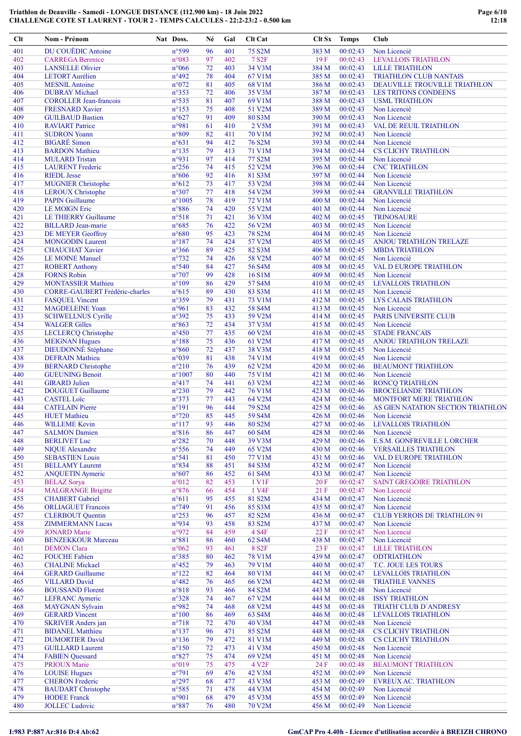| Clt        | Nom - Prénom                                        | Nat Doss.                         | Né       | Gal        | <b>Clt Cat</b>                     |                | Clt Sx Temps         | Club                                         |
|------------|-----------------------------------------------------|-----------------------------------|----------|------------|------------------------------------|----------------|----------------------|----------------------------------------------|
| 401        | DU COUËDIC Antoine                                  | n°599                             | 96       | 401        | 75 S2M                             | 383 M          | 00:02:43             | Non Licencié                                 |
| 402        | <b>CARREGA Berenice</b>                             | n°083                             | 97       | 402        | <b>7 S2F</b>                       | 19F            | 00:02:43             | <b>LEVALLOIS TRIATHLON</b>                   |
| 403        | <b>LANSELLE Olivier</b>                             | $n^{\circ}066$                    | 72       | 403        | 34 V3M                             | 384 M          | 00:02:43             | <b>LILLE TRIATHLON</b>                       |
| 404        | <b>LETORT</b> Aurélien                              | $n^{\circ}492$                    | 78       | 404        | 67 V1M                             | 385 M          | 00:02:43             | TRIATHLON CLUB NANTAIS                       |
| 405        | <b>MESNIL</b> Antoine                               | $n^{\circ}072$                    | 81       | 405        | 68 V1M                             | 386 M          | 00:02:43             | DEAUVILLE TROUVILLE TRIATHLON                |
| 406        | <b>DUBRAY</b> Michael                               | $n^{\circ}353$                    | 72       | 406        | 35 V3M                             | 387 M          | 00:02:43             | <b>LES TRITONS CONDEENS</b>                  |
| 407        | <b>COROLLER Jean-francois</b>                       | n°535                             | 81       | 407        | 69 V1M                             | 388 M          | 00:02:43             | <b>USML TRIATHLON</b>                        |
| 408        | <b>FRESNARD Xavier</b>                              | $n^{\circ}153$                    | 75       | 408        | 51 V2M                             | 389 M          | 00:02:43             | Non Licencié                                 |
| 409        | <b>GUILBAUD Bastien</b>                             | $n^{\circ}627$                    | 91       | 409        | 80 S3M                             | 390 M          | 00:02:43             | Non Licencié                                 |
| 410        | <b>RAVIART Patrice</b>                              | n°981                             | 61       | 410        | 2 V5M                              | 391 M          | 00:02:43             | VAL DE REUIL TRIATHLON                       |
| 411        | <b>SUDRON Yoann</b>                                 | n°809                             | 82       | 411        | 70 V1M                             | 392 M          | 00:02:43             | Non Licencié                                 |
| 412        | <b>BIGARÉ</b> Simon                                 | $n^{\circ}631$                    | 94       | 412        | <b>76 S2M</b>                      | 393 M          | 00:02:44             | Non Licencié                                 |
| 413<br>414 | <b>BARDON</b> Mathieu<br><b>MULARD Tristan</b>      | $n^{\circ}$ 135<br>n°931          | 79<br>97 | 413<br>414 | 71 V1M<br>77 S2M                   | 394 M<br>395 M | 00:02:44<br>00:02:44 | CS CLICHY TRIATHLON<br>Non Licencié          |
| 415        | <b>LAURENT</b> Frederic                             | $n^{\circ}256$                    | 74       | 415        | 52 V2M                             | 396 M          | 00:02:44             | <b>CNC TRIATHLON</b>                         |
| 416        | <b>RIEDL Jesse</b>                                  | $n^{\circ}606$                    | 92       | 416        | 81 S3M                             | 397 M          | 00:02:44             | Non Licencié                                 |
| 417        | <b>MUGNIER Christophe</b>                           | $n^{\circ}612$                    | 73       | 417        | 53 V2M                             | 398 M          | 00:02:44             | Non Licencié                                 |
| 418        | <b>LEROUX Christophe</b>                            | $n^{\circ}307$                    | 77       | 418        | 54 V2M                             | 399 M          | 00:02:44             | <b>GRANVILLE TRIATHLON</b>                   |
| 419        | <b>PAPIN Guillaume</b>                              | $n^{\circ}1005$                   | 78       | 419        | 72 V1M                             | 400 M          | 00:02:44             | Non Licencié                                 |
| 420        | <b>LE MOIGN Eric</b>                                | n°886                             | 74       | 420        | 55 V2M                             | 401 M          | 00:02:44             | Non Licencié                                 |
| 421        | <b>LE THIERRY Guillaume</b>                         | n°518                             | 71       | 421        | 36 V3M                             | 402 M          | 00:02:45             | <b>TRINOSAURE</b>                            |
| 422        | <b>BILLARD</b> Jean-marie                           | $n^{\circ}685$                    | 76       | 422        | 56 V2M                             | 403 M          | 00:02:45             | Non Licencié                                 |
| 423        | DE MEYER Geoffroy                                   | $n^{\circ}680$                    | 95       | 423        | <b>78 S2M</b>                      | 404 M          | 00:02:45             | Non Licencié                                 |
| 424        | <b>MONGODIN Laurent</b>                             | $n^{\circ}187$                    | 74       | 424        | 57 V2M                             | 405 M          | 00:02:45             | ANJOU TRIATHLON TRELAZE                      |
| 425        | <b>CHAUCHAT Xavier</b>                              | n°366                             | 89       | 425        | 82 S3M                             | 406 M          | 00:02:45             | <b>MBDA TRIATHLON</b>                        |
| 426        | <b>LE MOINE Manuel</b>                              | $n^{\circ}732$                    | 74       | 426        | 58 V2M                             | 407 M          | 00:02:45             | Non Licencié                                 |
| 427        | <b>ROBERT Anthony</b>                               | n°540                             | 84       | 427        | 56 S4M                             | 408 M          | 00:02:45             | VAL D EUROPE TRIATHLON                       |
| 428        | <b>FORNS Robin</b>                                  | n°707                             | 99       | 428        | 16 S1M                             | 409 M          | 00:02:45             | Non Licencié                                 |
| 429        | <b>MONTASSIER Mathieu</b>                           | $n^{\circ}109$                    | 86       | 429        | 57 S4M                             | 410 M          | 00:02:45             | <b>LEVALLOIS TRIATHLON</b>                   |
| 430        | CORRE-GAUBERT Frédéric-charles                      | $n^{\circ}615$                    | 89       | 430        | 83 S3M                             | 411 M          | 00:02:45             | Non Licencié                                 |
| 431        | <b>FASQUEL Vincent</b>                              | n°359                             | 79       | 431        | 73 V1M                             | 412 M          | 00:02:45             | LYS CALAIS TRIATHLON                         |
| 432        | <b>MAGDELEINE Yoan</b>                              | n°961                             | 83       | 432        | 58 S4M                             | 413 M          | 00:02:45             | Non Licencié                                 |
| 433        | <b>SCHWELLNUS Cyrille</b>                           | n°392                             | 75       | 433        | 59 V2M                             | 414 M          | 00:02:45             | PARIS UNIVERSITE CLUB                        |
| 434        | <b>WALGER Gilles</b>                                | $n^{\circ}863$                    | 72       | 434        | 37 V3M                             | 415 M          | 00:02:45             | Non Licencié                                 |
| 435        | <b>LECLERCQ Christophe</b>                          | $n^{\circ}450$                    | 77       | 435        | 60 V2M                             | 416 M          | 00:02:45             | <b>STADE FRANCAIS</b>                        |
| 436        | <b>MEIGNAN Hugues</b>                               | $n^{\circ}188$                    | 75       | 436        | 61 V2M                             | 417 M          | 00:02:45             | <b>ANJOU TRIATHLON TRELAZE</b>               |
| 437        | DIEUDONNÉ Stéphane                                  | $n^{\circ}860$                    | 72       | 437        | 38 V3M                             | 418 M          | 00:02:45             | Non Licencié                                 |
| 438        | <b>DEFRAIN Mathieu</b>                              | n°039                             | 81       | 438        | 74 V1M                             | 419 M          | 00:02:45             | Non Licencié                                 |
| 439<br>440 | <b>BERNARD</b> Christophe<br><b>GUEUNING Benoit</b> | $n^{\circ}210$<br>$n^{\circ}1007$ | 76<br>80 | 439<br>440 | 62 V2M<br>75 V1M                   | 420 M          | 00:02:46<br>00:02:46 | <b>BEAUMONT TRIATHLON</b><br>Non Licencié    |
| 441        | <b>GIRARD</b> Julien                                | $n^{\circ}417$                    | 74       | 441        | 63 V2M                             | 421 M<br>422 M | 00:02:46             | <b>RONCQ TRIATHLON</b>                       |
| 442        | <b>DOUGUET Guillaume</b>                            | $n^{\circ}230$                    | 79       | 442        | <b>76 V1M</b>                      | 423 M          | 00:02:46             | <b>BROCELIANDE TRIATHLON</b>                 |
| 443        | <b>CASTEL Loïc</b>                                  | $n^{\circ}373$                    | 77       | 443        | 64 V2M                             | 424 M          | 00:02:46             | <b>MONTFORT MERE TRIATHLON</b>               |
| 444        | <b>CATELAIN Pierre</b>                              | $n^{\circ}191$                    | 96       | 444        | 79 S2M                             | 425 M          | 00:02:46             | AS GIEN NATATION SECTION TRIATHLON           |
| 445        | <b>HUET</b> Mathieu                                 | $n^{\circ}720$                    | 85       | 445        | 59 S4M                             | 426 M          | 00:02:46             | Non Licencié                                 |
| 446        | <b>WILLEME Kevin</b>                                | $n^{\circ}117$                    | 93       | 446        | 80 S2M                             | 427 M          | 00:02:46             | LEVALLOIS TRIATHLON                          |
| 447        | <b>SALMON Damien</b>                                | $n^{\circ}816$                    | 86       | 447        | 60 S4M                             | 428 M          | 00:02:46             | Non Licencié                                 |
| 448        | <b>BERLIVET Luc</b>                                 | $n^{\circ}282$                    | 70       | 448        | 39 V3M                             | 429 M          | 00:02:46             | E.S.M. GONFREVILLE L ORCHER                  |
| 449        | <b>NIQUE Alexandre</b>                              | $n^{\circ}$ 556                   | 74       | 449        | 65 V2M                             | 430 M          | 00:02:46             | <b>VERSAILLES TRIATHLON</b>                  |
| 450        | <b>SEBASTIEN Louis</b>                              | n°541                             | 81       | 450        | 77 V1M                             | 431 M          | 00:02:46             | VAL D EUROPE TRIATHLON                       |
| 451        | <b>BELLAMY</b> Laurent                              | n°834                             | 88       | 451        | 84 S3M                             | 432 M          | 00:02:47             | Non Licencié                                 |
| 452        | <b>ANQUETIN</b> Aymeric                             | $n^{\circ}607$                    | 86       | 452        | 61 S4M                             | 433 M          | 00:02:47             | Non Licencié                                 |
| 453        | <b>BELAZ</b> Sorya                                  | n°012                             | 82       | 453        | 1 V1F                              | 20 F           | 00:02:47             | <b>SAINT GREGOIRE TRIATHLON</b>              |
| 454        | <b>MALGRANGE Brigitte</b>                           | $n^{\circ}876$                    | 66       | 454        | 1 V <sub>4F</sub>                  | 21F            | 00:02:47             | Non Licencié                                 |
| 455        | <b>CHABERT</b> Gabriel                              | $n^{\circ}611$                    | 95       | 455        | 81 S2M                             | 434 M          | 00:02:47             | Non Licencié                                 |
| 456        | <b>ORLIAGUET Francois</b>                           | $n^{\circ}$ 749                   | 91       | 456        | 85 S3M                             | 435 M          | 00:02:47             | Non Licencié                                 |
| 457        | <b>CLERBOUT Quentin</b>                             | $n^{\circ}253$                    | 96       | 457        | 82 S2M                             | 436 M          | 00:02:47             | <b>CLUB YERROIS DE TRIATHLON 91</b>          |
| 458        | <b>ZIMMERMANN Lucas</b>                             | n°934                             | 93       | 458        | 83 S2M                             | 437 M          | 00:02:47             | Non Licencié                                 |
| 459        | <b>JONARD Marie</b>                                 | n°972                             | 84       | 459        | 4 S4F                              | 22 F           | 00:02:47             | Non Licencié                                 |
| 460        | <b>BENZEKKOUR Marceau</b>                           | n°881                             | 86       | 460        | 62 S4M                             | 438 M          | 00:02:47             | Non Licencié                                 |
| 461<br>462 | <b>DEMON</b> Clara<br><b>FOUCHE Fabien</b>          | $n^{\circ}062$<br>n°385           | 93<br>80 | 461<br>462 | 8 S <sub>2F</sub><br><b>78 V1M</b> | 23 F<br>439 M  | 00:02:47<br>00:02:47 | <b>LILLE TRIATHLON</b><br><b>ODTRIATHLON</b> |
| 463        | <b>CHALINE Mickael</b>                              | $n^{\circ}452$                    | 79       | 463        | 79 V1M                             | 440 M          | 00:02:47             | T.C. JOUE LES TOURS                          |
| 464        | <b>GERARD</b> Guillaume                             | $n^{\circ}122$                    | 82       | 464        | 80 V1M                             | 441 M          | 00:02:47             | <b>LEVALLOIS TRIATHLON</b>                   |
| 465        | <b>VILLARD David</b>                                | $n^{\circ}482$                    | 76       | 465        | 66 V2M                             | 442 M          | 00:02:48             | <b>TRIATHLE VANNES</b>                       |
| 466        | <b>BOUSSAND Florent</b>                             | n°818                             | 93       | 466        | 84 S2M                             | 443 M          | 00:02:48             | Non Licencié                                 |
| 467        | <b>LEFRANC</b> Aymeric                              | $n^{\circ}328$                    | 74       | 467        | 67 V2M                             | 444 M          | 00:02:48             | <b>ISSY TRIATHLON</b>                        |
| 468        | <b>MAYGNAN Sylvain</b>                              | n°982                             | 74       | 468        | 68 V2M                             | 445 M          | 00:02:48             | TRIATH'CLUB D'ANDRESY                        |
| 469        | <b>GERARD</b> Vincent                               | $n^{\circ}100$                    | 86       | 469        | 63 S4M                             | 446 M          | 00:02:48             | <b>LEVALLOIS TRIATHLON</b>                   |
| 470        | <b>SKRIVER Anders jan</b>                           | $n^{\circ}718$                    | 72       | 470        | 40 V3M                             | 447 M          | 00:02:48             | Non Licencié                                 |
| 471        | <b>BIDANEL Matthieu</b>                             | $n^{\circ}137$                    | 96       | 471        | 85 S2M                             | 448 M          | 00:02:48             | CS CLICHY TRIATHLON                          |
| 472        | <b>DUMORTIER David</b>                              | $n^{\circ}$ 136                   | 79       | 472        | 81 V1M                             | 449 M          | 00:02:48             | <b>CS CLICHY TRIATHLON</b>                   |
| 473        | <b>GUILLARD Laurent</b>                             | $n^{\circ}150$                    | 72       | 473        | 41 V3M                             | 450 M          | 00:02:48             | Non Licencié                                 |
| 474        | <b>FABIEN</b> Quessard                              | $n^{\circ}827$                    | 75       | 474        | 69 V2M                             | 451 M          | 00:02:48             | Non Licencié                                 |
| 475        | <b>PRIOUX Marie</b>                                 | n°019                             | 75       | 475        | 4 V <sub>2F</sub>                  | 24 F           | 00:02:48             | <b>BEAUMONT TRIATHLON</b>                    |
| 476        | <b>LOUISE Hugues</b>                                | n°791                             | 69       | 476        | 42 V3M                             | 452 M          | 00:02:49             | Non Licencié                                 |
| 477        | <b>CHERON</b> Frederic                              | n°297                             | 68       | 477        | 43 V3M                             | 453 M          | 00:02:49             | <b>EVREUX AC. TRIATHLON</b>                  |
| 478        | <b>BAUDART</b> Christophe                           | n°585                             | 71       | 478        | 44 V3M                             | 454 M          | 00:02:49             | Non Licencié                                 |
| 479        | <b>HODEE</b> Franck                                 | n°901                             | 68       | 479        | 45 V3M                             | 455 M          | 00:02:49             | Non Licencié                                 |
| 480        | <b>JOLLEC</b> Ludovic                               | n°887                             | 76       | 480        | 70 V2M                             | 456 M          | 00:02:49             | Non Licencié                                 |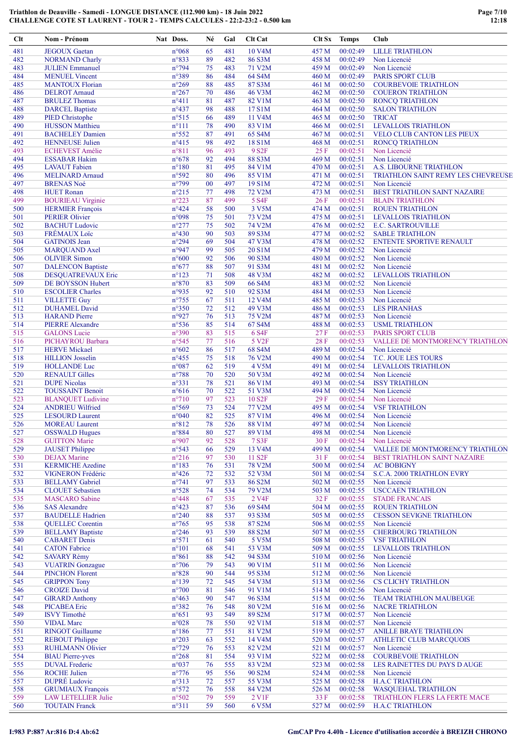| Clt        | Nom - Prénom                                           | Nat Doss.                        | Né       | Gal        | <b>Clt Cat</b>               | Clt Sx         | <b>Temps</b>         | Club                                                 |
|------------|--------------------------------------------------------|----------------------------------|----------|------------|------------------------------|----------------|----------------------|------------------------------------------------------|
| 481        | <b>JEGOUX</b> Gaetan                                   | $n^{\circ}068$                   | 65       | 481        | 10 V <sub>4</sub> M          | 457 M          | 00:02:49             | <b>LILLE TRIATHLON</b>                               |
| 482        | <b>NORMAND Charly</b>                                  | n°833                            | 89       | 482        | 86 S3M                       | 458 M          | 00:02:49             | Non Licencié                                         |
| 483        | <b>JULIEN Emmanuel</b>                                 | $n^{\circ}$ 794                  | 75       | 483        | 71 V2M                       | 459 M          | 00:02:49             | Non Licencié                                         |
| 484        | <b>MENUEL Vincent</b>                                  | n°389                            | 86       | 484        | 64 S4M                       | 460 M          | 00:02:49             | <b>PARIS SPORT CLUB</b>                              |
| 485        | <b>MANTOUX Florian</b>                                 | $n^{\circ}269$                   | 88       | 485        | 87 S3M                       | 461 M          | 00:02:50             | <b>COURBEVOIE TRIATHLON</b>                          |
| 486        | <b>DELROT</b> Arnaud                                   | $n^{\circ}267$                   | 70       | 486        | 46 V3M                       | 462 M          | 00:02:50             | <b>COUERON TRIATHLON</b>                             |
| 487        | <b>BRULEZ Thomas</b>                                   | $n^{\circ}411$                   | 81       | 487        | 82 V1M                       | 463 M          | 00:02:50             | <b>RONCQ TRIATHLON</b>                               |
| 488        | <b>DARCEL Baptiste</b>                                 | $n^{\circ}437$                   | 98       | 488        | 17 S1M                       | 464 M          | 00:02:50             | <b>SALON TRIATHLON</b>                               |
| 489        | PIED Christophe                                        | $n^{\circ}515$                   | 66       | 489        | 11 V4M                       | 465 M          | 00:02:50             | <b>TRICAT</b>                                        |
| 490        | <b>HUSSON</b> Matthieu                                 | $n^{\circ}111$                   | 78       | 490        | 83 V1M                       | 466 M          | 00:02:51             | <b>LEVALLOIS TRIATHLON</b>                           |
| 491        | <b>BACHELEY Damien</b>                                 | $n^{\circ}552$                   | 87       | 491        | 65 S4M                       | 467 M          | 00:02:51             | VELO CLUB CANTON LES PIEUX                           |
| 492        | <b>HENNEUSE Julien</b>                                 | $n^{\circ}415$                   | 98       | 492        | 18 S1M                       | 468 M          | 00:02:51             | <b>RONCO TRIATHLON</b>                               |
| 493        | <b>ECHEVEST Amélie</b>                                 | $n^{\circ}811$                   | 96       | 493        | 9 S <sub>2F</sub>            | 25F            | 00:02:51             | Non Licencié                                         |
| 494<br>495 | <b>ESSABAR Hakim</b>                                   | $n^{\circ}678$                   | 92       | 494        | 88 S3M                       | 469 M          | 00:02:51             | Non Licencié<br><b>A.S. LIBOURNE TRIATHLON</b>       |
| 496        | <b>LAVAUT</b> Fabien<br><b>MELINARD Arnaud</b>         | $n^{\circ}180$<br>n°592          | 81<br>80 | 495<br>496 | 84 V1M<br>85 V1M             | 470 M<br>471 M | 00:02:51<br>00:02:51 | TRIATHLON SAINT REMY LES CHEVREUSE                   |
| 497        | <b>BRENAS Noé</b>                                      | $n^{\circ}$ 799                  | 00       | 497        | 19 S1M                       | 472 M          | 00:02:51             | Non Licencié                                         |
| 498        | <b>HUET Ronan</b>                                      | $n^{\circ}215$                   | 77       | 498        | 72 V2M                       | 473 M          | 00:02:51             | BEST TRIATHLON SAINT NAZAIRE                         |
| 499        | <b>BOURIEAU Virginie</b>                               | $n^{\circ}223$                   | 87       | 499        | 5 S <sub>4F</sub>            | 26F            | 00:02:51             | <b>BLAIN TRIATHLON</b>                               |
| 500        | <b>HERMIER François</b>                                | $n^{\circ}424$                   | 58       | 500        | 3 V5M                        | 474 M          | 00:02:51             | <b>ROUEN TRIATHLON</b>                               |
| 501        | <b>PERIER Olivier</b>                                  | n°098                            | 75       | 501        | 73 V2M                       | 475 M          | 00:02:51             | <b>LEVALLOIS TRIATHLON</b>                           |
| 502        | <b>BACHUT Ludovic</b>                                  | $n^{\circ}277$                   | 75       | 502        | 74 V2M                       | 476 M          | 00:02:52             | <b>E.C. SARTROUVILLE</b>                             |
| 503        | <b>FRÉMAUX</b> Loïc                                    | $n^{\circ}430$                   | 90       | 503        | 89 S3M                       | 477 M          | 00:02:52             | <b>SABLE TRIATHLON</b>                               |
| 504        | <b>GATINOIS</b> Jean                                   | $n^{\circ}294$                   | 69       | 504        | 47 V3M                       | 478 M          | 00:02:52             | ENTENTE SPORTIVE RENAULT                             |
| 505        | <b>MARQUAND Axel</b>                                   | n°947                            | 99       | 505        | 20 S1M                       | 479 M          | 00:02:52             | Non Licencié                                         |
| 506        | <b>OLIVIER Simon</b>                                   | $n^{\circ}600$                   | 92       | 506        | 90 S3M                       | 480 M          | 00:02:52             | Non Licencié                                         |
| 507        | <b>DALENCON Baptiste</b>                               | $n^{\circ}677$                   | 88       | 507        | 91 S3M                       | 481 M          | 00:02:52             | Non Licencié                                         |
| 508        | <b>DESQUATREVAUX Eric</b>                              | $n^{\circ}123$                   | 71       | 508        | 48 V3M                       | 482 M          | 00:02:52             | <b>LEVALLOIS TRIATHLON</b>                           |
| 509        | DE BOYSSON Hubert                                      | $n^{\circ}870$                   | 83       | 509        | 66 S4M                       | 483 M          | 00:02:52             | Non Licencié                                         |
| 510        | <b>ESCOLIER Charles</b>                                | n°935                            | 92       | 510        | 92 S3M                       | 484 M          | 00:02:53             | Non Licencié                                         |
| 511        | <b>VILLETTE Guy</b>                                    | $n^{\circ}$ 755                  | 67       | 511        | 12 V <sub>4</sub> M          | 485 M          | 00:02:53             | Non Licencié                                         |
| 512        | <b>DUHAMEL David</b>                                   | $n^{\circ}350$                   | 72       | 512        | 49 V3M                       | 486 M          | 00:02:53             | <b>LES PIRANHAS</b>                                  |
| 513        | <b>HARAND</b> Pierre                                   | n°927                            | 76       | 513        | 75 V2M                       | 487 M          | 00:02:53             | Non Licencié                                         |
| 514        | <b>PIERRE Alexandre</b>                                | $n^{\circ}536$                   | 85       | 514        | 67 S4M                       | 488 M          | 00:02:53             | <b>USML TRIATHLON</b>                                |
| 515        | <b>GALONS</b> Lucie                                    | n°390                            | 83       | 515        | 6 S <sub>4</sub> F           | 27F            | 00:02:53             | PARIS SPORT CLUB                                     |
| 516        | PICHAYROU Barbara                                      | $n^{\circ}545$                   | 77       | 516        | 5 V <sub>2F</sub>            | 28F            | 00:02:53             | VALLEE DE MONTMORENCY TRIATHLON                      |
| 517        | <b>HERVE Mickael</b>                                   | $n^{\circ}602$                   | 86       | 517        | 68 S4M                       | 489 M          | 00:02:54             | Non Licencié                                         |
| 518        | <b>HILLION</b> Josselin                                | $n^{\circ}455$                   | 75       | 518        | 76 V2M                       | 490 M          | 00:02:54             | T.C. JOUE LES TOURS                                  |
| 519        | <b>HOLLANDE Luc</b>                                    | $n^{\circ}087$                   | 62       | 519        | 4 V5M                        | 491 M          | 00:02:54             | <b>LEVALLOIS TRIATHLON</b>                           |
| 520        | <b>RENAULT Gilles</b>                                  | $n^{\circ}788$                   | 70       | 520        | 50 V3M                       | 492 M          | 00:02:54             | Non Licencié                                         |
| 521        | <b>DUPE Nicolas</b>                                    | $n^{\circ}331$                   | 78       | 521        | 86 V1M                       | 493 M          | 00:02:54             | <b>ISSY TRIATHLON</b>                                |
| 522<br>523 | <b>TOUSSAINT Benoit</b><br><b>BLANQUET Ludivine</b>    | $n^{\circ}616$<br>$n^{\circ}710$ | 70<br>97 | 522<br>523 | 51 V3M<br>10 S <sub>2F</sub> | 494 M<br>29F   | 00:02:54<br>00:02:54 | Non Licencié<br>Non Licencié                         |
| 524        | <b>ANDRIEU Wilfried</b>                                | n°569                            | 73       | 524        | 77 V2M                       | 495 M          | 00:02:54             | <b>VSF TRIATHLON</b>                                 |
| 525        | <b>LESOURD Laurent</b>                                 | $n^{\circ}040$                   | 82       | 525        | 87 V1M                       | 496 M          | 00:02:54             | Non Licencié                                         |
| 526        | <b>MOREAU</b> Laurent                                  | $n^{\circ}812$                   | 78       | 526        | <b>88 V1M</b>                | 497 M          | 00:02:54             | Non Licencié                                         |
| 527        | <b>OSSWALD Hugues</b>                                  | $n^{\circ}884$                   | 80       | 527        | 89 V1M                       | 498 M          | 00:02:54             | Non Licencié                                         |
| 528        | <b>GUITTON Marie</b>                                   | n°907                            | 92       | 528        | 7 S3F                        | 30F            | 00:02:54             | Non Licencié                                         |
| 529        | <b>JAUSET Philippe</b>                                 | n°543                            | 66       | 529        | 13 V4M                       | 499 M          | 00:02:54             | VALLEE DE MONTMORENCY TRIATHLON                      |
| 530        | <b>DEJAX</b> Marine                                    | $n^{\circ}216$                   | 97       | 530        | 11 S <sub>2F</sub>           | 31 F           | 00:02:54             | <b>BEST TRIATHLON SAINT NAZAIRE</b>                  |
| 531        | <b>KERMICHE Azedine</b>                                | $n^{\circ}183$                   | 76       | 531        | 78 V2M                       | 500 M          | 00:02:54             | <b>AC BOBIGNY</b>                                    |
| 532        | VIGNERON Frédéric                                      | $n^{\circ}426$                   | 72       | 532        | 52 V3M                       | 501 M          | 00:02:54             | S.C.A. 2000 TRIATHLON EVRY                           |
| 533        | <b>BELLAMY</b> Gabriel                                 | $n^{\circ}741$                   | 97       | 533        | 86 S2M                       | 502 M          | 00:02:55             | Non Licencié                                         |
| 534        | <b>CLOUET</b> Sebastien                                | $n^{\circ}528$                   | 74       | 534        | 79 V2M                       | 503 M          | 00:02:55             | <b>USCCAEN TRIATHLON</b>                             |
| 535        | <b>MASCARO</b> Sabine                                  | $n^{\circ}448$                   | 67       | 535        | 2 V <sub>4F</sub>            | 32F            | 00:02:55             | <b>STADE FRANCAIS</b>                                |
| 536        | <b>SAS Alexandre</b>                                   | $n^{\circ}423$                   | 87       | 536        | 69 S4M                       | 504 M          | 00:02:55             | <b>ROUEN TRIATHLON</b>                               |
| 537        | <b>BAUDELLE Hadrien</b>                                | $n^{\circ}240$                   | 88       | 537        | 93 S3M                       | 505 M          | 00:02:55             | <b>CESSON SEVIGNE TRIATHLON</b>                      |
| 538        | <b>QUELLEC</b> Corentin                                | $n^{\circ}765$                   | 95       | 538        | 87 S2M                       | 506 M          | 00:02:55             | Non Licencié                                         |
| 539        | <b>BELLAMY Baptiste</b>                                | $n^{\circ}246$                   | 93       | 539        | 88 S2M                       | 507 M          | 00:02:55             | <b>CHERBOURG TRIATHLON</b>                           |
| 540        | <b>CABARET</b> Denis                                   | $n^{\circ}571$                   | 61       | 540        | 5 V5M                        | 508 M          | 00:02:55             | <b>VSF TRIATHLON</b>                                 |
| 541        | <b>CATON Fabrice</b>                                   | $n^{\circ}101$                   | 68       | 541        | 53 V3M                       | 509 M          | 00:02:55             | LEVALLOIS TRIATHLON                                  |
| 542        | <b>SAVARY Rémy</b>                                     | $n^{\circ}861$                   | 88       | 542        | 94 S3M                       | 510 M          | 00:02:56             | Non Licencié                                         |
| 543        | <b>VUATRIN</b> Gonzague                                | $n^{\circ}706$                   | 79       | 543        | 90 V1M                       | 511 M          | 00:02:56             | Non Licencié                                         |
| 544        | <b>PINCHON Florent</b>                                 | $n^{\circ}828$                   | 90       | 544        | 95 S3M                       | 512 M          | 00:02:56             | Non Licencié                                         |
| 545        | <b>GRIPPON Tony</b>                                    | $n^{\circ}139$                   | 72       | 545        | 54 V3M                       | 513 M          | 00:02:56             | CS CLICHY TRIATHLON                                  |
| 546        | <b>CROIZE</b> David                                    | $n^{\circ}700$                   | 81       | 546        | 91 V1M                       | 514 M          | 00:02:56             | Non Licencié                                         |
| 547        | <b>GIRARD Anthony</b>                                  | $n^{\circ}463$                   | 90       | 547        | 96 S3M                       | 515 M          | 00:02:56             | <b>TEAM TRIATHLON MAUBEUGE</b>                       |
| 548        | <b>PICABEA</b> Eric                                    | n°382                            | 76       | 548        | 80 V2M                       | 516 M          | 00:02:56             | <b>NACRE TRIATHLON</b>                               |
| 549        | <b>ISVY</b> Timothé                                    | $n^{\circ}651$                   | 93       | 549        | 89 S2M                       | 517 M          | 00:02:57             | Non Licencié                                         |
| 550        | <b>VIDAL Marc</b>                                      | $n^{\circ}028$                   | 78       | 550        | 92 V1M                       | 518 M          | 00:02:57             | Non Licencié                                         |
| 551        | <b>RINGOT Guillaume</b>                                | $n^{\circ}186$                   | 77       | 551        | 81 V2M                       | 519 M          | 00:02:57             | <b>ANILLE BRAYE TRIATHLON</b>                        |
| 552        | <b>REBOUT Philippe</b>                                 | $n^{\circ}203$                   | 63       | 552        | 14 V4M                       | 520 M          | 00:02:57             | <b>ATHLETIC CLUB MARCQUOIS</b>                       |
| 553        | <b>RUHLMANN Olivier</b>                                | $n^{\circ}729$                   | 76       | 553        | 82 V2M                       | 521 M          | 00:02:57             | Non Licencié                                         |
| 554        | <b>BIAU Pierre-yves</b>                                | $n^{\circ}268$                   | 81       | 554        | 93 V1M                       | 522 M          | 00:02:58             | <b>COURBEVOIE TRIATHLON</b>                          |
| 555        | <b>DUVAL Frederic</b>                                  | n°037                            | 76       | 555        | 83 V2M                       | 523 M          | 00:02:58             | LES RAINETTES DU PAYS D AUGE                         |
| 556        | <b>ROCHE Julien</b><br><b>DUPRÉ</b> Ludovic            | $n^{\circ}776$                   | 95       | 556        | 90 S2M                       | 524 M          | 00:02:58             | Non Licencié                                         |
| 557<br>558 |                                                        | $n^{\circ}313$                   | 72<br>76 | 557<br>558 | 55 V3M<br>84 V2M             | 525 M<br>526 M | 00:02:58<br>00:02:58 | <b>H.A.C TRIATHLON</b><br><b>WASQUEHAL TRIATHLON</b> |
| 559        | <b>GRUMIAUX François</b><br><b>LAW LETELLIER Julie</b> | $n^{\circ}572$<br>n°502          | 79       | 559        | 2 V1F                        | 33 F           | 00:02:58             | TRIATHLON FLERS LA FERTE MACE                        |
| 560        | <b>TOUTAIN Franck</b>                                  | $n^{\circ}311$                   | 59       | 560        | 6 V5M                        | 527 M          | 00:02:59             | <b>H.A.C TRIATHLON</b>                               |
|            |                                                        |                                  |          |            |                              |                |                      |                                                      |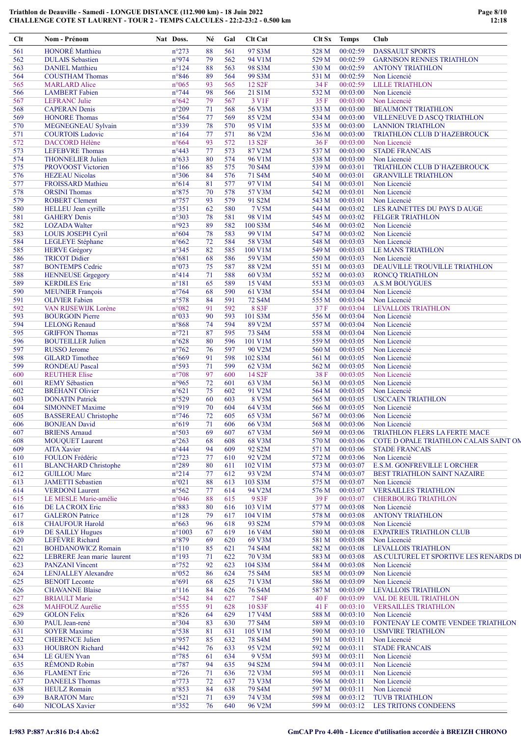| Clt        | Nom - Prénom                                   | Nat Doss.                        | Né       | Gal        | <b>Clt</b> Cat      |                | Clt Sx Temps         | Club                                        |
|------------|------------------------------------------------|----------------------------------|----------|------------|---------------------|----------------|----------------------|---------------------------------------------|
| 561        | <b>HONORÉ</b> Matthieu                         | $n^{\circ}273$                   | 88       | 561        | 97 S3M              | 528 M          | 00:02:59             | <b>DASSAULT SPORTS</b>                      |
| 562        | <b>DULAIS</b> Sebastien                        | n°974                            | 79       | 562        | 94 V1M              | 529 M          | 00:02:59             | <b>GARNISON RENNES TRIATHLON</b>            |
| 563        | <b>DANIEL Matthieu</b>                         | $n^{\circ}124$                   | 88       | 563        | 98 S3M              | 530 M          | 00:02:59             | <b>ANTONY TRIATHLON</b>                     |
| 564        | <b>COUSTHAM Thomas</b>                         | $n^{\circ}846$                   | 89       | 564        | 99 S3M              | 531 M          | 00:02:59             | Non Licencié                                |
| 565        | <b>MARLARD Alice</b>                           | $n^{\circ}065$                   | 93       | 565        | 12 S <sub>2F</sub>  | 34 F           | 00:02:59             | <b>LILLE TRIATHLON</b>                      |
| 566        | <b>LAMBERT</b> Fabien                          | $n^{\circ}$ 744                  | 98       | 566        | 21 S1M              | 532 M          | 00:03:00             | Non Licencié                                |
| 567        | <b>LEFRANC</b> Julie                           | $n^{\circ}642$                   | 79       | 567        | 3 V <sub>1F</sub>   | 35 F           | 00:03:00             | Non Licencié                                |
| 568        | <b>CAPERAN Denis</b>                           | $n^{\circ}209$                   | 71       | 568        | 56 V3M              | 533 M          | 00:03:00             | <b>BEAUMONT TRIATHLON</b>                   |
| 569        | <b>HONORE Thomas</b>                           | $n^{\circ}$ 564                  | 77       | 569        | 85 V2M              | 534 M          | 00:03:00             | VILLENEUVE D ASCQ TRIATHLON                 |
| 570        | MEGNEGNEAU Sylvain                             | n°339                            | 78       | 570        | 95 V1M              | 535 M          | 00:03:00             | <b>LANNION TRIATHLON</b>                    |
| 571        | <b>COURTOIS Ludovic</b>                        | $n^{\circ}164$                   | 77       | 571        | 86 V2M              | 536 M          | 00:03:00             | TRIATHLON CLUB D'HAZEBROUCK                 |
| 572        | <b>DACCORD Hélène</b>                          | $n^{\circ}664$                   | 93<br>77 | 572<br>573 | 13 S <sub>2F</sub>  | 36F            | 00:03:00             | Non Licencié                                |
| 573        | <b>LEFEBVRE</b> Thomas                         | $n^{\circ}443$                   | 80       | 574        | 87 V2M<br>96 V1M    | 537 M          | 00:03:00             | <b>STADE FRANCAIS</b>                       |
| 574<br>575 | <b>THONNELIER Julien</b><br>PROVOOST Victorien | $n^{\circ}633$<br>$n^{\circ}166$ | 85       | 575        | 70 S4M              | 538 M<br>539 M | 00:03:00<br>00:03:01 | Non Licencié<br>TRIATHLON CLUB D'HAZEBROUCK |
| 576        | <b>HEZEAU</b> Nicolas                          | $n^{\circ}306$                   | 84       | 576        | 71 S4M              | 540 M          | 00:03:01             | <b>GRANVILLE TRIATHLON</b>                  |
| 577        | FROISSARD Mathieu                              | $n^{\circ}614$                   | 81       | 577        | 97 V1M              | 541 M          | 00:03:01             | Non Licencié                                |
| 578        | <b>ORSINI</b> Thomas                           | $n^{\circ}875$                   | 70       | 578        | 57 V3M              | 542 M          | 00:03:01             | Non Licencié                                |
| 579        | <b>ROBERT Clement</b>                          | $n^{\circ}757$                   | 93       | 579        | 91 S2M              | 543 M          | 00:03:01             | Non Licencié                                |
| 580        | <b>HELLEU</b> Jean cyrille                     | $n^{\circ}351$                   | 62       | 580        | <b>7 V5M</b>        | 544 M          | 00:03:02             | LES RAINETTES DU PAYS DAUGE                 |
| 581        | <b>GAHERY Denis</b>                            | n°303                            | 78       | 581        | 98 V1M              | 545 M          | 00:03:02             | <b>FELGER TRIATHLON</b>                     |
| 582        | <b>LOZADA Walter</b>                           | n°923                            | 89       | 582        | 100 S3M             | 546 M          | 00:03:02             | Non Licencié                                |
| 583        | <b>LOUIS JOSEPH Cyril</b>                      | $n^{\circ}604$                   | 78       | 583        | 99 V1M              | 547 M          | 00:03:02             | Non Licencié                                |
| 584        | <b>LEGLEYE Stéphane</b>                        | $n^{\circ}662$                   | 72       | 584        | 58 V3M              | 548 M          | 00:03:03             | Non Licencié                                |
| 585        | <b>HERVE Grégory</b>                           | $n^{\circ}345$                   | 82       | 585        | 100 V1M             | 549 M          | 00:03:03             | <b>LE MANS TRIATHLON</b>                    |
| 586        | <b>TRICOT Didier</b>                           | $n^{\circ}681$                   | 68       | 586        | 59 V3M              | 550 M          | 00:03:03             | Non Licencié                                |
| 587        | <b>BONTEMPS Cedric</b>                         | n°073                            | 75       | 587        | <b>88 V2M</b>       | 551 M          | 00:03:03             | DEAUVILLE TROUVILLE TRIATHLON               |
| 588        | <b>HENNEUSE Grgegory</b>                       | $n^{\circ}414$                   | 71       | 588        | 60 V3M              | 552 M          | 00:03:03             | <b>RONCQ TRIATHLON</b>                      |
| 589        | <b>KERDILES</b> Eric                           | $n^{\circ}181$                   | 65       | 589        | 15 V4M              | 553 M          | 00:03:03             | <b>A.S.M BOUYGUES</b>                       |
| 590        | <b>MEUNIER François</b>                        | $n^{\circ}$ 764                  | 68       | 590        | 61 V3M              | 554 M          | 00:03:04             | Non Licencié                                |
| 591        | <b>OLIVIER Fabien</b>                          | n°578                            | 84       | 591        | 72 S4M              | 555 M          | 00:03:04             | Non Licencié                                |
| 592        | VAN RIJSEWIJK Lorène                           | n°082                            | 91       | 592        | 8 S3F               | 37 F           | 00:03:04             | <b>LEVALLOIS TRIATHLON</b>                  |
| 593        | <b>BOURGOIN Pierre</b>                         | n°033                            | 90       | 593        | 101 S3M             | 556 M          | 00:03:04             | Non Licencié                                |
| 594        | <b>LELONG Renaud</b>                           | $n^{\circ}868$                   | 74       | 594        | 89 V2M              | 557 M          | 00:03:04             | Non Licencié                                |
| 595        | <b>GRIFFON Thomas</b>                          | $n^{\circ}721$                   | 87       | 595        | 73 S4M              | 558 M          | 00:03:04             | Non Licencié                                |
| 596        | <b>BOUTEILLER Julien</b>                       | $n^{\circ}628$                   | 80       | 596        | 101 V1M             | 559 M          | 00:03:05             | Non Licencié                                |
| 597        | <b>RUSSO</b> Jerome                            | $n^{\circ}762$                   | 76       | 597        | 90 V2M              | 560 M          | 00:03:05             | Non Licencié                                |
| 598        | <b>GILARD</b> Timothee                         | $n^{\circ}669$                   | 91       | 598        | 102 S3M             | 561 M          | 00:03:05             | Non Licencié                                |
| 599        | <b>RONDEAU Pascal</b>                          | n°593                            | 71       | 599        | 62 V3M              | 562 M          | 00:03:05             | Non Licencié                                |
| 600        | <b>REUTHER Elise</b>                           | $n^{\circ}708$                   | 97       | 600        | 14 S <sub>2F</sub>  | 38F            | 00:03:05             | Non Licencié                                |
| 601        | <b>REMY Sébastien</b>                          | n°965                            | 72       | 601        | 63 V3M              | 563 M          | 00:03:05             | Non Licencié                                |
| 602        | <b>BRÉHANT Olivier</b>                         | $n^{\circ}621$                   | 75       | 602        | 91 V2M              | 564 M          | 00:03:05             | Non Licencié                                |
| 603        | <b>DONATIN Patrick</b>                         | $n^{\circ}529$                   | 60       | 603        | 8 V5M               | 565 M          | 00:03:05             | <b>USCCAEN TRIATHLON</b>                    |
| 604        | <b>SIMONNET Maxime</b>                         | n°919                            | 70       | 604        | 64 V3M              | 566 M          | 00:03:05             | Non Licencié                                |
| 605        | <b>BASSEREAU Christophe</b>                    | $n^{\circ}$ 746                  | 72       | 605        | 65 V3M              | 567 M          | 00:03:06             | Non Licencié                                |
| 606        | <b>BONJEAN David</b>                           | $n^{\circ}619$                   | 71       | 606        | 66 V3M              | 568 M          |                      | $00:03:06$ Non Licencié                     |
| 607        | <b>BRIENS Arnaud</b>                           | n°503                            | 69       | 607        | 67 V3M              | 569 M          | 00:03:06             | TRIATHLON FLERS LA FERTE MACE               |
| 608        | <b>MOUQUET Laurent</b>                         | $n^{\circ}263$                   | 68       | 608        | 68 V3M              | 570 M          | 00:03:06             | COTE D OPALE TRIATHLON CALAIS SAINT ON      |
| 609<br>610 | <b>AITA Xavier</b><br>FOULON Frédéric          | $n^{\circ}444$<br>$n^{\circ}723$ | 94<br>77 | 609<br>610 | 92 S2M<br>92 V2M    | 571 M          | 00:03:06<br>00:03:06 | <b>STADE FRANCAIS</b>                       |
| 611        | <b>BLANCHARD</b> Christophe                    | $n^{\circ}289$                   | 80       | 611        | 102 V1M             | 572 M<br>573 M | 00:03:07             | Non Licencié<br>E.S.M. GONFREVILLE L ORCHER |
| 612        | <b>GUILLOU Marc</b>                            | $n^{\circ}214$                   | 77       | 612        | 93 V2M              | 574 M          | 00:03:07             | <b>BEST TRIATHLON SAINT NAZAIRE</b>         |
| 613        | <b>JAMETTI</b> Sebastien                       | $n^{\circ}021$                   | 88       | 613        | 103 S3M             | 575 M          | 00:03:07             | Non Licencié                                |
| 614        | <b>VERDONI</b> Laurent                         | $n^{\circ}562$                   | 77       | 614        | 94 V2M              | 576 M          | 00:03:07             | <b>VERSAILLES TRIATHLON</b>                 |
| 615        | LE MESLE Marie-amélie                          | $n^{\circ}046$                   | 88       | 615        | 9 S3F               | 39F            | 00:03:07             | <b>CHERBOURG TRIATHLON</b>                  |
| 616        | DE LA CROIX Eric                               | n°883                            | 80       | 616        | 103 V1M             | 577 M          | 00:03:08             | Non Licencié                                |
| 617        | <b>GALERON Patrice</b>                         | $n^{\circ}128$                   | 79       | 617        | 104 V1M             | 578 M          | 00:03:08             | <b>ANTONY TRIATHLON</b>                     |
| 618        | <b>CHAUFOUR Harold</b>                         | $n^{\circ}663$                   | 96       | 618        | 93 S2M              | 579 M          | 00:03:08             | Non Licencié                                |
| 619        | <b>DE SAILLY Hugues</b>                        | $n^{\circ}1003$                  | 67       | 619        | 16 V4M              | 580 M          | 00:03:08             | <b>EXPATRIES TRIATHLON CLUB</b>             |
| 620        | LEFÈVRE Richard                                | $n^{\circ}879$                   | 69       | 620        | 69 V3M              | 581 M          | 00:03:08             | Non Licencié                                |
| 621        | <b>BOHDANOWICZ Romain</b>                      | $n^{\circ}110$                   | 85       | 621        | 74 S4M              | 582 M          | 00:03:08             | <b>LEVALLOIS TRIATHLON</b>                  |
| 622        | LEBRERE Jean marie laurent                     | $n^{\circ}193$                   | 71       | 622        | 70 V3M              | 583 M          | 00:03:08             | AS.CULTUREL ET SPORTIVE LES RENARDS DI      |
| 623        | <b>PANZANI</b> Vincent                         | $n^{\circ}752$                   | 92       | 623        | 104 S3M             | 584 M          | 00:03:08             | Non Licencié                                |
| 624        | <b>LENJALLEY Alexandre</b>                     | $n^{\circ}052$                   | 86       | 624        | 75 S4M              | 585 M          | 00:03:09             | Non Licencié                                |
| 625        | <b>BENOIT</b> Leconte                          | n°691                            | 68       | 625        | 71 V3M              | 586 M          | 00:03:09             | Non Licencié                                |
| 626        | <b>CHAVANNE Blaise</b>                         | $n^{\circ}116$                   | 84       | 626        | 76 S4M              | 587 M          | 00:03:09             | <b>LEVALLOIS TRIATHLON</b>                  |
| 627        | <b>BRIAULT Marie</b>                           | $n^{\circ}542$                   | 84       | 627        | <b>7 S4F</b>        | 40 F           | 00:03:09             | VAL DE REUIL TRIATHLON                      |
| 628        | MAHFOUZ Aurélie                                | $n^{\circ}$ 555                  | 91       | 628        | 10 S3F              | 41 F           | 00:03:10             | <b>VERSAILLES TRIATHLON</b>                 |
| 629        | <b>GOLON Felix</b>                             | $n^{\circ}826$                   | 64       | 629        | 17 V <sub>4</sub> M | 588 M          | 00:03:10             | Non Licencié                                |
| 630        | PAUL Jean-rené                                 | $n^{\circ}304$                   | 83       | 630        | 77 S4M              | 589 M          | 00:03:10             | FONTENAY LE COMTE VENDEE TRIATHLON          |
| 631        | <b>SOYER Maxime</b>                            | $n^{\circ}538$                   | 81       | 631        | 105 V1M             | 590 M          | 00:03:10             | <b>USMVIRE TRIATHLON</b>                    |
| 632        | <b>CHERENCE Julien</b>                         | n°957                            | 85       | 632        | <b>78 S4M</b>       | 591 M          | 00:03:11             | Non Licencié                                |
| 633        | <b>HOUBRON Richard</b>                         | $n^{\circ}442$                   | 76       | 633        | 95 V2M              | 592 M          | 00:03:11             | <b>STADE FRANCAIS</b>                       |
| 634        | <b>LE GUEN Yvan</b>                            | $n^{\circ}785$                   | 61       | 634        | 9 V5M               | 593 M          | 00:03:11             | Non Licencié                                |
| 635        | <b>RÉMOND Robin</b>                            | $n^{\circ}787$                   | 94       | 635        | 94 S2M              | 594 M          | 00:03:11             | Non Licencié                                |
| 636        | <b>FLAMENT</b> Eric                            | $n^{\circ}$ 726                  | 71       | 636        | 72 V3M              | 595 M          | 00:03:11             | Non Licencié                                |
| 637        | <b>DANEELS Thomas</b>                          | $n^{\circ}773$                   | 72       | 637        | 73 V3M              | 596 M          | 00:03:11             | Non Licencié                                |
| 638<br>639 | <b>HEULZ</b> Romain                            | $n^{\circ}853$<br>$n^{\circ}521$ | 84       | 638        | 79 S4M              | 597 M          | 00:03:11<br>00:03:12 | Non Licencié<br><b>TUVB TRIATHLON</b>       |
| 640        | <b>BARATON Marc</b><br><b>NICOLAS Xavier</b>   | $n^{\circ}352$                   | 71<br>76 | 639<br>640 | 74 V3M<br>96 V2M    | 598 M<br>599 M | 00:03:12             | LES TRITONS CONDEENS                        |
|            |                                                |                                  |          |            |                     |                |                      |                                             |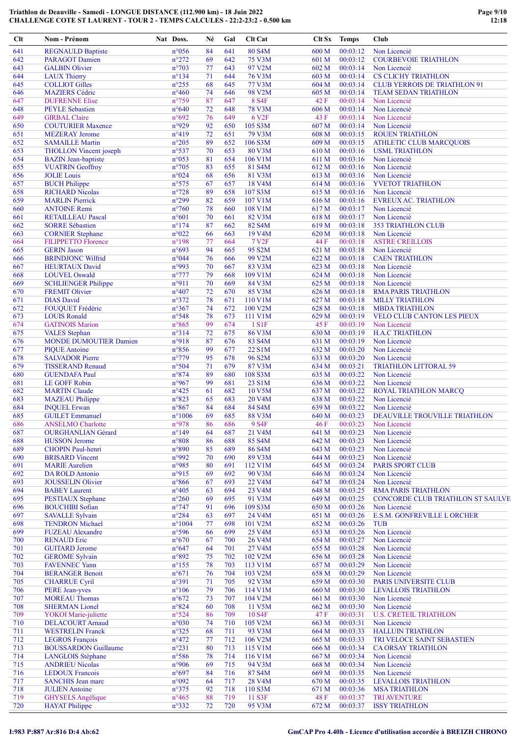| Clt        | Nom - Prénom                                           | Nat Doss.               | Né       | Gal        | <b>Clt</b> Cat                | Clt Sx           | <b>Temps</b>         | Club                                          |
|------------|--------------------------------------------------------|-------------------------|----------|------------|-------------------------------|------------------|----------------------|-----------------------------------------------|
| 641        | <b>REGNAULD Baptiste</b>                               | $n^{\circ}056$          | 84       | 641        | 80 S <sub>4</sub> M           | 600 M            | 00:03:12             | Non Licencié                                  |
| 642        | <b>PARAGOT</b> Damien                                  | $n^{\circ}272$          | 69       | 642        | <b>75 V3M</b>                 | 601 M            | 00:03:12             | <b>COURBEVOIE TRIATHLON</b>                   |
| 643        | <b>GALBIN Olivier</b>                                  | $n^{\circ}703$          | 77       | 643        | 97 V2M                        | 602 M            | 00:03:14             | Non Licencié                                  |
| 644        | <b>LAUX Thierry</b>                                    | $n^{\circ}134$          | 71       | 644        | 76 V3M                        | 603 M            | 00:03:14             | <b>CS CLICHY TRIATHLON</b>                    |
| 645        | <b>COLLIOT Gilles</b>                                  | $n^{\circ}255$          | 68       | 645        | 77 V3M                        | 604 M            | 00:03:14             | <b>CLUB YERROIS DE TRIATHLON 91</b>           |
| 646        | <b>MAZIERS</b> Cédric                                  | $n^{\circ}460$          | 74       | 646        | 98 V2M                        | 605 M            | 00:03:14             | <b>TEAM SEDAN TRIATHLON</b>                   |
| 647        | <b>DUFRENNE Elise</b>                                  | $n^{\circ}759$          | 87       | 647        | 8 S <sub>4F</sub>             | 42 F             | 00:03:14             | Non Licencié                                  |
| 648        | <b>PEYLE Sebastien</b>                                 | $n^{\circ}640$          | 72       | 648        | 78 V3M                        | 606 M            | 00:03:14             | Non Licencié                                  |
| 649        | <b>GIRBAL Claire</b>                                   | $n^{\circ}692$          | 76       | 649        | 6 V <sub>2F</sub>             | 43 F             | 00:03:14             | Non Licencié                                  |
| 650        | <b>COUTURIER Maxence</b>                               | n°929                   | 92       | 650        | 105 S3M                       | 607 M            | 00:03:14             | Non Licencié                                  |
| 651        | <b>MEZERAY Jerome</b>                                  | n°419                   | 72       | 651        | 79 V3M                        | 608 M            | 00:03:15             | <b>ROUEN TRIATHLON</b>                        |
| 652        | <b>SAMAILLE Martin</b>                                 | $n^{\circ}205$          | 89       | 652        | 106 S3M                       | 609 M            | 00:03:15             | <b>ATHLETIC CLUB MARCQUOIS</b>                |
| 653        | <b>THOLLON Vincent joseph</b>                          | n°537                   | 70       | 653        | 80 V3M                        | 610 M            | 00:03:16             | <b>USML TRIATHLON</b>                         |
| 654<br>655 | <b>BAZIN</b> Jean-baptiste                             | n°053                   | 81       | 654        | 106 V1M                       | 611 M            | 00:03:16             | Non Licencié                                  |
| 656        | <b>VUATRIN</b> Geoffroy<br><b>JOLIE</b> Louis          | $n^{\circ}705$<br>n°024 | 83<br>68 | 655<br>656 | 81 S4M<br>81 V3M              | 612 M<br>613 M   | 00:03:16<br>00:03:16 | Non Licencié<br>Non Licencié                  |
| 657        | <b>BUCH Philippe</b>                                   | n°575                   | 67       | 657        | 18 V <sub>4</sub> M           | 614 M            | 00:03:16             | YVETOT TRIATHLON                              |
| 658        | <b>RICHARD Nicolas</b>                                 | $n^{\circ}728$          | 89       | 658        | 107 S3M                       | 615 M            | 00:03:16             | Non Licencié                                  |
| 659        | <b>MARLIN Pierrick</b>                                 | $n^{\circ}299$          | 82       | 659        | 107 V1M                       | 616 M            | 00:03:16             | <b>EVREUX AC. TRIATHLON</b>                   |
| 660        | <b>ANTOINE Remi</b>                                    | $n^{\circ}760$          | 78       | 660        | 108 V1M                       | 617 <sub>M</sub> | 00:03:17             | Non Licencié                                  |
| 661        | <b>RETAILLEAU Pascal</b>                               | $n^{\circ}601$          | 70       | 661        | 82 V3M                        | 618 M            | 00:03:17             | Non Licencié                                  |
| 662        | <b>SORRE Sébastien</b>                                 | $n^{\circ}174$          | 87       | 662        | 82 S4M                        | 619 M            | 00:03:18             | <b>353 TRIATHLON CLUB</b>                     |
| 663        | <b>CORNIER Stephane</b>                                | $n^{\circ}022$          | 66       | 663        | 19 V <sub>4</sub> M           | 620 M            | 00:03:18             | Non Licencié                                  |
| 664        | <b>FILIPPETTO Florence</b>                             | $n^{\circ}198$          | 77       | 664        | 7 V <sub>2F</sub>             | 44 F             | 00:03:18             | <b>ASTRE CREILLOIS</b>                        |
| 665        | <b>GERIN Jason</b>                                     | n°693                   | 94       | 665        | 95 S2M                        | 621 M            | 00:03:18             | Non Licencié                                  |
| 666        | <b>BRINDJONC Wilfrid</b>                               | n°044                   | 76       | 666        | 99 V <sub>2</sub> M           | 622 M            | 00:03:18             | <b>CAEN TRIATHLON</b>                         |
| 667        | <b>HEURTAUX David</b>                                  | n°993                   | 70       | 667        | 83 V3M                        | 623 M            | 00:03:18             | Non Licencié                                  |
| 668        | <b>LOUVEL Oswald</b>                                   | $n^{\circ}777$          | 79       | 668        | 109 V1M                       | 624 M            | 00:03:18             | Non Licencié                                  |
| 669        | <b>SCHLIENGER Philippe</b>                             | n°911                   | 70       | 669        | 84 V3M                        | 625 M            | 00:03:18             | Non Licencié                                  |
| 670        | <b>FREMIT Olivier</b>                                  | $n^{\circ}407$          | 72       | 670        | 85 V3M                        | 626 M            | 00:03:18             | <b>RMA PARIS TRIATHLON</b>                    |
| 671        | <b>DIAS</b> David                                      | $n^{\circ}372$          | 78       | 671        | 110 V1M                       | 627 M            | 00:03:18             | <b>MILLY TRIATHLON</b>                        |
| 672        | FOUQUET Frédéric                                       | n°367                   | 74       | 672        | 100 V2M                       | 628 M            | 00:03:18             | <b>MBDA TRIATHLON</b>                         |
| 673        | <b>LOUIS Ronald</b>                                    | n°548                   | 78       | 673        | 111 V1M                       | 629 M            | 00:03:19             | <b>VELO CLUB CANTON LES PIEUX</b>             |
| 674        | <b>GATINOIS Marion</b>                                 | $n^{\circ}865$          | 99       | 674        | 1 S1F                         | 45 F             | 00:03:19             | Non Licencié                                  |
| 675        | <b>VALES</b> Stephan                                   | n°314                   | 72       | 675        | 86 V3M                        | 630 M            | 00:03:19             | <b>H.A.C TRIATHLON</b>                        |
| 676        | MONDE DUMOUTIER Damien                                 | n°918                   | 87       | 676        | 83 S4M                        | 631 M            | 00:03:19             | Non Licencié                                  |
| 677        | <b>PIQUE</b> Antoine                                   | $n^{\circ}856$          | 99       | 677        | 22 S1M                        | 632 M            | 00:03:20             | Non Licencié                                  |
| 678        | <b>SALVADOR Pierre</b>                                 | $n^{\circ}779$          | 95       | 678        | 96 S2M                        | 633 M            | 00:03:20             | Non Licencié                                  |
| 679        | <b>TISSERAND Renaud</b>                                | n°504                   | 71       | 679        | 87 V3M                        | 634 M            | 00:03:21             | <b>TRIATHLON LITTORAL 59</b>                  |
| 680        | <b>GUENDAFA Paul</b>                                   | $n^{\circ}874$          | 89       | 680        | 108 S3M                       | 635 M            | 00:03:22             | Non Licencié                                  |
| 681        | <b>LE GOFF Robin</b>                                   | n°967<br>$n^{\circ}425$ | 99       | 681<br>682 | 23 S1M                        | 636 M            | 00:03:22             | Non Licencié                                  |
| 682<br>683 | <b>MARTIN Claude</b><br><b>MAZEAU Philippe</b>         | $n^{\circ}823$          | 61<br>65 | 683        | 10 V5M<br>20 V <sub>4</sub> M | 637 M<br>638 M   | 00:03:22<br>00:03:22 | ROYAL TRIATHLON MARCQ<br>Non Licencié         |
| 684        | <b>INQUEL Erwan</b>                                    | $n^{\circ}867$          | 84       | 684        | 84 S4M                        | 639 M            | 00:03:22             | Non Licencié                                  |
| 685        | <b>GUILET</b> Emmanuel                                 | $n^{\circ}1006$         | 69       | 685        | 88 V3M                        | 640 M            | 00:03:23             | <b>DEAUVILLE TROUVILLE TRIATHLON</b>          |
| 686        | <b>ANSELMO Charlotte</b>                               | n°978                   | 86       | 686        | 9 S <sub>4F</sub>             | 46 F             | 00:03:23             | Non Licencié                                  |
| 687        | <b>OURGHANLIAN Gérard</b>                              | $n^{\circ}149$          | 64       | 687        | 21 V4M                        | 641 M            | 00:03:23             | Non Licencié                                  |
| 688        | <b>HUSSON</b> Jerome                                   | $n^{\circ}808$          | 86       | 688        | 85 S4M                        | 642 M            | 00:03:23             | Non Licencié                                  |
| 689        | <b>CHOPIN Paul-henri</b>                               | n°890                   | 85       | 689        | 86 S4M                        | 643 M            | 00:03:23             | Non Licencié                                  |
| 690        | <b>BRISARD</b> Vincent                                 | n°992                   | 70       | 690        | 89 V3M                        | 644 M            | 00:03:23             | Non Licencié                                  |
| 691        | <b>MARIE</b> Aurelien                                  | n°985                   | 80       | 691        | 112 V1M                       | 645 M            | 00:03:24             | PARIS SPORT CLUB                              |
| 692        | <b>DA ROLD Antonio</b>                                 | n°915                   | 69       | 692        | 90 V3M                        | 646 M            | 00:03:24             | Non Licencié                                  |
| 693        | JOUSSELIN Olivier                                      | $n^{\circ}866$          | 67       | 693        | 22 V4M                        | 647 M            | 00:03:24             | Non Licencié                                  |
| 694        | <b>BABEY</b> Laurent                                   | $n^{\circ}405$          | 63       | 694        | 23 V4M                        | 648 M            | 00:03:25             | <b>RMA PARIS TRIATHLON</b>                    |
| 695        | <b>PESTIAUX Stephane</b>                               | $n^{\circ}260$          | 69       | 695        | 91 V3M                        | 649 M            | 00:03:25             | CONCORDE CLUB TRIATHLON ST SAULVE             |
| 696        | <b>BOUCHIBI</b> Sofian                                 | $n^{\circ}747$          | 91       | 696        | 109 S3M                       | 650 M            | 00:03:26             | Non Licencié                                  |
| 697        | <b>SAVALLE Sylvain</b>                                 | $n^{\circ}284$          | 63       | 697        | 24 V4M                        | 651 M            | 00:03:26             | E.S.M. GONFREVILLE L ORCHER                   |
| 698        | <b>TENDRON Michael</b>                                 | $n^{\circ}1004$         | 77       | 698        | 101 V2M                       | 652 M            | 00:03:26             | <b>TUB</b>                                    |
| 699        | <b>FUZEAU Alexandre</b>                                | n°596                   | 66       | 699        | 25 V4M                        | 653 M            | 00:03:26             | Non Licencié                                  |
| 700        | <b>RENAUD Eric</b>                                     | $n^{\circ}670$          | 67       | 700        | 26 V4M                        | 654 M            | 00:03:27             | Non Licencié                                  |
| 701        | <b>GUITARD Jerome</b>                                  | $n^{\circ}647$          | 64       | 701        | 27 V4M                        | 655 M            | 00:03:28             | Non Licencié                                  |
| 702        | <b>GEROME</b> Sylvain                                  | n°892                   | 75       | 702        | 102 V2M                       | 656 M            | 00:03:28             | Non Licencié                                  |
| 703        | <b>FAVENNEC Yann</b>                                   | $n^{\circ}155$          | 78       | 703        | 113 V1M                       | 657 M            | 00:03:29             | Non Licencié                                  |
| 704        | <b>BERANGER Benoit</b>                                 | $n^{\circ}671$          | 76       | 704        | 103 V2M                       | 658 M            | 00:03:29             | Non Licencié                                  |
| 705        | <b>CHARRUE Cyril</b>                                   | n°391                   | 71       | 705        | 92 V3M                        | 659 M            | 00:03:30             | PARIS UNIVERSITE CLUB                         |
| 706        | <b>PERE Jean-yves</b>                                  | $n^{\circ}106$          | 79       | 706        | 114 V1M                       | 660 M            | 00:03:30             | LEVALLOIS TRIATHLON                           |
| 707        | <b>MOREAU Thomas</b>                                   | $n^{\circ}672$          | 73       | 707        | 104 V2M                       | 661 M            | 00:03:30             | Non Licencié                                  |
| 708        | <b>SHERMAN Lionel</b>                                  | n°824                   | 60       | 708        | 11 V5M                        | 662 M            | 00:03:30             | Non Licencié                                  |
| 709<br>710 | <b>YOKOI</b> Marie-juliette<br><b>DELACOURT Arnaud</b> | n°524<br>n°030          | 86<br>74 | 709<br>710 | 10 S4F<br>105 V2M             | 47 F<br>663 M    | 00:03:31<br>00:03:31 | <b>U.S. CRETEIL TRIATHLON</b><br>Non Licencié |
| 711        | <b>WESTRELIN Franck</b>                                | $n^{\circ}325$          | 68       | 711        | 93 V3M                        | 664 M            | 00:03:33             | <b>HALLUIN TRIATHLON</b>                      |
| 712        | <b>LEGROS</b> François                                 | $n^{\circ}472$          | 77       | 712        | 106 V2M                       | 665 M            | 00:03:33             | TRI VELOCE SAINT SEBASTIEN                    |
| 713        | <b>BOUSSARDON Guillaume</b>                            | $n^{\circ}231$          | 80       | 713        | 115 V1M                       | 666 M            | 00:03:34             | <b>CA ORSAY TRIATHLON</b>                     |
| 714        | <b>LANGLOIS Stéphane</b>                               | $n^{\circ}586$          | 78       | 714        | 116 V1M                       | 667 M            | 00:03:34             | Non Licencié                                  |
| 715        | <b>ANDRIEU Nicolas</b>                                 | n°906                   | 69       | 715        | 94 V3M                        | 668 M            | 00:03:34             | Non Licencié                                  |
| 716        | <b>LEDOUX Francois</b>                                 | $n^{\circ}697$          | 84       | 716        | 87 S4M                        | 669 M            | 00:03:35             | Non Licencié                                  |
| 717        | <b>SANCHIS Jean marc</b>                               | n°092                   | 64       | 717        | 28 V <sub>4</sub> M           | 670 M            | 00:03:35             | <b>LEVALLOIS TRIATHLON</b>                    |
| 718        | <b>JULIEN</b> Antoine                                  | $n^{\circ}375$          | 92       | 718        | 110 S3M                       | 671 M            | 00:03:36             | <b>MSA TRIATHLON</b>                          |
| 719        | <b>GHYSELS</b> Angélique                               | $n^{\circ}465$          | 88       | 719        | 11 S3F                        | 48 F             | 00:03:37             | <b>TRI AVENTURE</b>                           |
| 720        | <b>HAYAT Philippe</b>                                  | $n^{\circ}332$          | 72       | 720        | 95 V3M                        | 672 M            | 00:03:37             | <b>ISSY TRIATHLON</b>                         |